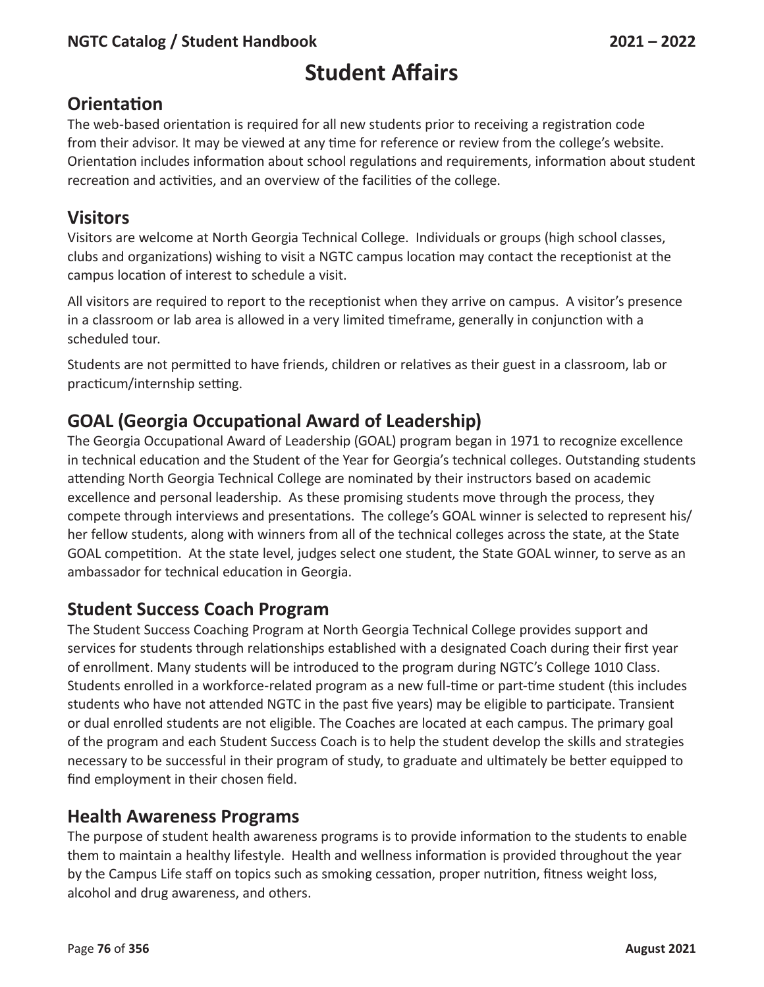# **Student Affairs**

## **Orientation**

The web-based orientation is required for all new students prior to receiving a registration code from their advisor. It may be viewed at any time for reference or review from the college's website. Orientation includes information about school regulations and requirements, information about student recreation and activities, and an overview of the facilities of the college.

## **Visitors**

Visitors are welcome at North Georgia Technical College. Individuals or groups (high school classes, clubs and organizations) wishing to visit a NGTC campus location may contact the receptionist at the campus location of interest to schedule a visit.

All visitors are required to report to the receptionist when they arrive on campus. A visitor's presence in a classroom or lab area is allowed in a very limited timeframe, generally in conjunction with a scheduled tour.

Students are not permitted to have friends, children or relatives as their guest in a classroom, lab or practicum/internship setting.

# **GOAL (Georgia Occupational Award of Leadership)**

The Georgia Occupational Award of Leadership (GOAL) program began in 1971 to recognize excellence in technical education and the Student of the Year for Georgia's technical colleges. Outstanding students attending North Georgia Technical College are nominated by their instructors based on academic excellence and personal leadership. As these promising students move through the process, they compete through interviews and presentations. The college's GOAL winner is selected to represent his/ her fellow students, along with winners from all of the technical colleges across the state, at the State GOAL competition. At the state level, judges select one student, the State GOAL winner, to serve as an ambassador for technical education in Georgia.

## **Student Success Coach Program**

The Student Success Coaching Program at North Georgia Technical College provides support and services for students through relationships established with a designated Coach during their first year of enrollment. Many students will be introduced to the program during NGTC's College 1010 Class. Students enrolled in a workforce-related program as a new full-time or part-time student (this includes students who have not attended NGTC in the past five years) may be eligible to participate. Transient or dual enrolled students are not eligible. The Coaches are located at each campus. The primary goal of the program and each Student Success Coach is to help the student develop the skills and strategies necessary to be successful in their program of study, to graduate and ultimately be better equipped to find employment in their chosen field.

# **Health Awareness Programs**

The purpose of student health awareness programs is to provide information to the students to enable them to maintain a healthy lifestyle. Health and wellness information is provided throughout the year by the Campus Life staff on topics such as smoking cessation, proper nutrition, fitness weight loss, alcohol and drug awareness, and others.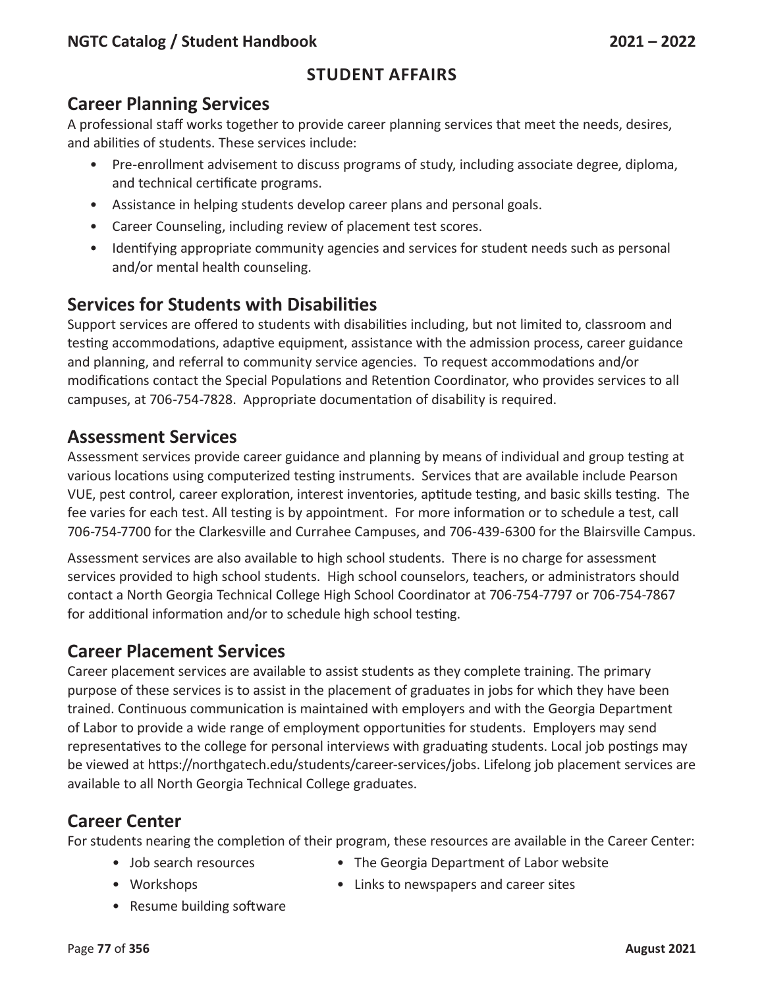## **Career Planning Services**

A professional staff works together to provide career planning services that meet the needs, desires, and abilities of students. These services include:

- Pre-enrollment advisement to discuss programs of study, including associate degree, diploma, and technical certificate programs.
- Assistance in helping students develop career plans and personal goals.
- Career Counseling, including review of placement test scores.
- Identifying appropriate community agencies and services for student needs such as personal and/or mental health counseling.

# **Services for Students with Disabilities**

Support services are offered to students with disabilities including, but not limited to, classroom and testing accommodations, adaptive equipment, assistance with the admission process, career guidance and planning, and referral to community service agencies. To request accommodations and/or modifications contact the Special Populations and Retention Coordinator, who provides services to all campuses, at 706-754-7828. Appropriate documentation of disability is required.

## **Assessment Services**

Assessment services provide career guidance and planning by means of individual and group testing at various locations using computerized testing instruments. Services that are available include Pearson VUE, pest control, career exploration, interest inventories, aptitude testing, and basic skills testing. The fee varies for each test. All testing is by appointment. For more information or to schedule a test, call 706-754-7700 for the Clarkesville and Currahee Campuses, and 706-439-6300 for the Blairsville Campus.

Assessment services are also available to high school students. There is no charge for assessment services provided to high school students. High school counselors, teachers, or administrators should contact a North Georgia Technical College High School Coordinator at 706-754-7797 or 706-754-7867 for additional information and/or to schedule high school testing.

# **Career Placement Services**

Career placement services are available to assist students as they complete training. The primary purpose of these services is to assist in the placement of graduates in jobs for which they have been trained. Continuous communication is maintained with employers and with the Georgia Department of Labor to provide a wide range of employment opportunities for students. Employers may send representatives to the college for personal interviews with graduating students. Local job postings may be viewed at https://northgatech.edu/students/career-services/jobs. Lifelong job placement services are available to all North Georgia Technical College graduates.

## **Career Center**

For students nearing the completion of their program, these resources are available in the Career Center:

- 
- Job search resources The Georgia Department of Labor website
- 
- Workshops Links to newspapers and career sites
- Resume building software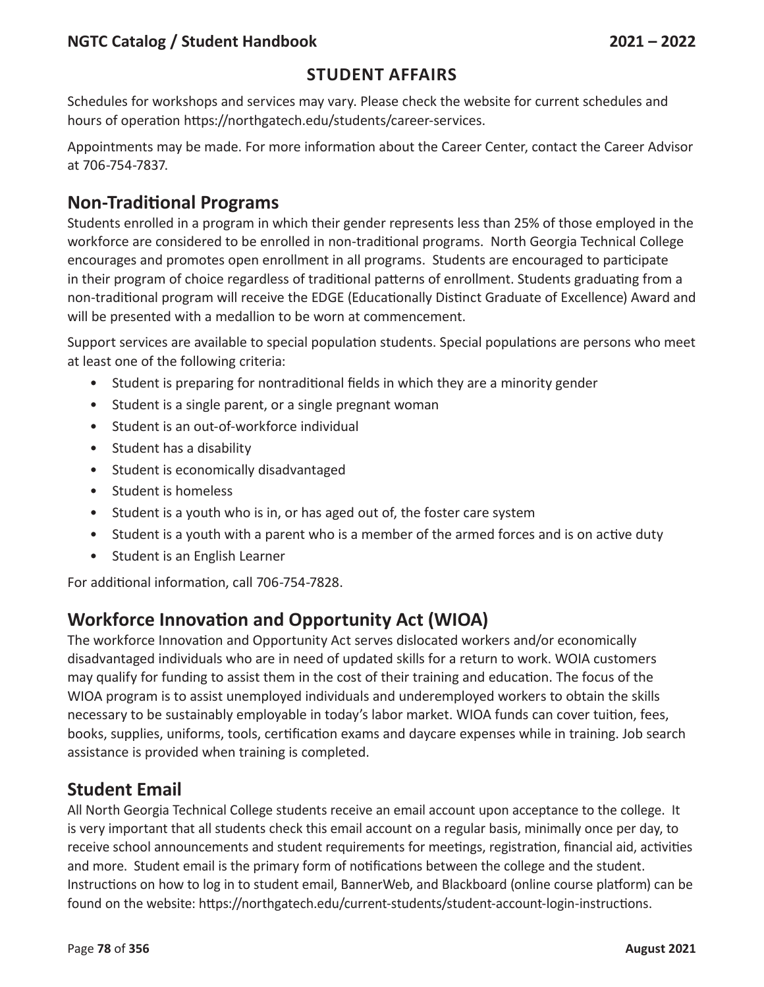### **Student Affairs**

Schedules for workshops and services may vary. Please check the website for current schedules and hours of operation https://northgatech.edu/students/career-services.

Appointments may be made. For more information about the Career Center, contact the Career Advisor at 706-754-7837.

## **Non-Traditional Programs**

Students enrolled in a program in which their gender represents less than 25% of those employed in the workforce are considered to be enrolled in non-traditional programs. North Georgia Technical College encourages and promotes open enrollment in all programs. Students are encouraged to participate in their program of choice regardless of traditional patterns of enrollment. Students graduating from a non-traditional program will receive the EDGE (Educationally Distinct Graduate of Excellence) Award and will be presented with a medallion to be worn at commencement.

Support services are available to special population students. Special populations are persons who meet at least one of the following criteria:

- Student is preparing for nontraditional fields in which they are a minority gender
- Student is a single parent, or a single pregnant woman
- Student is an out-of-workforce individual
- Student has a disability
- Student is economically disadvantaged
- Student is homeless
- Student is a youth who is in, or has aged out of, the foster care system
- Student is a youth with a parent who is a member of the armed forces and is on active duty
- Student is an English Learner

For additional information, call 706-754-7828.

## **Workforce Innovation and Opportunity Act (WIOA)**

The workforce Innovation and Opportunity Act serves dislocated workers and/or economically disadvantaged individuals who are in need of updated skills for a return to work. WOIA customers may qualify for funding to assist them in the cost of their training and education. The focus of the WIOA program is to assist unemployed individuals and underemployed workers to obtain the skills necessary to be sustainably employable in today's labor market. WIOA funds can cover tuition, fees, books, supplies, uniforms, tools, certification exams and daycare expenses while in training. Job search assistance is provided when training is completed.

### **Student Email**

All North Georgia Technical College students receive an email account upon acceptance to the college. It is very important that all students check this email account on a regular basis, minimally once per day, to receive school announcements and student requirements for meetings, registration, financial aid, activities and more. Student email is the primary form of notifications between the college and the student. Instructions on how to log in to student email, BannerWeb, and Blackboard (online course platform) can be found on the website: https://northgatech.edu/current-students/student-account-login-instructions.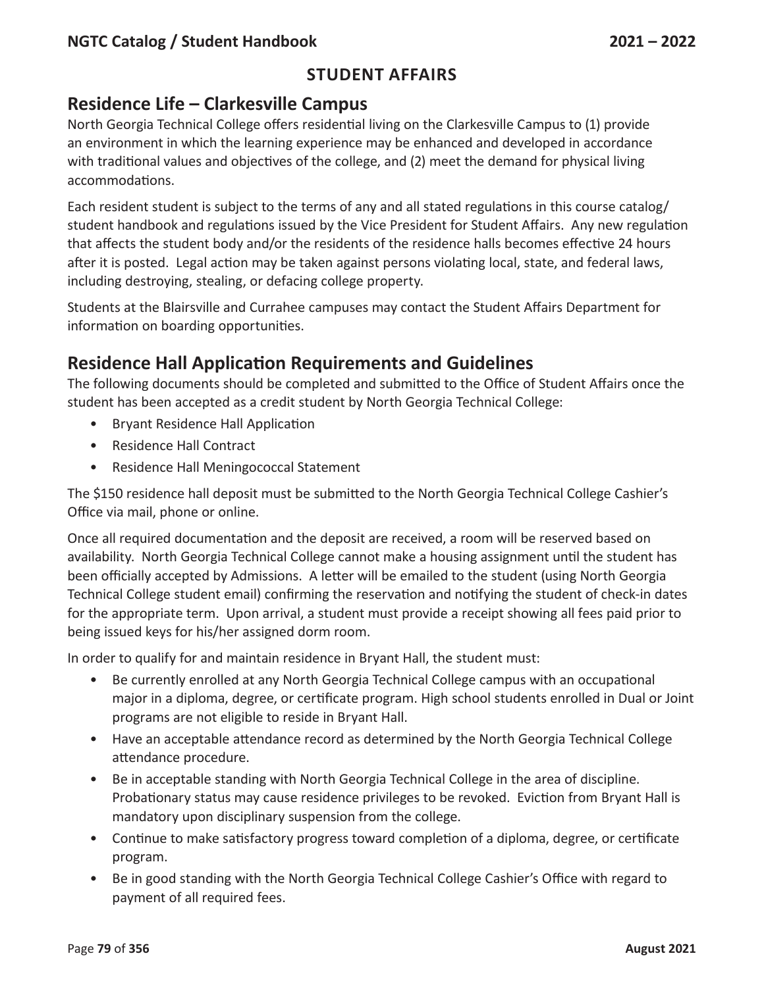### **Student Affairs**

## **Residence Life – Clarkesville Campus**

North Georgia Technical College offers residential living on the Clarkesville Campus to (1) provide an environment in which the learning experience may be enhanced and developed in accordance with traditional values and objectives of the college, and (2) meet the demand for physical living accommodations.

Each resident student is subject to the terms of any and all stated regulations in this course catalog/ student handbook and regulations issued by the Vice President for Student Affairs. Any new regulation that affects the student body and/or the residents of the residence halls becomes effective 24 hours after it is posted. Legal action may be taken against persons violating local, state, and federal laws, including destroying, stealing, or defacing college property.

Students at the Blairsville and Currahee campuses may contact the Student Affairs Department for information on boarding opportunities.

## **Residence Hall Application Requirements and Guidelines**

The following documents should be completed and submitted to the Office of Student Affairs once the student has been accepted as a credit student by North Georgia Technical College:

- Bryant Residence Hall Application
- Residence Hall Contract
- Residence Hall Meningococcal Statement

The \$150 residence hall deposit must be submitted to the North Georgia Technical College Cashier's Office via mail, phone or online.

Once all required documentation and the deposit are received, a room will be reserved based on availability. North Georgia Technical College cannot make a housing assignment until the student has been officially accepted by Admissions. A letter will be emailed to the student (using North Georgia Technical College student email) confirming the reservation and notifying the student of check-in dates for the appropriate term. Upon arrival, a student must provide a receipt showing all fees paid prior to being issued keys for his/her assigned dorm room.

In order to qualify for and maintain residence in Bryant Hall, the student must:

- Be currently enrolled at any North Georgia Technical College campus with an occupational major in a diploma, degree, or certificate program. High school students enrolled in Dual or Joint programs are not eligible to reside in Bryant Hall.
- Have an acceptable attendance record as determined by the North Georgia Technical College attendance procedure.
- Be in acceptable standing with North Georgia Technical College in the area of discipline. Probationary status may cause residence privileges to be revoked. Eviction from Bryant Hall is mandatory upon disciplinary suspension from the college.
- Continue to make satisfactory progress toward completion of a diploma, degree, or certificate program.
- Be in good standing with the North Georgia Technical College Cashier's Office with regard to payment of all required fees.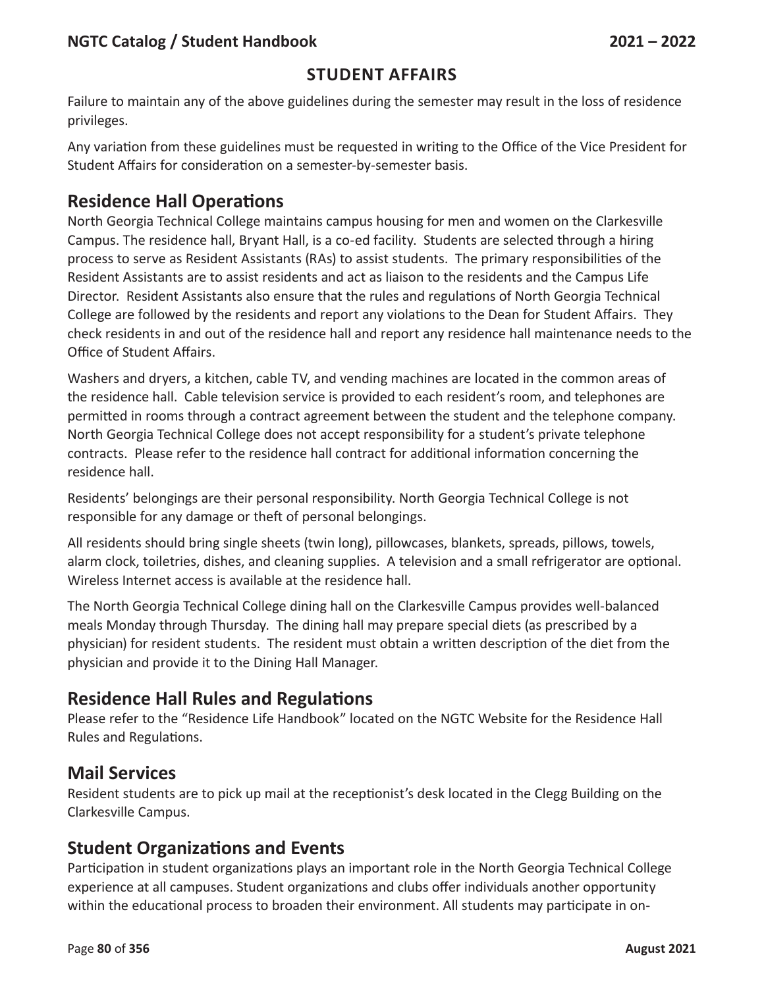### **Student Affairs**

Failure to maintain any of the above guidelines during the semester may result in the loss of residence privileges.

Any variation from these guidelines must be requested in writing to the Office of the Vice President for Student Affairs for consideration on a semester-by-semester basis.

## **Residence Hall Operations**

North Georgia Technical College maintains campus housing for men and women on the Clarkesville Campus. The residence hall, Bryant Hall, is a co-ed facility. Students are selected through a hiring process to serve as Resident Assistants (RAs) to assist students. The primary responsibilities of the Resident Assistants are to assist residents and act as liaison to the residents and the Campus Life Director. Resident Assistants also ensure that the rules and regulations of North Georgia Technical College are followed by the residents and report any violations to the Dean for Student Affairs. They check residents in and out of the residence hall and report any residence hall maintenance needs to the Office of Student Affairs.

Washers and dryers, a kitchen, cable TV, and vending machines are located in the common areas of the residence hall. Cable television service is provided to each resident's room, and telephones are permitted in rooms through a contract agreement between the student and the telephone company. North Georgia Technical College does not accept responsibility for a student's private telephone contracts. Please refer to the residence hall contract for additional information concerning the residence hall.

Residents' belongings are their personal responsibility. North Georgia Technical College is not responsible for any damage or theft of personal belongings.

All residents should bring single sheets (twin long), pillowcases, blankets, spreads, pillows, towels, alarm clock, toiletries, dishes, and cleaning supplies. A television and a small refrigerator are optional. Wireless Internet access is available at the residence hall.

The North Georgia Technical College dining hall on the Clarkesville Campus provides well-balanced meals Monday through Thursday. The dining hall may prepare special diets (as prescribed by a physician) for resident students. The resident must obtain a written description of the diet from the physician and provide it to the Dining Hall Manager.

## **Residence Hall Rules and Regulations**

Please refer to the "Residence Life Handbook" located on the NGTC Website for the Residence Hall Rules and Regulations.

## **Mail Services**

Resident students are to pick up mail at the receptionist's desk located in the Clegg Building on the Clarkesville Campus.

## **Student Organizations and Events**

Participation in student organizations plays an important role in the North Georgia Technical College experience at all campuses. Student organizations and clubs offer individuals another opportunity within the educational process to broaden their environment. All students may participate in on-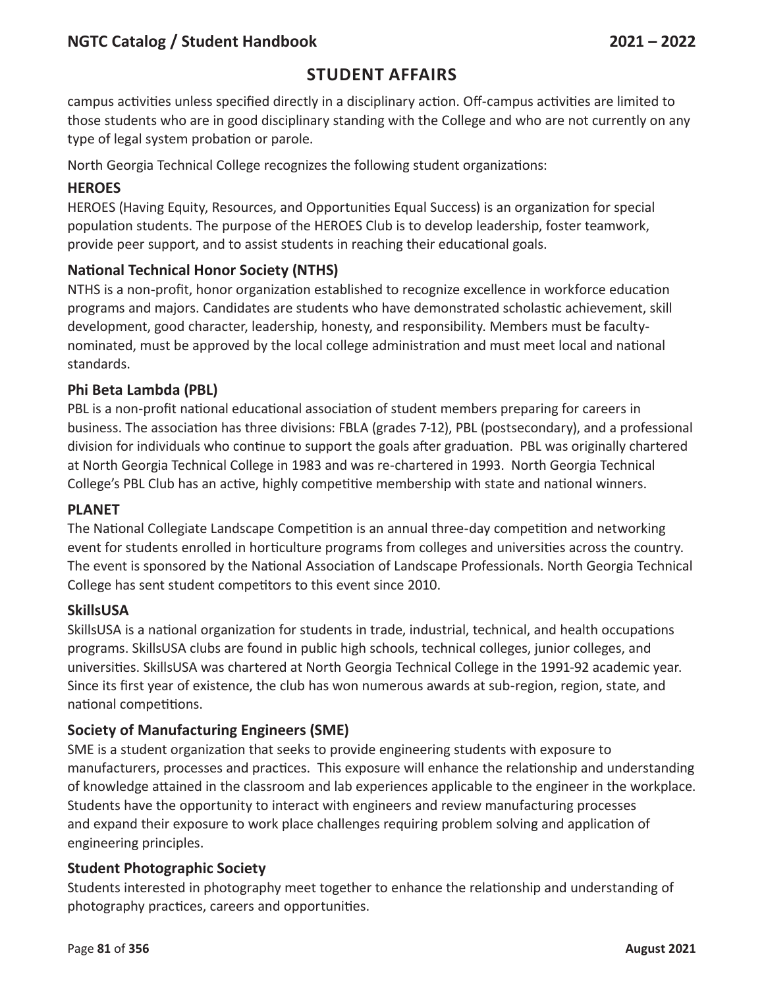### **Student Affairs**

campus activities unless specified directly in a disciplinary action. Off-campus activities are limited to those students who are in good disciplinary standing with the College and who are not currently on any type of legal system probation or parole.

North Georgia Technical College recognizes the following student organizations:

#### **HEROE S**

HEROES (Having Equity, Resources, and Opportunities Equal Success) is an organization for special population students. The purpose of the HEROES Club is to develop leadership, foster teamwork, provide peer support, and to assist students in reaching their educational goals.

#### **National Technical Honor Society (NTHS)**

NTHS is a non-profit, honor organization established to recognize excellence in workforce education programs and majors. Candidates are students who have demonstrated scholastic achievement, skill development, good character, leadership, honesty, and responsibility. Members must be facultynominated, must be approved by the local college administration and must meet local and national standards.

#### **Phi Beta Lambda (PBL)**

PBL is a non-profit national educational association of student members preparing for careers in business. The association has three divisions: FBLA (grades 7-12), PBL (postsecondary), and a professional division for individuals who continue to support the goals after graduation. PBL was originally chartered at North Georgia Technical College in 1983 and was re-chartered in 1993. North Georgia Technical College's PBL Club has an active, highly competitive membership with state and national winners.

#### **PLANET**

The National Collegiate Landscape Competition is an annual three-day competition and networking event for students enrolled in horticulture programs from colleges and universities across the country. The event is sponsored by the National Association of Landscape Professionals. North Georgia Technical College has sent student competitors to this event since 2010.

#### **SkillsUSA**

SkillsUSA is a national organization for students in trade, industrial, technical, and health occupations programs. SkillsUSA clubs are found in public high schools, technical colleges, junior colleges, and universities. SkillsUSA was chartered at North Georgia Technical College in the 1991-92 academic year. Since its first year of existence, the club has won numerous awards at sub-region, region, state, and national competitions.

#### **Society of Manufacturing Engineers (SME)**

SME is a student organization that seeks to provide engineering students with exposure to manufacturers, processes and practices. This exposure will enhance the relationship and understanding of knowledge attained in the classroom and lab experiences applicable to the engineer in the workplace. Students have the opportunity to interact with engineers and review manufacturing processes and expand their exposure to work place challenges requiring problem solving and application of engineering principles.

#### **Student Photographic Society**

Students interested in photography meet together to enhance the relationship and understanding of photography practices, careers and opportunities.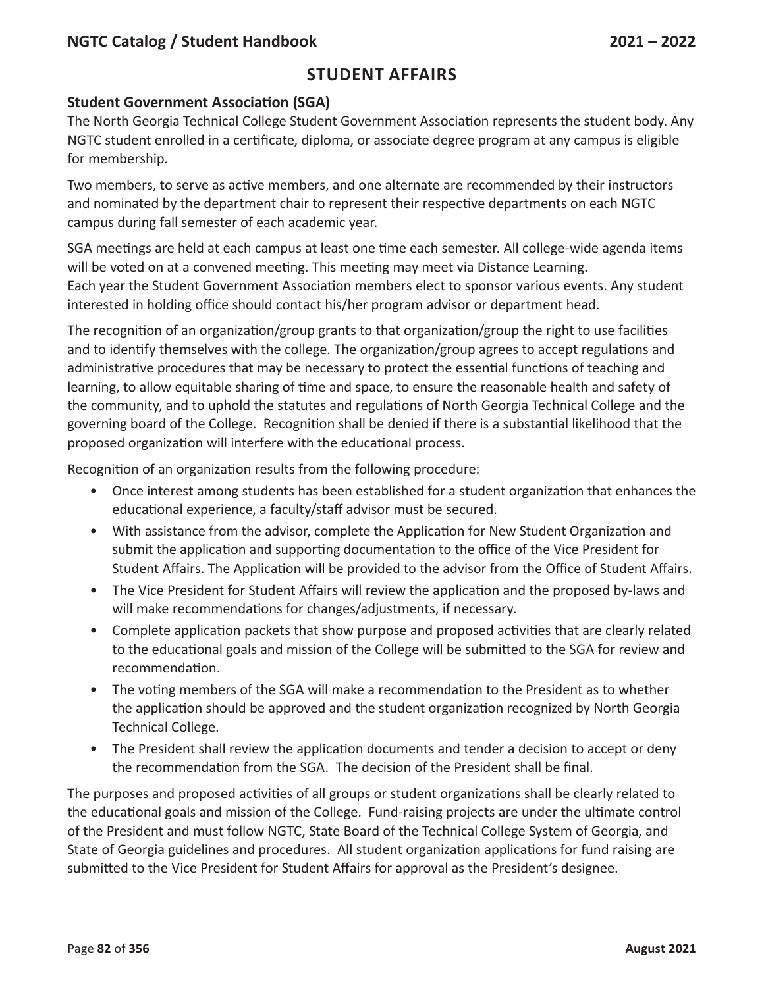### **Student Affairs**

#### **Student Government Association (SGA)**

The North Georgia Technical College Student Government Association represents the student body. Any NGTC student enrolled in a certificate, diploma, or associate degree program at any campus is eligible for membership.

Two members, to serve as active members, and one alternate are recommended by their instructors and nominated by the department chair to represent their respective departments on each NGTC campus during fall semester of each academic year.

SGA meetings are held at each campus at least one time each semester. All college-wide agenda items will be voted on at a convened meeting. This meeting may meet via Distance Learning. Each year the Student Government Association members elect to sponsor various events. Any student interested in holding office should contact his/her program advisor or department head.

The recognition of an organization/group grants to that organization/group the right to use facilities and to identify themselves with the college. The organization/group agrees to accept regulations and administrative procedures that may be necessary to protect the essential functions of teaching and learning, to allow equitable sharing of time and space, to ensure the reasonable health and safety of the community, and to uphold the statutes and regulations of North Georgia Technical College and the governing board of the College. Recognition shall be denied if there is a substantial likelihood that the proposed organization will interfere with the educational process.

Recognition of an organization results from the following procedure:

- Once interest among students has been established for a student organization that enhances the educational experience, a faculty/staff advisor must be secured.
- With assistance from the advisor, complete the Application for New Student Organization and submit the application and supporting documentation to the office of the Vice President for Student Affairs. The Application will be provided to the advisor from the Office of Student Affairs.
- The Vice President for Student Affairs will review the application and the proposed by-laws and will make recommendations for changes/adjustments, if necessary.
- Complete application packets that show purpose and proposed activities that are clearly related to the educational goals and mission of the College will be submitted to the SGA for review and recommendation.
- The voting members of the SGA will make a recommendation to the President as to whether the application should be approved and the student organization recognized by North Georgia Technical College.
- The President shall review the application documents and tender a decision to accept or deny the recommendation from the SGA. The decision of the President shall be final.

The purposes and proposed activities of all groups or student organizations shall be clearly related to the educational goals and mission of the College. Fund-raising projects are under the ultimate control of the President and must follow NGTC, State Board of the Technical College System of Georgia, and State of Georgia guidelines and procedures. All student organization applications for fund raising are submitted to the Vice President for Student Affairs for approval as the President's designee.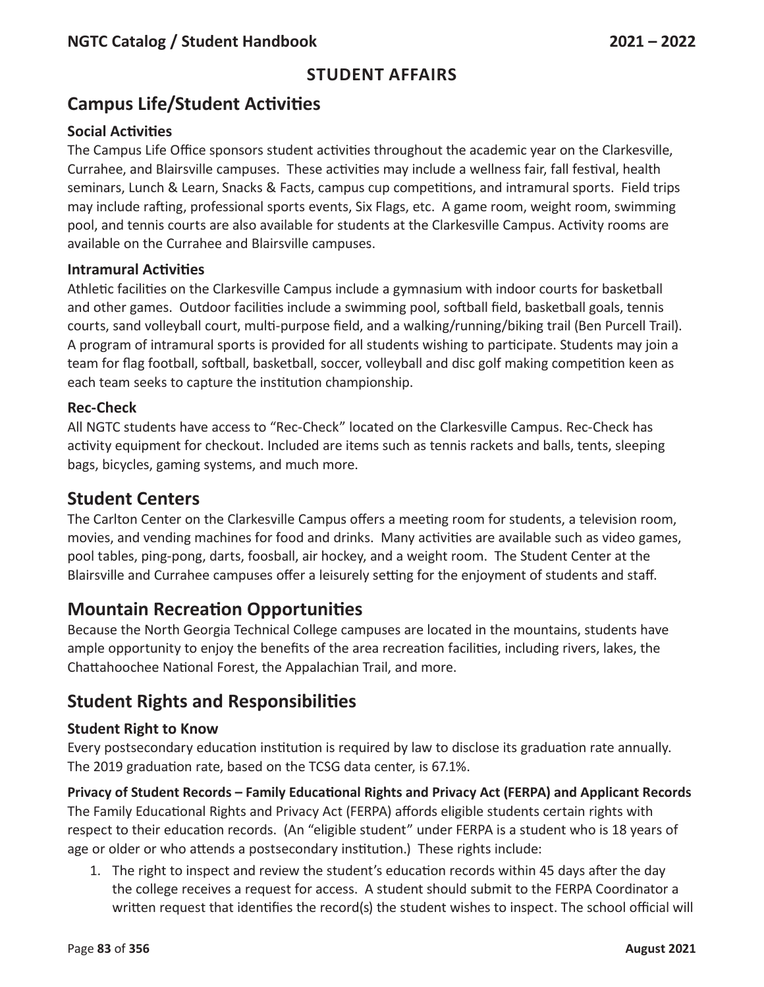# **Campus Life/Student Activities**

#### **Social Activities**

The Campus Life Office sponsors student activities throughout the academic year on the Clarkesville, Currahee, and Blairsville campuses. These activities may include a wellness fair, fall festival, health seminars, Lunch & Learn, Snacks & Facts, campus cup competitions, and intramural sports. Field trips may include rafting, professional sports events, Six Flags, etc. A game room, weight room, swimming pool, and tennis courts are also available for students at the Clarkesville Campus. Activity rooms are available on the Currahee and Blairsville campuses.

#### **Intramural Activities**

Athletic facilities on the Clarkesville Campus include a gymnasium with indoor courts for basketball and other games. Outdoor facilities include a swimming pool, softball field, basketball goals, tennis courts, sand volleyball court, multi-purpose field, and a walking/running/biking trail (Ben Purcell Trail). A program of intramural sports is provided for all students wishing to participate. Students may join a team for flag football, softball, basketball, soccer, volleyball and disc golf making competition keen as each team seeks to capture the institution championship.

#### **Rec-Check**

All NGTC students have access to "Rec-Check" located on the Clarkesville Campus. Rec-Check has activity equipment for checkout. Included are items such as tennis rackets and balls, tents, sleeping bags, bicycles, gaming systems, and much more.

## **Student Centers**

The Carlton Center on the Clarkesville Campus offers a meeting room for students, a television room, movies, and vending machines for food and drinks. Many activities are available such as video games, pool tables, ping-pong, darts, foosball, air hockey, and a weight room. The Student Center at the Blairsville and Currahee campuses offer a leisurely setting for the enjoyment of students and staff.

## **Mountain Recreation Opportunities**

Because the North Georgia Technical College campuses are located in the mountains, students have ample opportunity to enjoy the benefits of the area recreation facilities, including rivers, lakes, the Chattahoochee National Forest, the Appalachian Trail, and more.

## **Student Rights and Responsibilities**

#### **Student Right to Know**

Every postsecondary education institution is required by law to disclose its graduation rate annually. The 2019 graduation rate, based on the TCSG data center, is 67.1%.

**Privacy of Student Records – Family Educational Rights and Privacy Act (FERPA) and Applicant Records** The Family Educational Rights and Privacy Act (FERPA) affords eligible students certain rights with respect to their education records. (An "eligible student" under FERPA is a student who is 18 years of age or older or who attends a postsecondary institution.) These rights include:

1. The right to inspect and review the student's education records within 45 days after the day the college receives a request for access. A student should submit to the FERPA Coordinator a written request that identifies the record(s) the student wishes to inspect. The school official will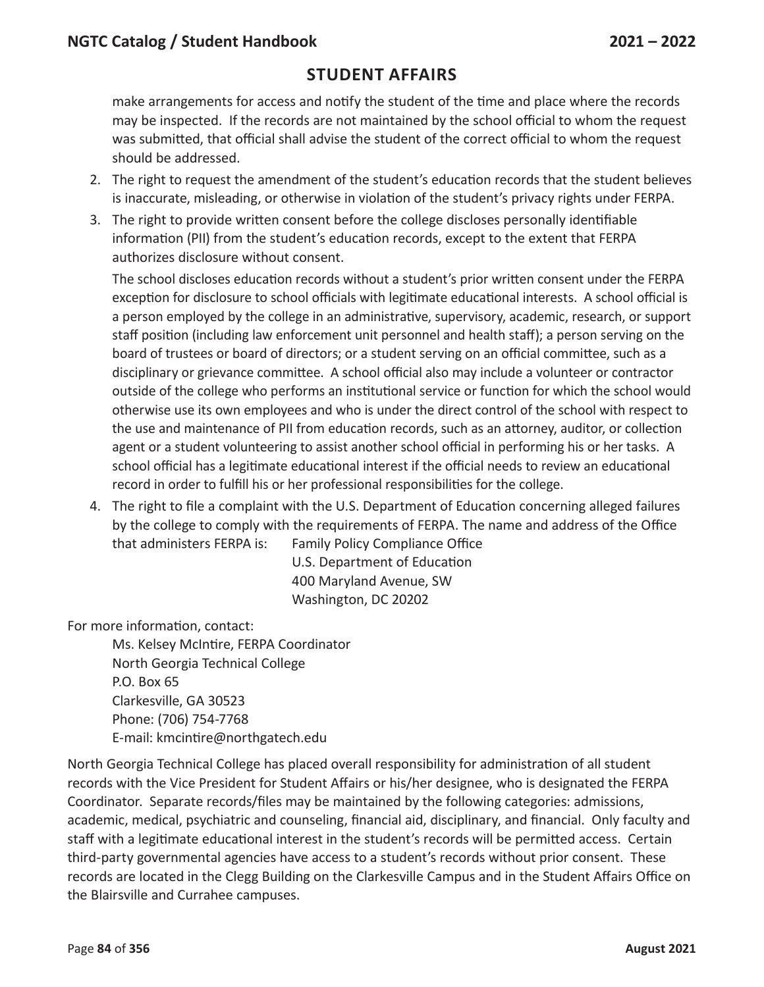make arrangements for access and notify the student of the time and place where the records may be inspected. If the records are not maintained by the school official to whom the request was submitted, that official shall advise the student of the correct official to whom the request should be addressed.

- 2. The right to request the amendment of the student's education records that the student believes is inaccurate, misleading, or otherwise in violation of the student's privacy rights under FERPA.
- 3. The right to provide written consent before the college discloses personally identifiable information (PII) from the student's education records, except to the extent that FERPA authorizes disclosure without consent.

The school discloses education records without a student's prior written consent under the FERPA exception for disclosure to school officials with legitimate educational interests. A school official is a person employed by the college in an administrative, supervisory, academic, research, or support staff position (including law enforcement unit personnel and health staff); a person serving on the board of trustees or board of directors; or a student serving on an official committee, such as a disciplinary or grievance committee. A school official also may include a volunteer or contractor outside of the college who performs an institutional service or function for which the school would otherwise use its own employees and who is under the direct control of the school with respect to the use and maintenance of PII from education records, such as an attorney, auditor, or collection agent or a student volunteering to assist another school official in performing his or her tasks. A school official has a legitimate educational interest if the official needs to review an educational record in order to fulfill his or her professional responsibilities for the college.

4. The right to file a complaint with the U.S. Department of Education concerning alleged failures by the college to comply with the requirements of FERPA. The name and address of the Office that administers FERPA is: Family Policy Compliance Office

U.S. Department of Education 400 Maryland Avenue, SW Washington, DC 20202

For more information, contact:

Ms. Kelsey McIntire, FERPA Coordinator North Georgia Technical College P.O. Box 65 Clarkesville, GA 30523 Phone: (706) 754-7768 E-mail: kmcintire@northgatech.edu

North Georgia Technical College has placed overall responsibility for administration of all student records with the Vice President for Student Affairs or his/her designee, who is designated the FERPA Coordinator. Separate records/files may be maintained by the following categories: admissions, academic, medical, psychiatric and counseling, financial aid, disciplinary, and financial. Only faculty and staff with a legitimate educational interest in the student's records will be permitted access. Certain third-party governmental agencies have access to a student's records without prior consent. These records are located in the Clegg Building on the Clarkesville Campus and in the Student Affairs Office on the Blairsville and Currahee campuses.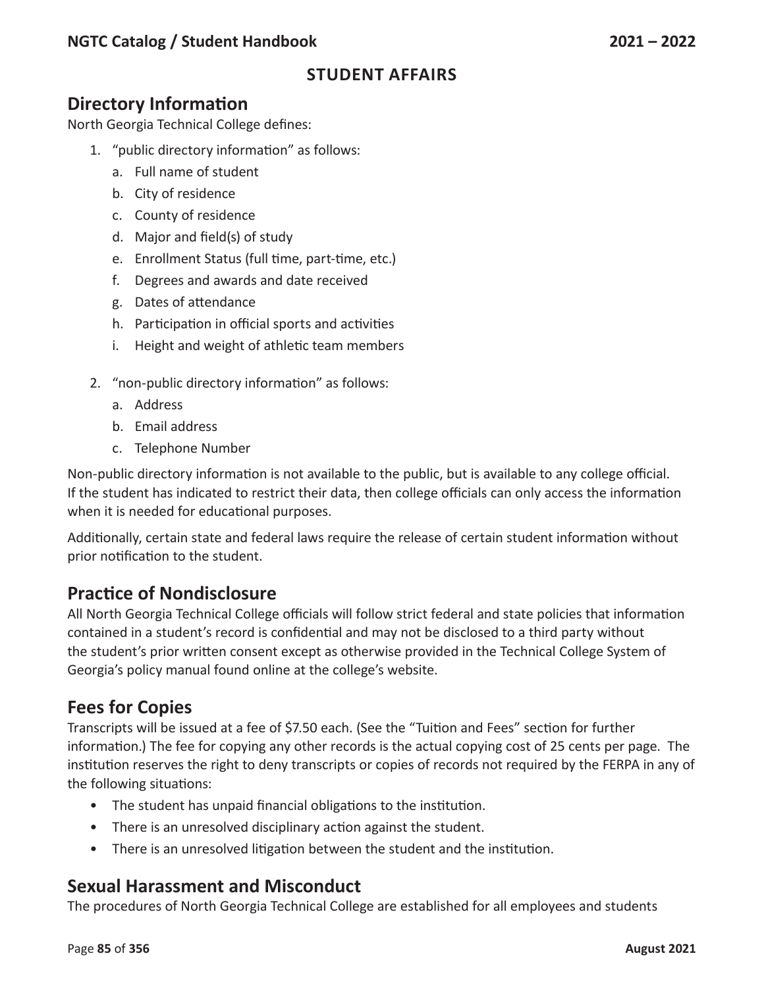# **Directory Information**

North Georgia Technical College defines:

- 1. "public directory information" as follows:
	- a. Full name of student
	- b. City of residence
	- c. County of residence
	- d. Major and field(s) of study
	- e. Enrollment Status (full time, part-time, etc.)
	- f. Degrees and awards and date received
	- g. Dates of attendance
	- h. Participation in official sports and activities
	- i. Height and weight of athletic team members
- 2. "non-public directory information" as follows:
	- a. Address
	- b. Email address
	- c. Telephone Number

Non-public directory information is not available to the public, but is available to any college official. If the student has indicated to restrict their data, then college officials can only access the information when it is needed for educational purposes.

Additionally, certain state and federal laws require the release of certain student information without prior notification to the student.

### **Practice of Nondisclosure**

All North Georgia Technical College officials will follow strict federal and state policies that information contained in a student's record is confidential and may not be disclosed to a third party without the student's prior written consent except as otherwise provided in the Technical College System of Georgia's policy manual found online at the college's website.

### **Fees for Copies**

Transcripts will be issued at a fee of \$7.50 each. (See the "Tuition and Fees" section for further information.) The fee for copying any other records is the actual copying cost of 25 cents per page. The institution reserves the right to deny transcripts or copies of records not required by the FERPA in any of the following situations:

- The student has unpaid financial obligations to the institution.
- There is an unresolved disciplinary action against the student.
- There is an unresolved litigation between the student and the institution.

### **Sexual Harassment and Misconduct**

The procedures of North Georgia Technical College are established for all employees and students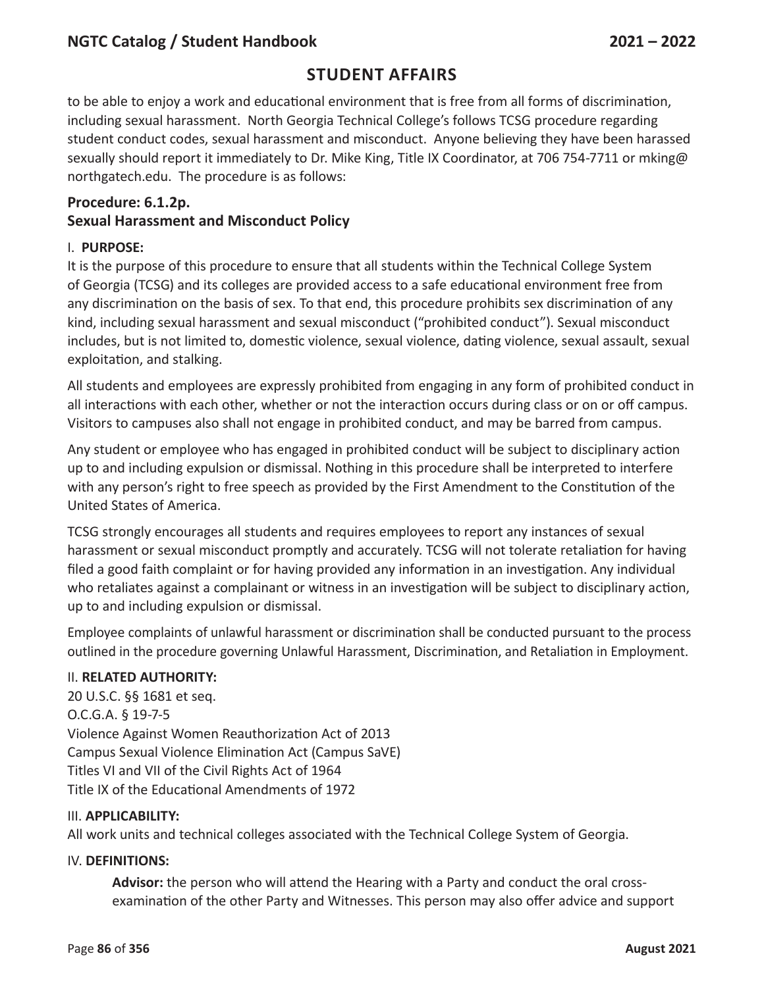### **Student Affairs**

to be able to enjoy a work and educational environment that is free from all forms of discrimination, including sexual harassment. North Georgia Technical College's follows TCSG procedure regarding student conduct codes, sexual harassment and misconduct. Anyone believing they have been harassed sexually should report it immediately to Dr. Mike King, Title IX Coordinator, at 706 754-7711 or mking@ northgatech.edu. The procedure is as follows:

#### **Procedure: 6.1.2p. Sexual Harassment and Misconduct Policy**

#### I. **PURPOSE:**

It is the purpose of this procedure to ensure that all students within the Technical College System of Georgia (TCSG) and its colleges are provided access to a safe educational environment free from any discrimination on the basis of sex. To that end, this procedure prohibits sex discrimination of any kind, including sexual harassment and sexual misconduct ("prohibited conduct"). Sexual misconduct includes, but is not limited to, domestic violence, sexual violence, dating violence, sexual assault, sexual exploitation, and stalking.

All students and employees are expressly prohibited from engaging in any form of prohibited conduct in all interactions with each other, whether or not the interaction occurs during class or on or off campus. Visitors to campuses also shall not engage in prohibited conduct, and may be barred from campus.

Any student or employee who has engaged in prohibited conduct will be subject to disciplinary action up to and including expulsion or dismissal. Nothing in this procedure shall be interpreted to interfere with any person's right to free speech as provided by the First Amendment to the Constitution of the United States of America.

TCSG strongly encourages all students and requires employees to report any instances of sexual harassment or sexual misconduct promptly and accurately. TCSG will not tolerate retaliation for having filed a good faith complaint or for having provided any information in an investigation. Any individual who retaliates against a complainant or witness in an investigation will be subject to disciplinary action, up to and including expulsion or dismissal.

Employee complaints of unlawful harassment or discrimination shall be conducted pursuant to the process outlined in the procedure governing Unlawful Harassment, Discrimination, and Retaliation in Employment.

#### II. **RELATED AUTHORITY:**

20 U.S.C. §§ 1681 et seq. O.C.G.A. § 19-7-5 Violence Against Women Reauthorization Act of 2013 Campus Sexual Violence Elimination Act (Campus SaVE) Titles VI and VII of the Civil Rights Act of 1964 Title IX of the Educational Amendments of 1972

#### III. **APPLICABILITY:**

All work units and technical colleges associated with the Technical College System of Georgia.

#### IV. **DEFINITIONS:**

**Advisor:** the person who will attend the Hearing with a Party and conduct the oral crossexamination of the other Party and Witnesses. This person may also offer advice and support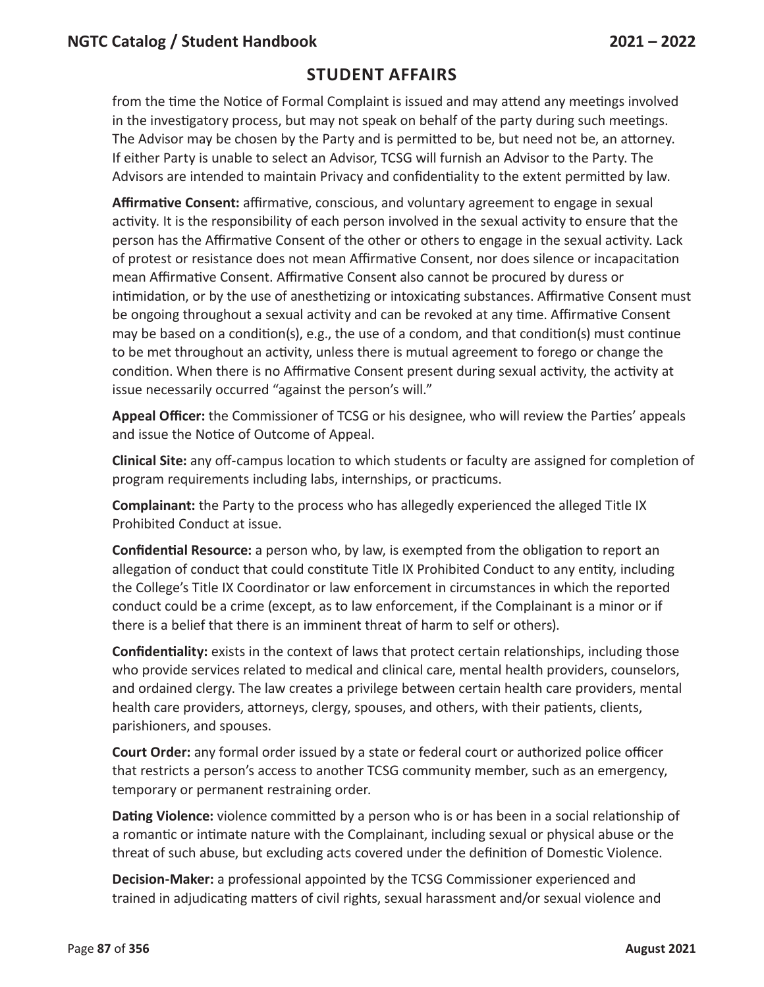from the time the Notice of Formal Complaint is issued and may attend any meetings involved in the investigatory process, but may not speak on behalf of the party during such meetings. The Advisor may be chosen by the Party and is permitted to be, but need not be, an attorney. If either Party is unable to select an Advisor, TCSG will furnish an Advisor to the Party. The Advisors are intended to maintain Privacy and confidentiality to the extent permitted by law.

**Affirmative Consent:** affirmative, conscious, and voluntary agreement to engage in sexual activity. It is the responsibility of each person involved in the sexual activity to ensure that the person has the Affirmative Consent of the other or others to engage in the sexual activity. Lack of protest or resistance does not mean Affirmative Consent, nor does silence or incapacitation mean Affirmative Consent. Affirmative Consent also cannot be procured by duress or intimidation, or by the use of anesthetizing or intoxicating substances. Affirmative Consent must be ongoing throughout a sexual activity and can be revoked at any time. Affirmative Consent may be based on a condition(s), e.g., the use of a condom, and that condition(s) must continue to be met throughout an activity, unless there is mutual agreement to forego or change the condition. When there is no Affirmative Consent present during sexual activity, the activity at issue necessarily occurred "against the person's will."

**Appeal Officer:** the Commissioner of TCSG or his designee, who will review the Parties' appeals and issue the Notice of Outcome of Appeal.

**Clinical Site:** any off-campus location to which students or faculty are assigned for completion of program requirements including labs, internships, or practicums.

**Complainant:** the Party to the process who has allegedly experienced the alleged Title IX Prohibited Conduct at issue.

**Confidential Resource:** a person who, by law, is exempted from the obligation to report an allegation of conduct that could constitute Title IX Prohibited Conduct to any entity, including the College's Title IX Coordinator or law enforcement in circumstances in which the reported conduct could be a crime (except, as to law enforcement, if the Complainant is a minor or if there is a belief that there is an imminent threat of harm to self or others).

**Confidentiality:** exists in the context of laws that protect certain relationships, including those who provide services related to medical and clinical care, mental health providers, counselors, and ordained clergy. The law creates a privilege between certain health care providers, mental health care providers, attorneys, clergy, spouses, and others, with their patients, clients, parishioners, and spouses.

**Court Order:** any formal order issued by a state or federal court or authorized police officer that restricts a person's access to another TCSG community member, such as an emergency, temporary or permanent restraining order.

**Dating Violence:** violence committed by a person who is or has been in a social relationship of a romantic or intimate nature with the Complainant, including sexual or physical abuse or the threat of such abuse, but excluding acts covered under the definition of Domestic Violence.

**Decision-Maker:** a professional appointed by the TCSG Commissioner experienced and trained in adjudicating matters of civil rights, sexual harassment and/or sexual violence and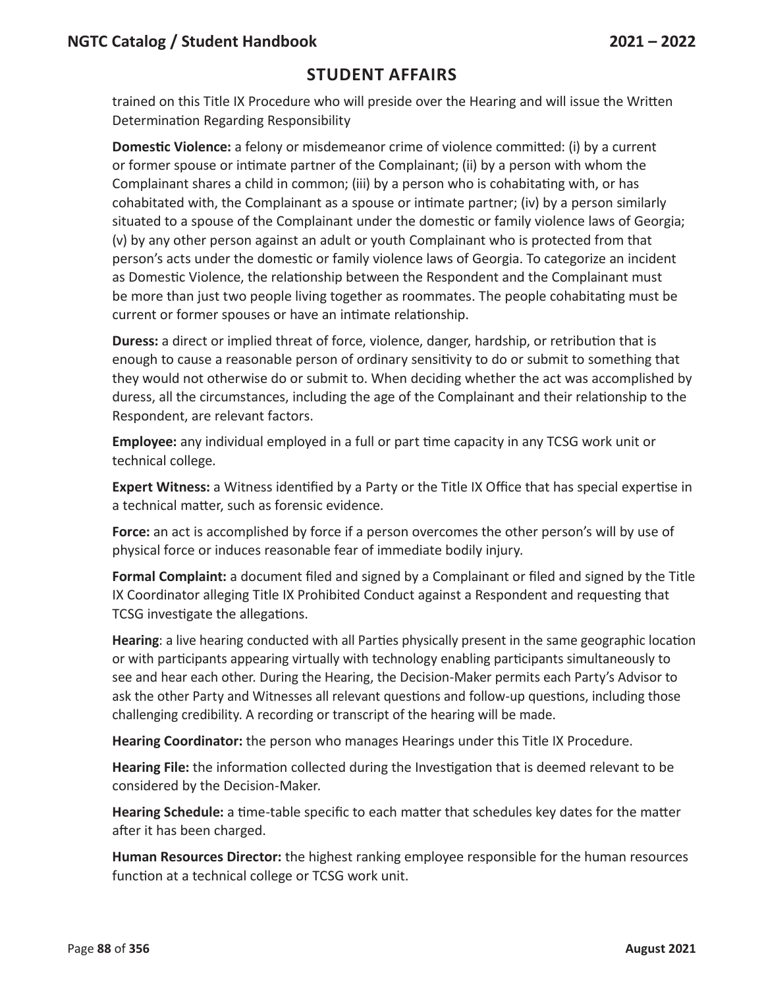trained on this Title IX Procedure who will preside over the Hearing and will issue the Written Determination Regarding Responsibility

**Domestic Violence:** a felony or misdemeanor crime of violence committed: (i) by a current or former spouse or intimate partner of the Complainant; (ii) by a person with whom the Complainant shares a child in common; (iii) by a person who is cohabitating with, or has cohabitated with, the Complainant as a spouse or intimate partner; (iv) by a person similarly situated to a spouse of the Complainant under the domestic or family violence laws of Georgia; (v) by any other person against an adult or youth Complainant who is protected from that person's acts under the domestic or family violence laws of Georgia. To categorize an incident as Domestic Violence, the relationship between the Respondent and the Complainant must be more than just two people living together as roommates. The people cohabitating must be current or former spouses or have an intimate relationship.

**Duress:** a direct or implied threat of force, violence, danger, hardship, or retribution that is enough to cause a reasonable person of ordinary sensitivity to do or submit to something that they would not otherwise do or submit to. When deciding whether the act was accomplished by duress, all the circumstances, including the age of the Complainant and their relationship to the Respondent, are relevant factors.

**Employee:** any individual employed in a full or part time capacity in any TCSG work unit or technical college.

**Expert Witness:** a Witness identified by a Party or the Title IX Office that has special expertise in a technical matter, such as forensic evidence.

**Force:** an act is accomplished by force if a person overcomes the other person's will by use of physical force or induces reasonable fear of immediate bodily injury.

**Formal Complaint:** a document filed and signed by a Complainant or filed and signed by the Title IX Coordinator alleging Title IX Prohibited Conduct against a Respondent and requesting that TCSG investigate the allegations.

**Hearing**: a live hearing conducted with all Parties physically present in the same geographic location or with participants appearing virtually with technology enabling participants simultaneously to see and hear each other. During the Hearing, the Decision-Maker permits each Party's Advisor to ask the other Party and Witnesses all relevant questions and follow-up questions, including those challenging credibility. A recording or transcript of the hearing will be made.

**Hearing Coordinator:** the person who manages Hearings under this Title IX Procedure.

**Hearing File:** the information collected during the Investigation that is deemed relevant to be considered by the Decision-Maker.

**Hearing Schedule:** a time-table specific to each matter that schedules key dates for the matter after it has been charged.

**Human Resources Director:** the highest ranking employee responsible for the human resources function at a technical college or TCSG work unit.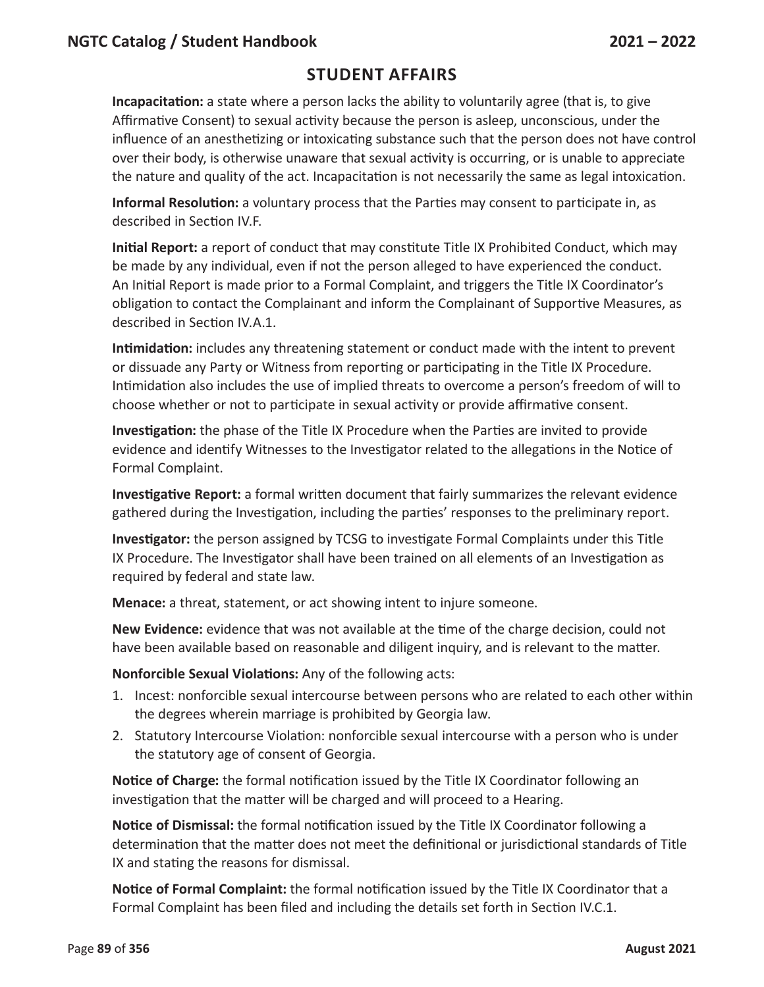### **Student Affairs**

**Incapacitation:** a state where a person lacks the ability to voluntarily agree (that is, to give Affirmative Consent) to sexual activity because the person is asleep, unconscious, under the influence of an anesthetizing or intoxicating substance such that the person does not have control over their body, is otherwise unaware that sexual activity is occurring, or is unable to appreciate the nature and quality of the act. Incapacitation is not necessarily the same as legal intoxication.

**Informal Resolution:** a voluntary process that the Parties may consent to participate in, as described in Section IV.F.

**Initial Report:** a report of conduct that may constitute Title IX Prohibited Conduct, which may be made by any individual, even if not the person alleged to have experienced the conduct. An Initial Report is made prior to a Formal Complaint, and triggers the Title IX Coordinator's obligation to contact the Complainant and inform the Complainant of Supportive Measures, as described in Section IV.A.1.

**Intimidation:** includes any threatening statement or conduct made with the intent to prevent or dissuade any Party or Witness from reporting or participating in the Title IX Procedure. Intimidation also includes the use of implied threats to overcome a person's freedom of will to choose whether or not to participate in sexual activity or provide affirmative consent.

**Investigation:** the phase of the Title IX Procedure when the Parties are invited to provide evidence and identify Witnesses to the Investigator related to the allegations in the Notice of Formal Complaint.

**Investigative Report:** a formal written document that fairly summarizes the relevant evidence gathered during the Investigation, including the parties' responses to the preliminary report.

**Investigator:** the person assigned by TCSG to investigate Formal Complaints under this Title IX Procedure. The Investigator shall have been trained on all elements of an Investigation as required by federal and state law.

**Menace:** a threat, statement, or act showing intent to injure someone.

**New Evidence:** evidence that was not available at the time of the charge decision, could not have been available based on reasonable and diligent inquiry, and is relevant to the matter.

**Nonforcible Sexual Violations:** Any of the following acts:

- 1. Incest: nonforcible sexual intercourse between persons who are related to each other within the degrees wherein marriage is prohibited by Georgia law.
- 2. Statutory Intercourse Violation: nonforcible sexual intercourse with a person who is under the statutory age of consent of Georgia.

**Notice of Charge:** the formal notification issued by the Title IX Coordinator following an investigation that the matter will be charged and will proceed to a Hearing.

**Notice of Dismissal:** the formal notification issued by the Title IX Coordinator following a determination that the matter does not meet the definitional or jurisdictional standards of Title IX and stating the reasons for dismissal.

**Notice of Formal Complaint:** the formal notification issued by the Title IX Coordinator that a Formal Complaint has been filed and including the details set forth in Section IV.C.1.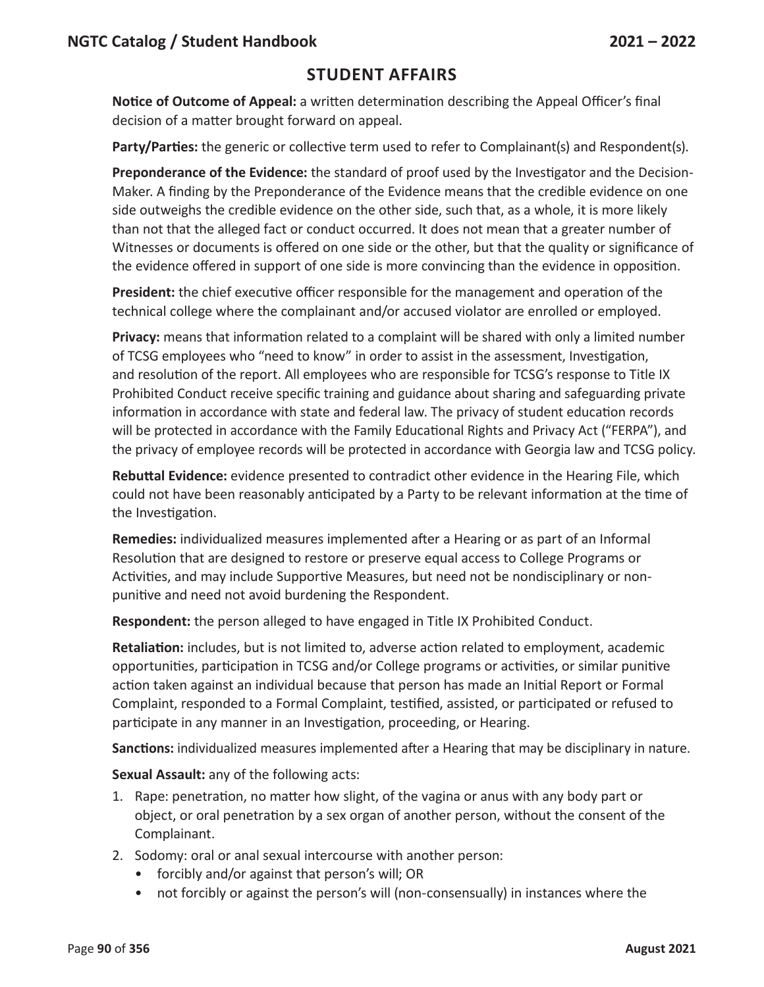**Notice of Outcome of Appeal:** a written determination describing the Appeal Officer's final decision of a matter brought forward on appeal.

Party/Parties: the generic or collective term used to refer to Complainant(s) and Respondent(s).

**Preponderance of the Evidence:** the standard of proof used by the Investigator and the Decision-Maker. A finding by the Preponderance of the Evidence means that the credible evidence on one side outweighs the credible evidence on the other side, such that, as a whole, it is more likely than not that the alleged fact or conduct occurred. It does not mean that a greater number of Witnesses or documents is offered on one side or the other, but that the quality or significance of the evidence offered in support of one side is more convincing than the evidence in opposition.

**President:** the chief executive officer responsible for the management and operation of the technical college where the complainant and/or accused violator are enrolled or employed.

**Privacy:** means that information related to a complaint will be shared with only a limited number of TCSG employees who "need to know" in order to assist in the assessment, Investigation, and resolution of the report. All employees who are responsible for TCSG's response to Title IX Prohibited Conduct receive specific training and guidance about sharing and safeguarding private information in accordance with state and federal law. The privacy of student education records will be protected in accordance with the Family Educational Rights and Privacy Act ("FERPA"), and the privacy of employee records will be protected in accordance with Georgia law and TCSG policy.

**Rebuttal Evidence:** evidence presented to contradict other evidence in the Hearing File, which could not have been reasonably anticipated by a Party to be relevant information at the time of the Investigation.

**Remedies:** individualized measures implemented after a Hearing or as part of an Informal Resolution that are designed to restore or preserve equal access to College Programs or Activities, and may include Supportive Measures, but need not be nondisciplinary or nonpunitive and need not avoid burdening the Respondent.

**Respondent:** the person alleged to have engaged in Title IX Prohibited Conduct.

**Retaliation:** includes, but is not limited to, adverse action related to employment, academic opportunities, participation in TCSG and/or College programs or activities, or similar punitive action taken against an individual because that person has made an Initial Report or Formal Complaint, responded to a Formal Complaint, testified, assisted, or participated or refused to participate in any manner in an Investigation, proceeding, or Hearing.

**Sanctions:** individualized measures implemented after a Hearing that may be disciplinary in nature.

**Sexual Assault:** any of the following acts:

- 1. Rape: penetration, no matter how slight, of the vagina or anus with any body part or object, or oral penetration by a sex organ of another person, without the consent of the Complainant.
- 2. Sodomy: oral or anal sexual intercourse with another person:
	- forcibly and/or against that person's will; OR
	- not forcibly or against the person's will (non-consensually) in instances where the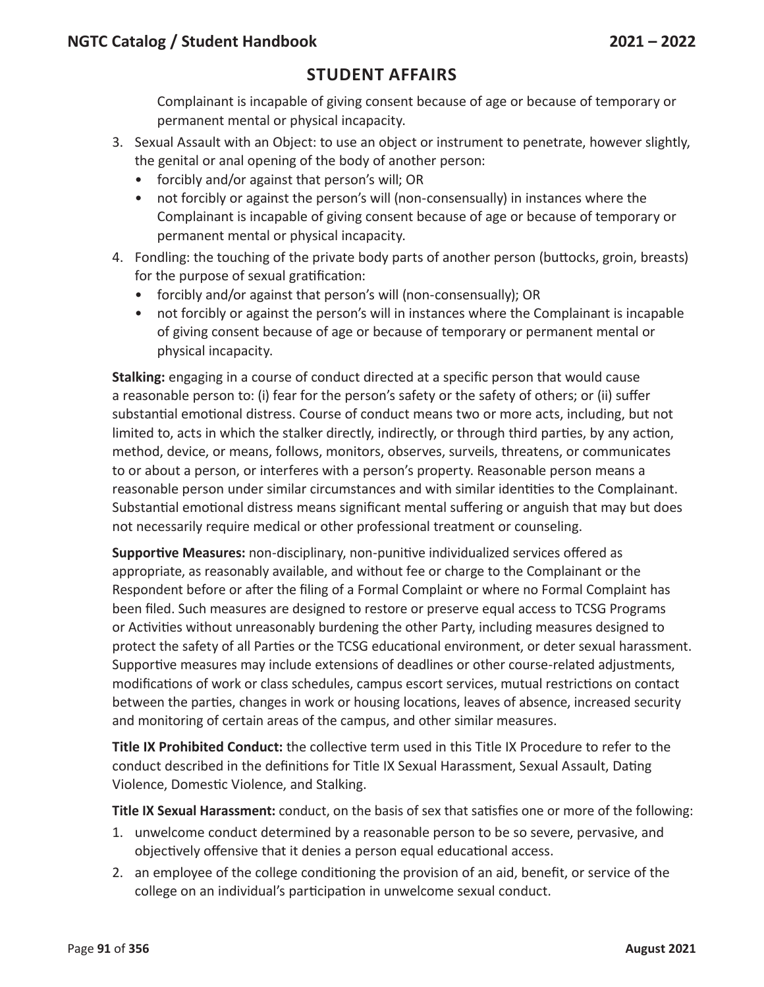Complainant is incapable of giving consent because of age or because of temporary or permanent mental or physical incapacity.

- 3. Sexual Assault with an Object: to use an object or instrument to penetrate, however slightly, the genital or anal opening of the body of another person:
	- forcibly and/or against that person's will; OR
	- not forcibly or against the person's will (non-consensually) in instances where the Complainant is incapable of giving consent because of age or because of temporary or permanent mental or physical incapacity.
- 4. Fondling: the touching of the private body parts of another person (buttocks, groin, breasts) for the purpose of sexual gratification:
	- forcibly and/or against that person's will (non-consensually); OR
	- not forcibly or against the person's will in instances where the Complainant is incapable of giving consent because of age or because of temporary or permanent mental or physical incapacity.

**Stalking:** engaging in a course of conduct directed at a specific person that would cause a reasonable person to: (i) fear for the person's safety or the safety of others; or (ii) suffer substantial emotional distress. Course of conduct means two or more acts, including, but not limited to, acts in which the stalker directly, indirectly, or through third parties, by any action, method, device, or means, follows, monitors, observes, surveils, threatens, or communicates to or about a person, or interferes with a person's property. Reasonable person means a reasonable person under similar circumstances and with similar identities to the Complainant. Substantial emotional distress means significant mental suffering or anguish that may but does not necessarily require medical or other professional treatment or counseling.

**Supportive Measures:** non-disciplinary, non-punitive individualized services offered as appropriate, as reasonably available, and without fee or charge to the Complainant or the Respondent before or after the filing of a Formal Complaint or where no Formal Complaint has been filed. Such measures are designed to restore or preserve equal access to TCSG Programs or Activities without unreasonably burdening the other Party, including measures designed to protect the safety of all Parties or the TCSG educational environment, or deter sexual harassment. Supportive measures may include extensions of deadlines or other course-related adjustments, modifications of work or class schedules, campus escort services, mutual restrictions on contact between the parties, changes in work or housing locations, leaves of absence, increased security and monitoring of certain areas of the campus, and other similar measures.

**Title IX Prohibited Conduct:** the collective term used in this Title IX Procedure to refer to the conduct described in the definitions for Title IX Sexual Harassment, Sexual Assault, Dating Violence, Domestic Violence, and Stalking.

**Title IX Sexual Harassment:** conduct, on the basis of sex that satisfies one or more of the following:

- 1. unwelcome conduct determined by a reasonable person to be so severe, pervasive, and objectively offensive that it denies a person equal educational access.
- 2. an employee of the college conditioning the provision of an aid, benefit, or service of the college on an individual's participation in unwelcome sexual conduct.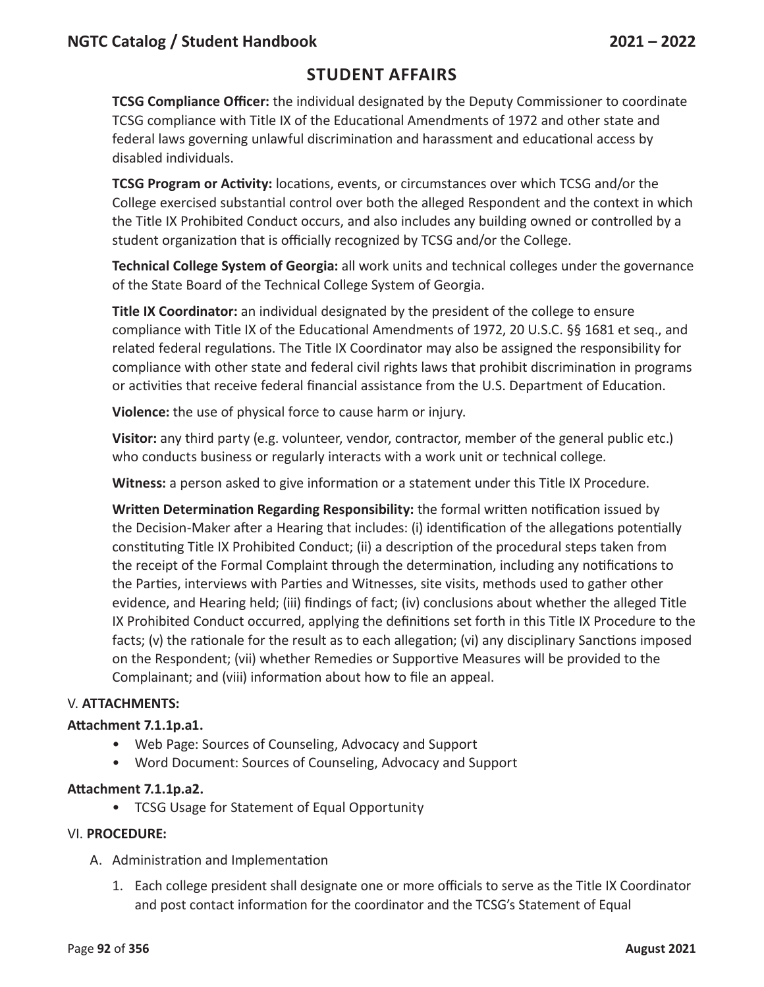### **Student Affairs**

**TCSG Compliance Officer:** the individual designated by the Deputy Commissioner to coordinate TCSG compliance with Title IX of the Educational Amendments of 1972 and other state and federal laws governing unlawful discrimination and harassment and educational access by disabled individuals.

**TCSG Program or Activity:** locations, events, or circumstances over which TCSG and/or the College exercised substantial control over both the alleged Respondent and the context in which the Title IX Prohibited Conduct occurs, and also includes any building owned or controlled by a student organization that is officially recognized by TCSG and/or the College.

**Technical College System of Georgia:** all work units and technical colleges under the governance of the State Board of the Technical College System of Georgia.

**Title IX Coordinator:** an individual designated by the president of the college to ensure compliance with Title IX of the Educational Amendments of 1972, 20 U.S.C. §§ 1681 et seq., and related federal regulations. The Title IX Coordinator may also be assigned the responsibility for compliance with other state and federal civil rights laws that prohibit discrimination in programs or activities that receive federal financial assistance from the U.S. Department of Education.

**Violence:** the use of physical force to cause harm or injury.

**Visitor:** any third party (e.g. volunteer, vendor, contractor, member of the general public etc.) who conducts business or regularly interacts with a work unit or technical college.

**Witness:** a person asked to give information or a statement under this Title IX Procedure.

**Written Determination Regarding Responsibility:** the formal written notification issued by the Decision-Maker after a Hearing that includes: (i) identification of the allegations potentially constituting Title IX Prohibited Conduct; (ii) a description of the procedural steps taken from the receipt of the Formal Complaint through the determination, including any notifications to the Parties, interviews with Parties and Witnesses, site visits, methods used to gather other evidence, and Hearing held; (iii) findings of fact; (iv) conclusions about whether the alleged Title IX Prohibited Conduct occurred, applying the definitions set forth in this Title IX Procedure to the facts; (v) the rationale for the result as to each allegation; (vi) any disciplinary Sanctions imposed on the Respondent; (vii) whether Remedies or Supportive Measures will be provided to the Complainant; and (viii) information about how to file an appeal.

#### V. **ATTACHMENTS:**

#### **Attachment 7.1.1p.a1.**

- Web Page: Sources of Counseling, Advocacy and Support
- Word Document: Sources of Counseling, Advocacy and Support

#### **Attachment 7.1.1p.a2.**

• TCSG Usage for Statement of Equal Opportunity

#### VI. **PROCEDURE:**

- A. Administration and Implementation
	- 1. Each college president shall designate one or more officials to serve as the Title IX Coordinator and post contact information for the coordinator and the TCSG's Statement of Equal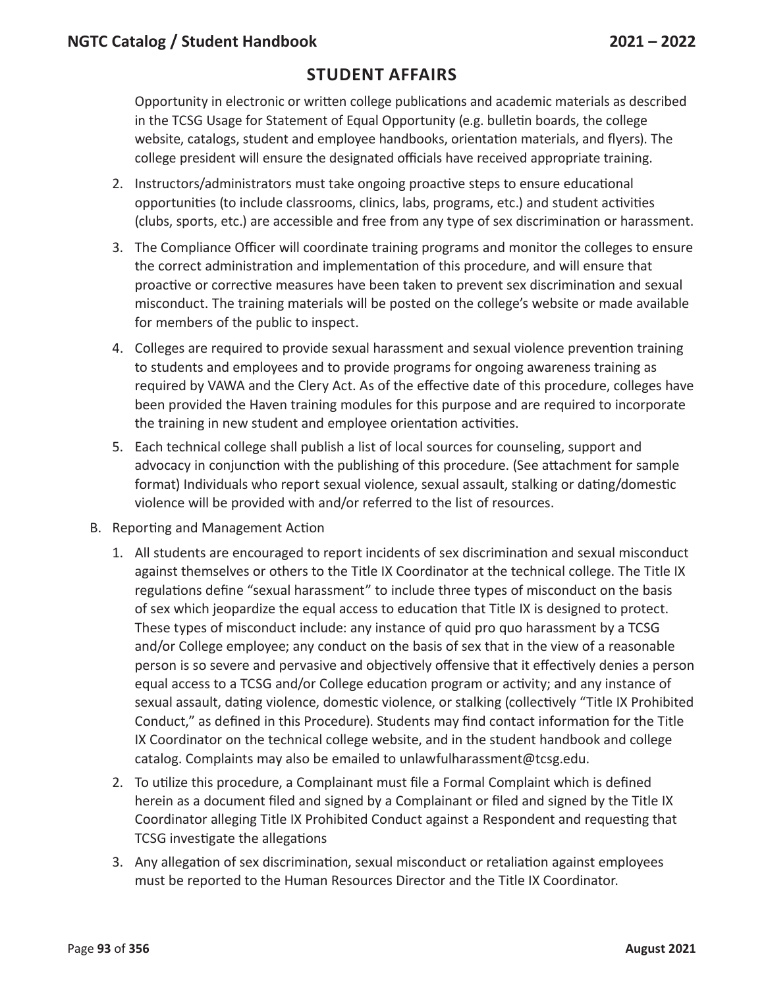Opportunity in electronic or written college publications and academic materials as described in the TCSG Usage for Statement of Equal Opportunity (e.g. bulletin boards, the college website, catalogs, student and employee handbooks, orientation materials, and flyers). The college president will ensure the designated officials have received appropriate training.

- 2. Instructors/administrators must take ongoing proactive steps to ensure educational opportunities (to include classrooms, clinics, labs, programs, etc.) and student activities (clubs, sports, etc.) are accessible and free from any type of sex discrimination or harassment.
- 3. The Compliance Officer will coordinate training programs and monitor the colleges to ensure the correct administration and implementation of this procedure, and will ensure that proactive or corrective measures have been taken to prevent sex discrimination and sexual misconduct. The training materials will be posted on the college's website or made available for members of the public to inspect.
- 4. Colleges are required to provide sexual harassment and sexual violence prevention training to students and employees and to provide programs for ongoing awareness training as required by VAWA and the Clery Act. As of the effective date of this procedure, colleges have been provided the Haven training modules for this purpose and are required to incorporate the training in new student and employee orientation activities.
- 5. Each technical college shall publish a list of local sources for counseling, support and advocacy in conjunction with the publishing of this procedure. (See attachment for sample format) Individuals who report sexual violence, sexual assault, stalking or dating/domestic violence will be provided with and/or referred to the list of resources.
- B. Reporting and Management Action
	- 1. All students are encouraged to report incidents of sex discrimination and sexual misconduct against themselves or others to the Title IX Coordinator at the technical college. The Title IX regulations define "sexual harassment" to include three types of misconduct on the basis of sex which jeopardize the equal access to education that Title IX is designed to protect. These types of misconduct include: any instance of quid pro quo harassment by a TCSG and/or College employee; any conduct on the basis of sex that in the view of a reasonable person is so severe and pervasive and objectively offensive that it effectively denies a person equal access to a TCSG and/or College education program or activity; and any instance of sexual assault, dating violence, domestic violence, or stalking (collectively "Title IX Prohibited Conduct," as defined in this Procedure). Students may find contact information for the Title IX Coordinator on the technical college website, and in the student handbook and college catalog. Complaints may also be emailed to unlawfulharassment@tcsg.edu.
	- 2. To utilize this procedure, a Complainant must file a Formal Complaint which is defined herein as a document filed and signed by a Complainant or filed and signed by the Title IX Coordinator alleging Title IX Prohibited Conduct against a Respondent and requesting that TCSG investigate the allegations
	- 3. Any allegation of sex discrimination, sexual misconduct or retaliation against employees must be reported to the Human Resources Director and the Title IX Coordinator.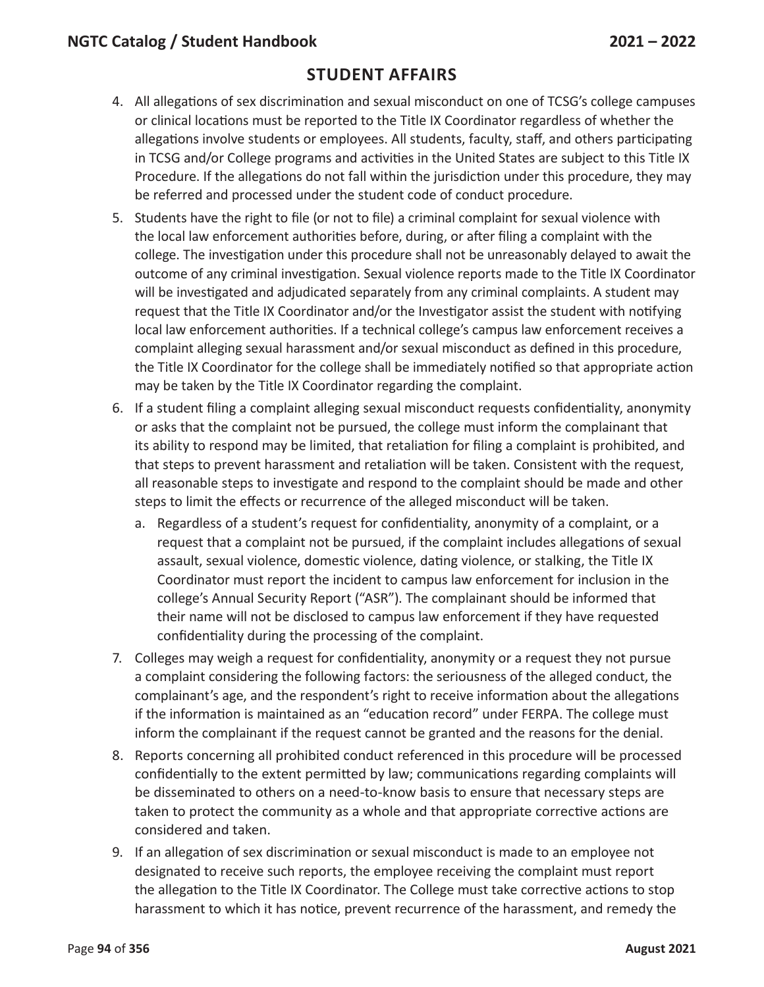- 4. All allegations of sex discrimination and sexual misconduct on one of TCSG's college campuses or clinical locations must be reported to the Title IX Coordinator regardless of whether the allegations involve students or employees. All students, faculty, staff, and others participating in TCSG and/or College programs and activities in the United States are subject to this Title IX Procedure. If the allegations do not fall within the jurisdiction under this procedure, they may be referred and processed under the student code of conduct procedure.
- 5. Students have the right to file (or not to file) a criminal complaint for sexual violence with the local law enforcement authorities before, during, or after filing a complaint with the college. The investigation under this procedure shall not be unreasonably delayed to await the outcome of any criminal investigation. Sexual violence reports made to the Title IX Coordinator will be investigated and adjudicated separately from any criminal complaints. A student may request that the Title IX Coordinator and/or the Investigator assist the student with notifying local law enforcement authorities. If a technical college's campus law enforcement receives a complaint alleging sexual harassment and/or sexual misconduct as defined in this procedure, the Title IX Coordinator for the college shall be immediately notified so that appropriate action may be taken by the Title IX Coordinator regarding the complaint.
- 6. If a student filing a complaint alleging sexual misconduct requests confidentiality, anonymity or asks that the complaint not be pursued, the college must inform the complainant that its ability to respond may be limited, that retaliation for filing a complaint is prohibited, and that steps to prevent harassment and retaliation will be taken. Consistent with the request, all reasonable steps to investigate and respond to the complaint should be made and other steps to limit the effects or recurrence of the alleged misconduct will be taken.
	- a. Regardless of a student's request for confidentiality, anonymity of a complaint, or a request that a complaint not be pursued, if the complaint includes allegations of sexual assault, sexual violence, domestic violence, dating violence, or stalking, the Title IX Coordinator must report the incident to campus law enforcement for inclusion in the college's Annual Security Report ("ASR"). The complainant should be informed that their name will not be disclosed to campus law enforcement if they have requested confidentiality during the processing of the complaint.
- 7. Colleges may weigh a request for confidentiality, anonymity or a request they not pursue a complaint considering the following factors: the seriousness of the alleged conduct, the complainant's age, and the respondent's right to receive information about the allegations if the information is maintained as an "education record" under FERPA. The college must inform the complainant if the request cannot be granted and the reasons for the denial.
- 8. Reports concerning all prohibited conduct referenced in this procedure will be processed confidentially to the extent permitted by law; communications regarding complaints will be disseminated to others on a need-to-know basis to ensure that necessary steps are taken to protect the community as a whole and that appropriate corrective actions are considered and taken.
- 9. If an allegation of sex discrimination or sexual misconduct is made to an employee not designated to receive such reports, the employee receiving the complaint must report the allegation to the Title IX Coordinator. The College must take corrective actions to stop harassment to which it has notice, prevent recurrence of the harassment, and remedy the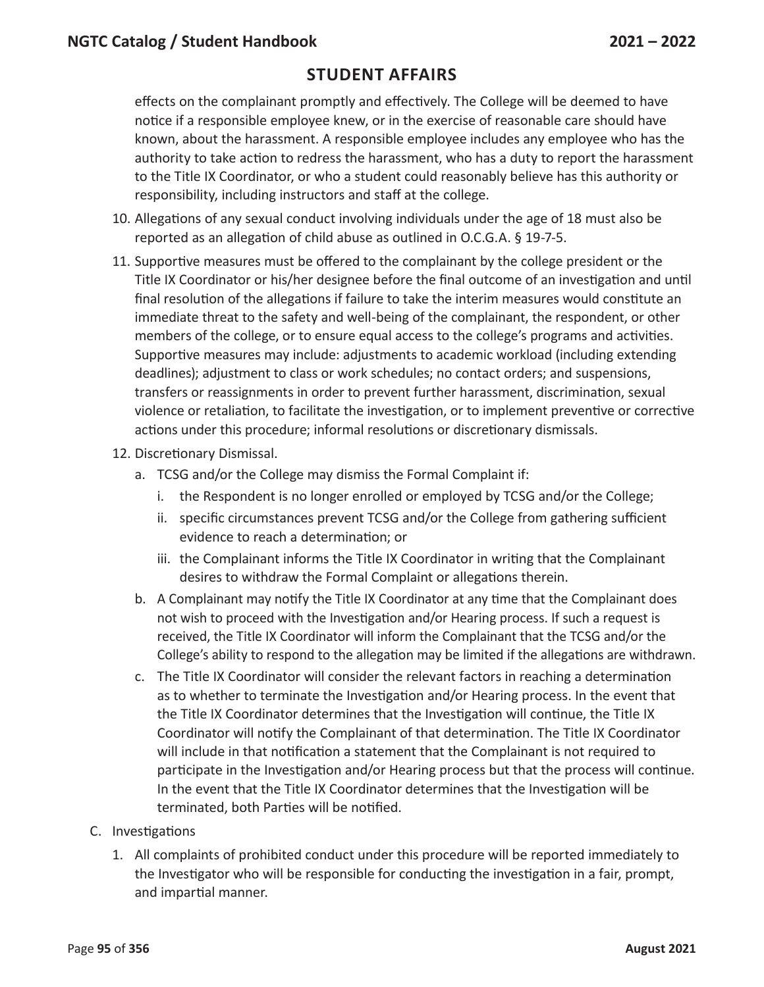effects on the complainant promptly and effectively. The College will be deemed to have notice if a responsible employee knew, or in the exercise of reasonable care should have known, about the harassment. A responsible employee includes any employee who has the authority to take action to redress the harassment, who has a duty to report the harassment to the Title IX Coordinator, or who a student could reasonably believe has this authority or responsibility, including instructors and staff at the college.

- 10. Allegations of any sexual conduct involving individuals under the age of 18 must also be reported as an allegation of child abuse as outlined in O.C.G.A. § 19-7-5.
- 11. Supportive measures must be offered to the complainant by the college president or the Title IX Coordinator or his/her designee before the final outcome of an investigation and until final resolution of the allegations if failure to take the interim measures would constitute an immediate threat to the safety and well-being of the complainant, the respondent, or other members of the college, or to ensure equal access to the college's programs and activities. Supportive measures may include: adjustments to academic workload (including extending deadlines); adjustment to class or work schedules; no contact orders; and suspensions, transfers or reassignments in order to prevent further harassment, discrimination, sexual violence or retaliation, to facilitate the investigation, or to implement preventive or corrective actions under this procedure; informal resolutions or discretionary dismissals.
- 12. Discretionary Dismissal.
	- a. TCSG and/or the College may dismiss the Formal Complaint if:
		- i. the Respondent is no longer enrolled or employed by TCSG and/or the College;
		- ii. specific circumstances prevent TCSG and/or the College from gathering sufficient evidence to reach a determination; or
		- iii. the Complainant informs the Title IX Coordinator in writing that the Complainant desires to withdraw the Formal Complaint or allegations therein.
	- b. A Complainant may notify the Title IX Coordinator at any time that the Complainant does not wish to proceed with the Investigation and/or Hearing process. If such a request is received, the Title IX Coordinator will inform the Complainant that the TCSG and/or the College's ability to respond to the allegation may be limited if the allegations are withdrawn.
	- c. The Title IX Coordinator will consider the relevant factors in reaching a determination as to whether to terminate the Investigation and/or Hearing process. In the event that the Title IX Coordinator determines that the Investigation will continue, the Title IX Coordinator will notify the Complainant of that determination. The Title IX Coordinator will include in that notification a statement that the Complainant is not required to participate in the Investigation and/or Hearing process but that the process will continue. In the event that the Title IX Coordinator determines that the Investigation will be terminated, both Parties will be notified.
- C. Investigations
	- 1. All complaints of prohibited conduct under this procedure will be reported immediately to the Investigator who will be responsible for conducting the investigation in a fair, prompt, and impartial manner.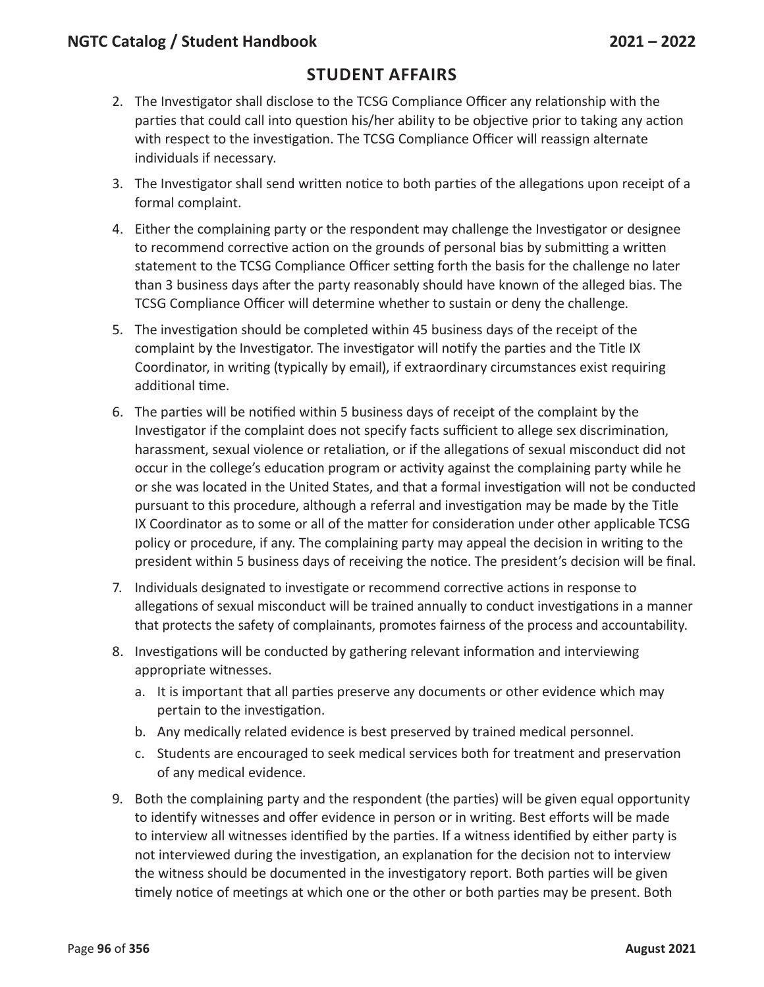### **Student Affairs**

- 2. The Investigator shall disclose to the TCSG Compliance Officer any relationship with the parties that could call into question his/her ability to be objective prior to taking any action with respect to the investigation. The TCSG Compliance Officer will reassign alternate individuals if necessary.
- 3. The Investigator shall send written notice to both parties of the allegations upon receipt of a formal complaint.
- 4. Either the complaining party or the respondent may challenge the Investigator or designee to recommend corrective action on the grounds of personal bias by submitting a written statement to the TCSG Compliance Officer setting forth the basis for the challenge no later than 3 business days after the party reasonably should have known of the alleged bias. The TCSG Compliance Officer will determine whether to sustain or deny the challenge.
- 5. The investigation should be completed within 45 business days of the receipt of the complaint by the Investigator. The investigator will notify the parties and the Title IX Coordinator, in writing (typically by email), if extraordinary circumstances exist requiring additional time.
- 6. The parties will be notified within 5 business days of receipt of the complaint by the Investigator if the complaint does not specify facts sufficient to allege sex discrimination, harassment, sexual violence or retaliation, or if the allegations of sexual misconduct did not occur in the college's education program or activity against the complaining party while he or she was located in the United States, and that a formal investigation will not be conducted pursuant to this procedure, although a referral and investigation may be made by the Title IX Coordinator as to some or all of the matter for consideration under other applicable TCSG policy or procedure, if any. The complaining party may appeal the decision in writing to the president within 5 business days of receiving the notice. The president's decision will be final.
- 7. Individuals designated to investigate or recommend corrective actions in response to allegations of sexual misconduct will be trained annually to conduct investigations in a manner that protects the safety of complainants, promotes fairness of the process and accountability.
- 8. Investigations will be conducted by gathering relevant information and interviewing appropriate witnesses.
	- a. It is important that all parties preserve any documents or other evidence which may pertain to the investigation.
	- b. Any medically related evidence is best preserved by trained medical personnel.
	- c. Students are encouraged to seek medical services both for treatment and preservation of any medical evidence.
- 9. Both the complaining party and the respondent (the parties) will be given equal opportunity to identify witnesses and offer evidence in person or in writing. Best efforts will be made to interview all witnesses identified by the parties. If a witness identified by either party is not interviewed during the investigation, an explanation for the decision not to interview the witness should be documented in the investigatory report. Both parties will be given timely notice of meetings at which one or the other or both parties may be present. Both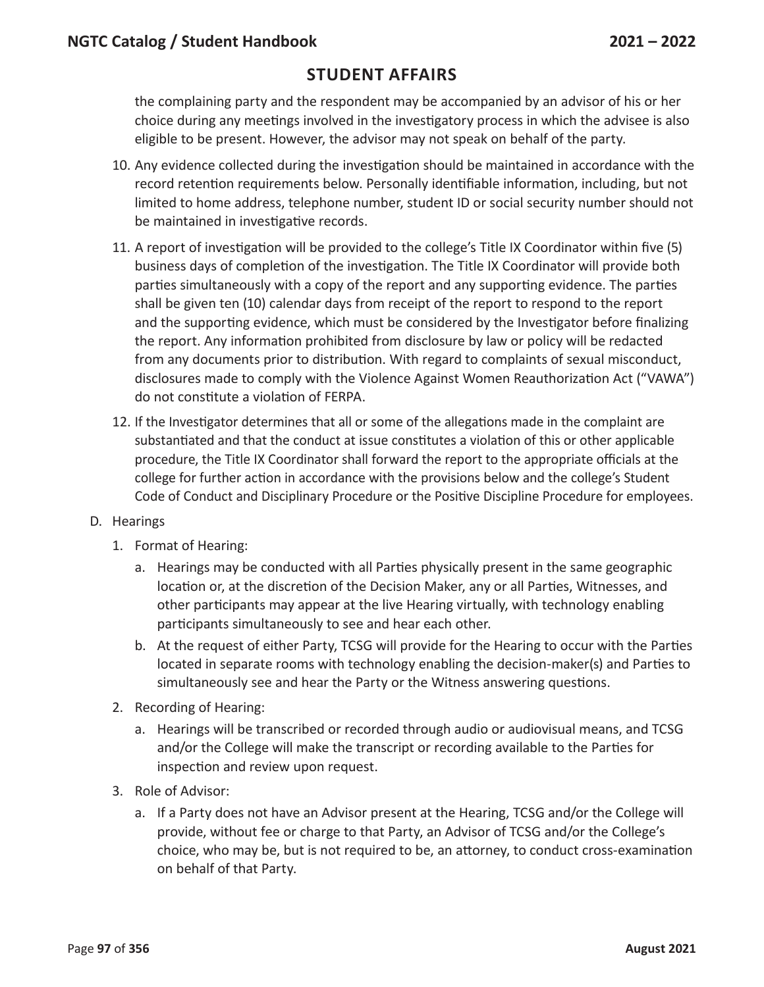the complaining party and the respondent may be accompanied by an advisor of his or her choice during any meetings involved in the investigatory process in which the advisee is also eligible to be present. However, the advisor may not speak on behalf of the party.

- 10. Any evidence collected during the investigation should be maintained in accordance with the record retention requirements below. Personally identifiable information, including, but not limited to home address, telephone number, student ID or social security number should not be maintained in investigative records.
- 11. A report of investigation will be provided to the college's Title IX Coordinator within five (5) business days of completion of the investigation. The Title IX Coordinator will provide both parties simultaneously with a copy of the report and any supporting evidence. The parties shall be given ten (10) calendar days from receipt of the report to respond to the report and the supporting evidence, which must be considered by the Investigator before finalizing the report. Any information prohibited from disclosure by law or policy will be redacted from any documents prior to distribution. With regard to complaints of sexual misconduct, disclosures made to comply with the Violence Against Women Reauthorization Act ("VAWA") do not constitute a violation of FERPA.
- 12. If the Investigator determines that all or some of the allegations made in the complaint are substantiated and that the conduct at issue constitutes a violation of this or other applicable procedure, the Title IX Coordinator shall forward the report to the appropriate officials at the college for further action in accordance with the provisions below and the college's Student Code of Conduct and Disciplinary Procedure or the Positive Discipline Procedure for employees.
- D. Hearings
	- 1. Format of Hearing:
		- a. Hearings may be conducted with all Parties physically present in the same geographic location or, at the discretion of the Decision Maker, any or all Parties, Witnesses, and other participants may appear at the live Hearing virtually, with technology enabling participants simultaneously to see and hear each other.
		- b. At the request of either Party, TCSG will provide for the Hearing to occur with the Parties located in separate rooms with technology enabling the decision-maker(s) and Parties to simultaneously see and hear the Party or the Witness answering questions.
	- 2. Recording of Hearing:
		- a. Hearings will be transcribed or recorded through audio or audiovisual means, and TCSG and/or the College will make the transcript or recording available to the Parties for inspection and review upon request.
	- 3. Role of Advisor:
		- a. If a Party does not have an Advisor present at the Hearing, TCSG and/or the College will provide, without fee or charge to that Party, an Advisor of TCSG and/or the College's choice, who may be, but is not required to be, an attorney, to conduct cross-examination on behalf of that Party.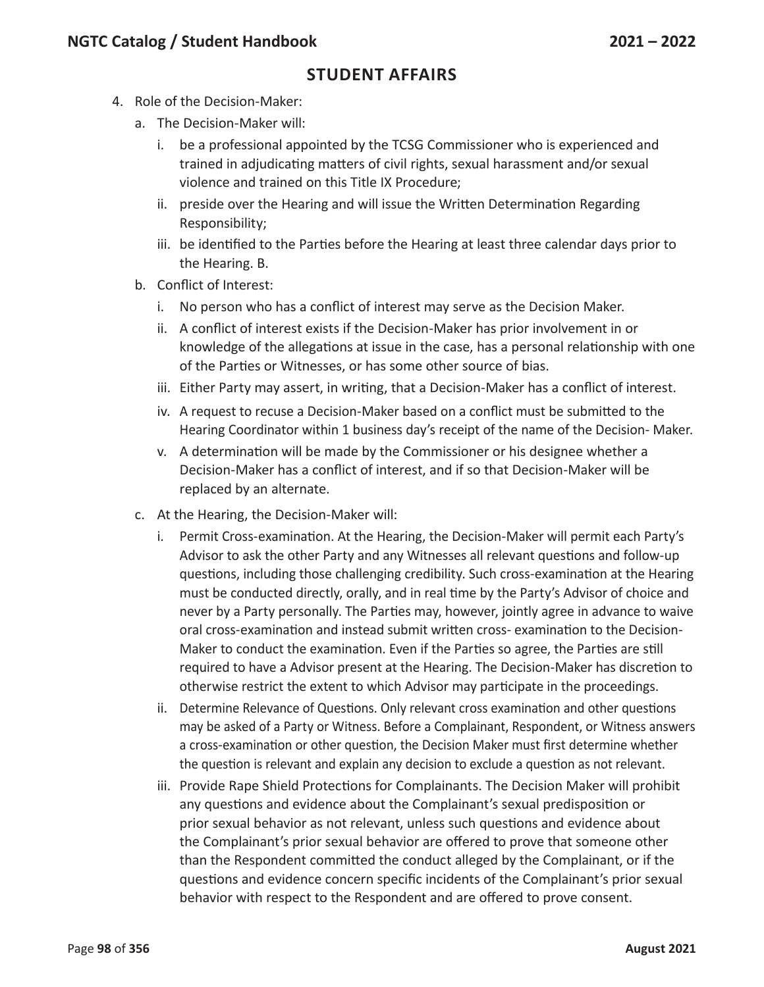- 4. Role of the Decision-Maker:
	- a. The Decision-Maker will:
		- i. be a professional appointed by the TCSG Commissioner who is experienced and trained in adjudicating matters of civil rights, sexual harassment and/or sexual violence and trained on this Title IX Procedure;
		- ii. preside over the Hearing and will issue the Written Determination Regarding Responsibility;
		- iii. be identified to the Parties before the Hearing at least three calendar days prior to the Hearing. B.
	- b. Conflict of Interest:
		- i. No person who has a conflict of interest may serve as the Decision Maker.
		- ii. A conflict of interest exists if the Decision-Maker has prior involvement in or knowledge of the allegations at issue in the case, has a personal relationship with one of the Parties or Witnesses, or has some other source of bias.
		- iii. Either Party may assert, in writing, that a Decision-Maker has a conflict of interest.
		- iv. A request to recuse a Decision-Maker based on a conflict must be submitted to the Hearing Coordinator within 1 business day's receipt of the name of the Decision- Maker.
		- v. A determination will be made by the Commissioner or his designee whether a Decision-Maker has a conflict of interest, and if so that Decision-Maker will be replaced by an alternate.
	- c. At the Hearing, the Decision-Maker will:
		- i. Permit Cross-examination. At the Hearing, the Decision-Maker will permit each Party's Advisor to ask the other Party and any Witnesses all relevant questions and follow-up questions, including those challenging credibility. Such cross-examination at the Hearing must be conducted directly, orally, and in real time by the Party's Advisor of choice and never by a Party personally. The Parties may, however, jointly agree in advance to waive oral cross-examination and instead submit written cross- examination to the Decision-Maker to conduct the examination. Even if the Parties so agree, the Parties are still required to have a Advisor present at the Hearing. The Decision-Maker has discretion to otherwise restrict the extent to which Advisor may participate in the proceedings.
		- ii. Determine Relevance of Questions. Only relevant cross examination and other questions may be asked of a Party or Witness. Before a Complainant, Respondent, or Witness answers a cross-examination or other question, the Decision Maker must first determine whether the question is relevant and explain any decision to exclude a question as not relevant.
		- iii. Provide Rape Shield Protections for Complainants. The Decision Maker will prohibit any questions and evidence about the Complainant's sexual predisposition or prior sexual behavior as not relevant, unless such questions and evidence about the Complainant's prior sexual behavior are offered to prove that someone other than the Respondent committed the conduct alleged by the Complainant, or if the questions and evidence concern specific incidents of the Complainant's prior sexual behavior with respect to the Respondent and are offered to prove consent.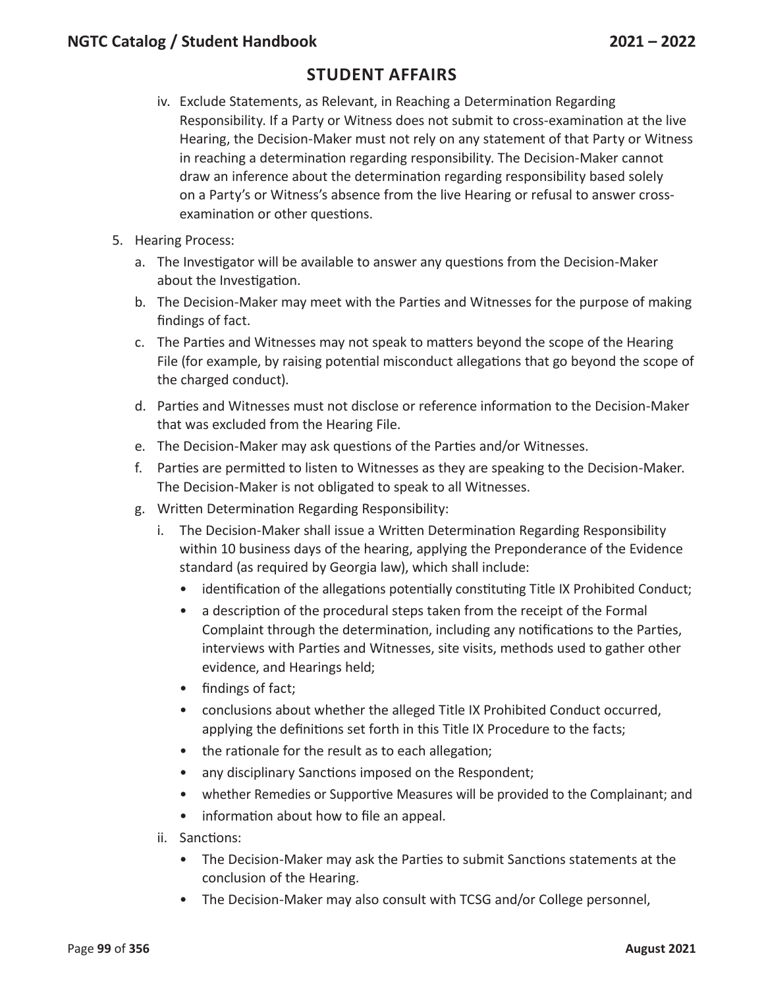- iv. Exclude Statements, as Relevant, in Reaching a Determination Regarding Responsibility. If a Party or Witness does not submit to cross-examination at the live Hearing, the Decision-Maker must not rely on any statement of that Party or Witness in reaching a determination regarding responsibility. The Decision-Maker cannot draw an inference about the determination regarding responsibility based solely on a Party's or Witness's absence from the live Hearing or refusal to answer crossexamination or other questions.
- 5. Hearing Process:
	- a. The Investigator will be available to answer any questions from the Decision-Maker about the Investigation.
	- b. The Decision-Maker may meet with the Parties and Witnesses for the purpose of making findings of fact.
	- c. The Parties and Witnesses may not speak to matters beyond the scope of the Hearing File (for example, by raising potential misconduct allegations that go beyond the scope of the charged conduct).
	- d. Parties and Witnesses must not disclose or reference information to the Decision-Maker that was excluded from the Hearing File.
	- e. The Decision-Maker may ask questions of the Parties and/or Witnesses.
	- f. Parties are permitted to listen to Witnesses as they are speaking to the Decision-Maker. The Decision-Maker is not obligated to speak to all Witnesses.
	- g. Written Determination Regarding Responsibility:
		- i. The Decision-Maker shall issue a Written Determination Regarding Responsibility within 10 business days of the hearing, applying the Preponderance of the Evidence standard (as required by Georgia law), which shall include:
			- identification of the allegations potentially constituting Title IX Prohibited Conduct;
			- a description of the procedural steps taken from the receipt of the Formal Complaint through the determination, including any notifications to the Parties, interviews with Parties and Witnesses, site visits, methods used to gather other evidence, and Hearings held;
			- findings of fact;
			- conclusions about whether the alleged Title IX Prohibited Conduct occurred, applying the definitions set forth in this Title IX Procedure to the facts;
			- the rationale for the result as to each allegation;
			- any disciplinary Sanctions imposed on the Respondent;
			- whether Remedies or Supportive Measures will be provided to the Complainant; and
			- information about how to file an appeal.
		- ii. Sanctions:
			- The Decision-Maker may ask the Parties to submit Sanctions statements at the conclusion of the Hearing.
			- The Decision-Maker may also consult with TCSG and/or College personnel,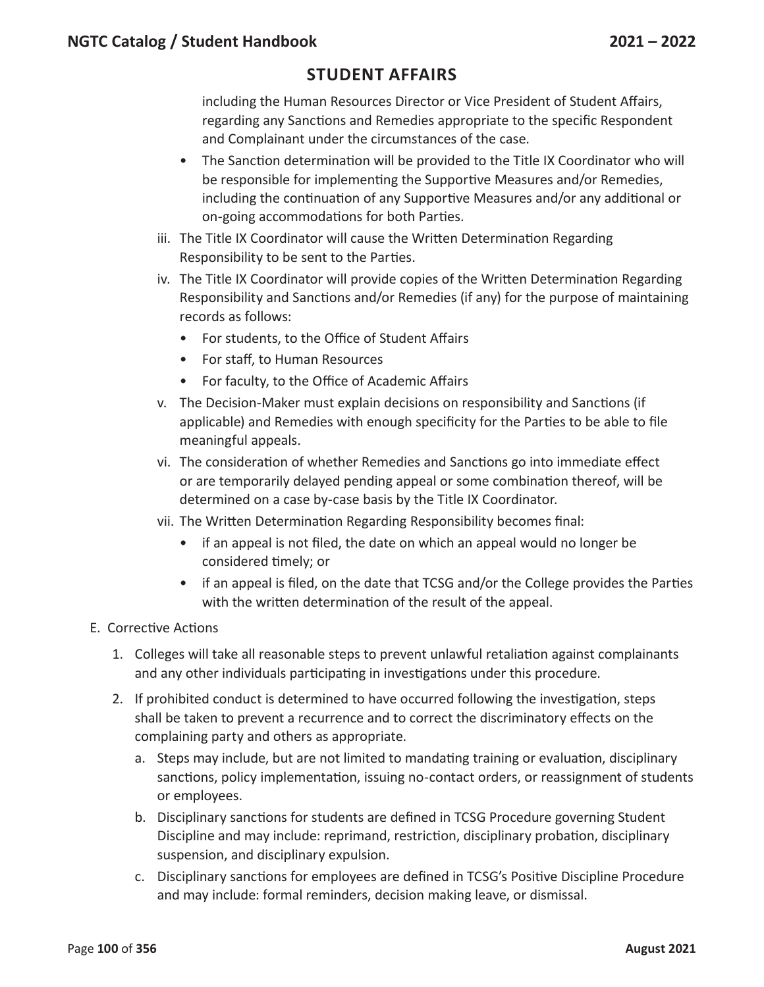including the Human Resources Director or Vice President of Student Affairs, regarding any Sanctions and Remedies appropriate to the specific Respondent and Complainant under the circumstances of the case.

- The Sanction determination will be provided to the Title IX Coordinator who will be responsible for implementing the Supportive Measures and/or Remedies, including the continuation of any Supportive Measures and/or any additional or on-going accommodations for both Parties.
- iii. The Title IX Coordinator will cause the Written Determination Regarding Responsibility to be sent to the Parties.
- iv. The Title IX Coordinator will provide copies of the Written Determination Regarding Responsibility and Sanctions and/or Remedies (if any) for the purpose of maintaining records as follows:
	- For students, to the Office of Student Affairs
	- For staff, to Human Resources
	- For faculty, to the Office of Academic Affairs
- v. The Decision-Maker must explain decisions on responsibility and Sanctions (if applicable) and Remedies with enough specificity for the Parties to be able to file meaningful appeals.
- vi. The consideration of whether Remedies and Sanctions go into immediate effect or are temporarily delayed pending appeal or some combination thereof, will be determined on a case by-case basis by the Title IX Coordinator.
- vii. The Written Determination Regarding Responsibility becomes final:
	- if an appeal is not filed, the date on which an appeal would no longer be considered timely; or
	- if an appeal is filed, on the date that TCSG and/or the College provides the Parties with the written determination of the result of the appeal.
- E. Corrective Actions
	- 1. Colleges will take all reasonable steps to prevent unlawful retaliation against complainants and any other individuals participating in investigations under this procedure.
	- 2. If prohibited conduct is determined to have occurred following the investigation, steps shall be taken to prevent a recurrence and to correct the discriminatory effects on the complaining party and others as appropriate.
		- a. Steps may include, but are not limited to mandating training or evaluation, disciplinary sanctions, policy implementation, issuing no-contact orders, or reassignment of students or employees.
		- b. Disciplinary sanctions for students are defined in TCSG Procedure governing Student Discipline and may include: reprimand, restriction, disciplinary probation, disciplinary suspension, and disciplinary expulsion.
		- c. Disciplinary sanctions for employees are defined in TCSG's Positive Discipline Procedure and may include: formal reminders, decision making leave, or dismissal.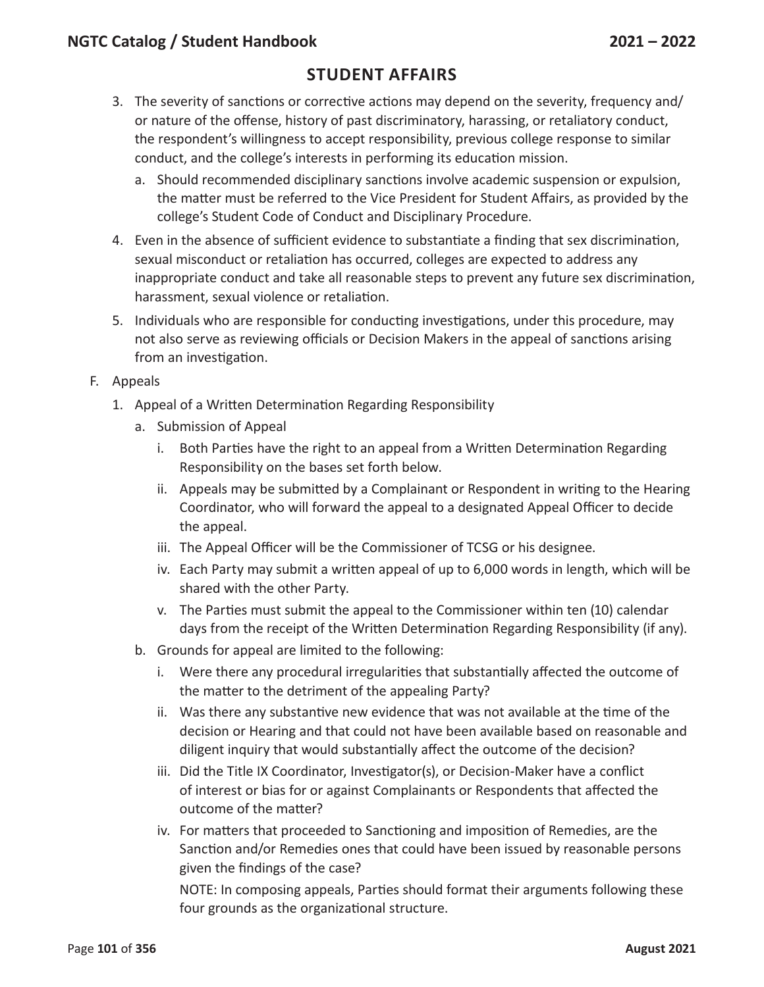### **Student Affairs**

- 3. The severity of sanctions or corrective actions may depend on the severity, frequency and/ or nature of the offense, history of past discriminatory, harassing, or retaliatory conduct, the respondent's willingness to accept responsibility, previous college response to similar conduct, and the college's interests in performing its education mission.
	- a. Should recommended disciplinary sanctions involve academic suspension or expulsion, the matter must be referred to the Vice President for Student Affairs, as provided by the college's Student Code of Conduct and Disciplinary Procedure.
- 4. Even in the absence of sufficient evidence to substantiate a finding that sex discrimination, sexual misconduct or retaliation has occurred, colleges are expected to address any inappropriate conduct and take all reasonable steps to prevent any future sex discrimination, harassment, sexual violence or retaliation.
- 5. Individuals who are responsible for conducting investigations, under this procedure, may not also serve as reviewing officials or Decision Makers in the appeal of sanctions arising from an investigation.
- F. Appeals
	- 1. Appeal of a Written Determination Regarding Responsibility
		- a. Submission of Appeal
			- i. Both Parties have the right to an appeal from a Written Determination Regarding Responsibility on the bases set forth below.
			- ii. Appeals may be submitted by a Complainant or Respondent in writing to the Hearing Coordinator, who will forward the appeal to a designated Appeal Officer to decide the appeal.
			- iii. The Appeal Officer will be the Commissioner of TCSG or his designee.
			- iv. Each Party may submit a written appeal of up to 6,000 words in length, which will be shared with the other Party.
			- v. The Parties must submit the appeal to the Commissioner within ten (10) calendar days from the receipt of the Written Determination Regarding Responsibility (if any).
		- b. Grounds for appeal are limited to the following:
			- i. Were there any procedural irregularities that substantially affected the outcome of the matter to the detriment of the appealing Party?
			- ii. Was there any substantive new evidence that was not available at the time of the decision or Hearing and that could not have been available based on reasonable and diligent inquiry that would substantially affect the outcome of the decision?
			- iii. Did the Title IX Coordinator, Investigator(s), or Decision-Maker have a conflict of interest or bias for or against Complainants or Respondents that affected the outcome of the matter?
			- iv. For matters that proceeded to Sanctioning and imposition of Remedies, are the Sanction and/or Remedies ones that could have been issued by reasonable persons given the findings of the case?

NOTE: In composing appeals, Parties should format their arguments following these four grounds as the organizational structure.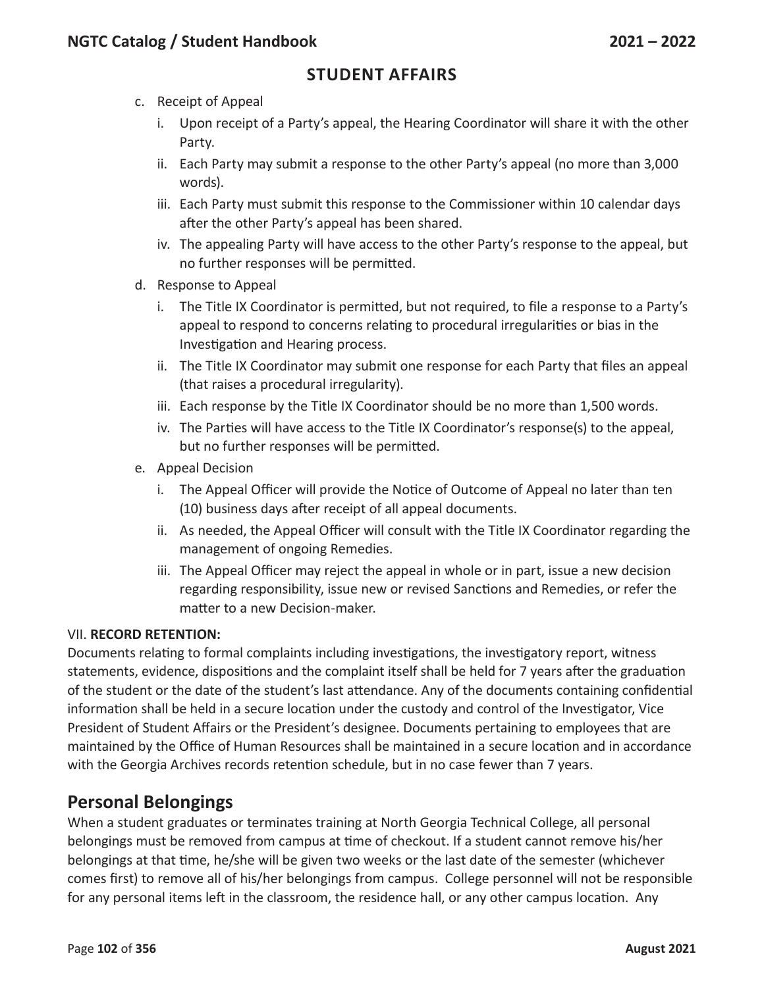- c. Receipt of Appeal
	- i. Upon receipt of a Party's appeal, the Hearing Coordinator will share it with the other Party.
	- ii. Each Party may submit a response to the other Party's appeal (no more than 3,000 words).
	- iii. Each Party must submit this response to the Commissioner within 10 calendar days after the other Party's appeal has been shared.
	- iv. The appealing Party will have access to the other Party's response to the appeal, but no further responses will be permitted.
- d. Response to Appeal
	- i. The Title IX Coordinator is permitted, but not required, to file a response to a Party's appeal to respond to concerns relating to procedural irregularities or bias in the Investigation and Hearing process.
	- ii. The Title IX Coordinator may submit one response for each Party that files an appeal (that raises a procedural irregularity).
	- iii. Each response by the Title IX Coordinator should be no more than 1,500 words.
	- iv. The Parties will have access to the Title IX Coordinator's response(s) to the appeal, but no further responses will be permitted.
- e. Appeal Decision
	- i. The Appeal Officer will provide the Notice of Outcome of Appeal no later than ten (10) business days after receipt of all appeal documents.
	- ii. As needed, the Appeal Officer will consult with the Title IX Coordinator regarding the management of ongoing Remedies.
	- iii. The Appeal Officer may reject the appeal in whole or in part, issue a new decision regarding responsibility, issue new or revised Sanctions and Remedies, or refer the matter to a new Decision-maker.

#### VII. **RECORD RETENTION:**

Documents relating to formal complaints including investigations, the investigatory report, witness statements, evidence, dispositions and the complaint itself shall be held for 7 years after the graduation of the student or the date of the student's last attendance. Any of the documents containing confidential information shall be held in a secure location under the custody and control of the Investigator, Vice President of Student Affairs or the President's designee. Documents pertaining to employees that are maintained by the Office of Human Resources shall be maintained in a secure location and in accordance with the Georgia Archives records retention schedule, but in no case fewer than 7 years.

## **Personal Belongings**

When a student graduates or terminates training at North Georgia Technical College, all personal belongings must be removed from campus at time of checkout. If a student cannot remove his/her belongings at that time, he/she will be given two weeks or the last date of the semester (whichever comes first) to remove all of his/her belongings from campus. College personnel will not be responsible for any personal items left in the classroom, the residence hall, or any other campus location. Any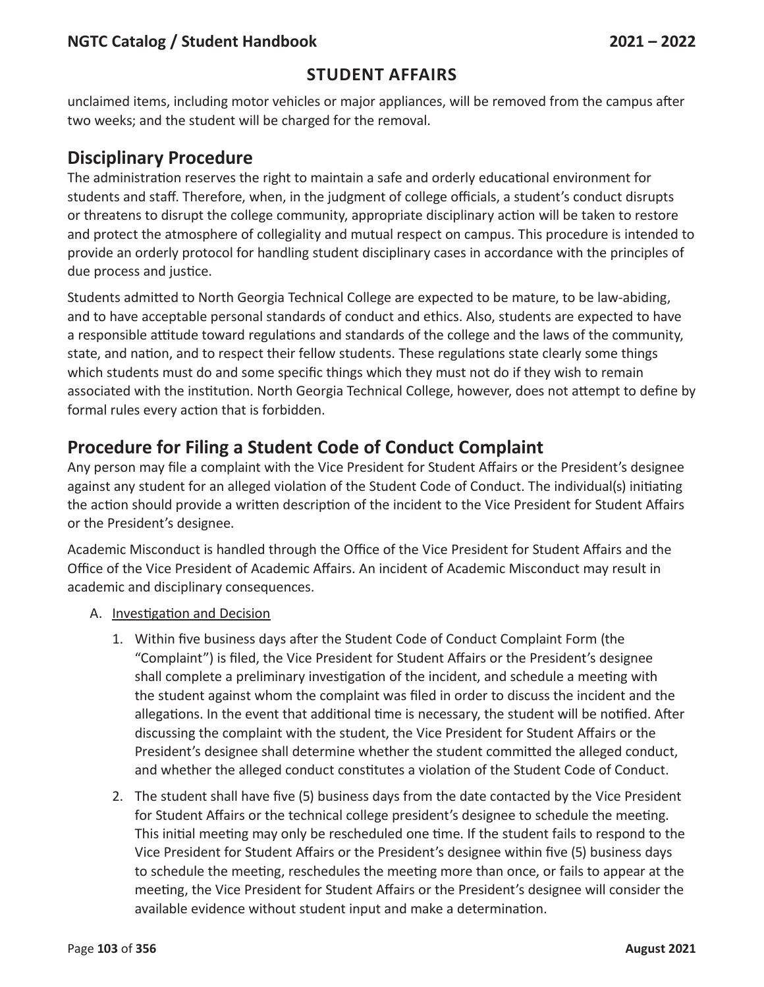### **Student Affairs**

unclaimed items, including motor vehicles or major appliances, will be removed from the campus after two weeks; and the student will be charged for the removal.

## **Disciplinary Procedure**

The administration reserves the right to maintain a safe and orderly educational environment for students and staff. Therefore, when, in the judgment of college officials, a student's conduct disrupts or threatens to disrupt the college community, appropriate disciplinary action will be taken to restore and protect the atmosphere of collegiality and mutual respect on campus. This procedure is intended to provide an orderly protocol for handling student disciplinary cases in accordance with the principles of due process and justice.

Students admitted to North Georgia Technical College are expected to be mature, to be law-abiding, and to have acceptable personal standards of conduct and ethics. Also, students are expected to have a responsible attitude toward regulations and standards of the college and the laws of the community, state, and nation, and to respect their fellow students. These regulations state clearly some things which students must do and some specific things which they must not do if they wish to remain associated with the institution. North Georgia Technical College, however, does not attempt to define by formal rules every action that is forbidden.

## **Procedure for Filing a Student Code of Conduct Complaint**

Any person may file a complaint with the Vice President for Student Affairs or the President's designee against any student for an alleged violation of the Student Code of Conduct. The individual(s) initiating the action should provide a written description of the incident to the Vice President for Student Affairs or the President's designee.

Academic Misconduct is handled through the Office of the Vice President for Student Affairs and the Office of the Vice President of Academic Affairs. An incident of Academic Misconduct may result in academic and disciplinary consequences.

#### A. Investigation and Decision

- 1. Within five business days after the Student Code of Conduct Complaint Form (the "Complaint") is filed, the Vice President for Student Affairs or the President's designee shall complete a preliminary investigation of the incident, and schedule a meeting with the student against whom the complaint was filed in order to discuss the incident and the allegations. In the event that additional time is necessary, the student will be notified. After discussing the complaint with the student, the Vice President for Student Affairs or the President's designee shall determine whether the student committed the alleged conduct, and whether the alleged conduct constitutes a violation of the Student Code of Conduct.
- 2. The student shall have five (5) business days from the date contacted by the Vice President for Student Affairs or the technical college president's designee to schedule the meeting. This initial meeting may only be rescheduled one time. If the student fails to respond to the Vice President for Student Affairs or the President's designee within five (5) business days to schedule the meeting, reschedules the meeting more than once, or fails to appear at the meeting, the Vice President for Student Affairs or the President's designee will consider the available evidence without student input and make a determination.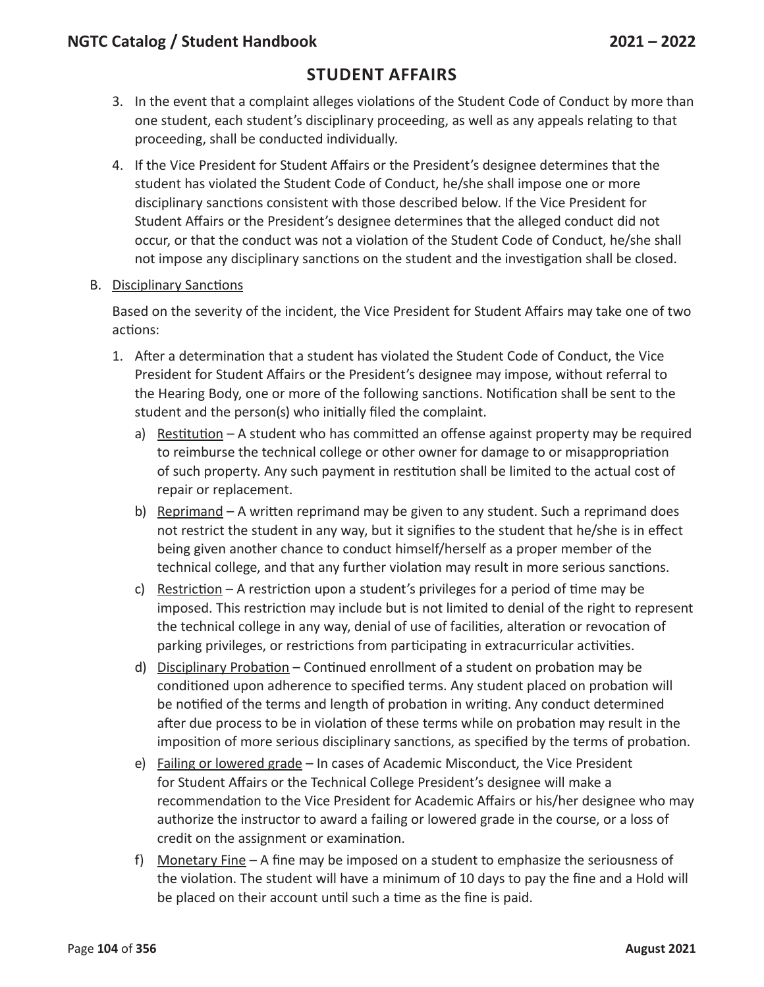### **Student Affairs**

- 3. In the event that a complaint alleges violations of the Student Code of Conduct by more than one student, each student's disciplinary proceeding, as well as any appeals relating to that proceeding, shall be conducted individually.
- 4. If the Vice President for Student Affairs or the President's designee determines that the student has violated the Student Code of Conduct, he/she shall impose one or more disciplinary sanctions consistent with those described below. If the Vice President for Student Affairs or the President's designee determines that the alleged conduct did not occur, or that the conduct was not a violation of the Student Code of Conduct, he/she shall not impose any disciplinary sanctions on the student and the investigation shall be closed.
- B. Disciplinary Sanctions

Based on the severity of the incident, the Vice President for Student Affairs may take one of two actions:

- 1. After a determination that a student has violated the Student Code of Conduct, the Vice President for Student Affairs or the President's designee may impose, without referral to the Hearing Body, one or more of the following sanctions. Notification shall be sent to the student and the person(s) who initially filed the complaint.
	- a) Restitution A student who has committed an offense against property may be required to reimburse the technical college or other owner for damage to or misappropriation of such property. Any such payment in restitution shall be limited to the actual cost of repair or replacement.
	- b) Reprimand A written reprimand may be given to any student. Such a reprimand does not restrict the student in any way, but it signifies to the student that he/she is in effect being given another chance to conduct himself/herself as a proper member of the technical college, and that any further violation may result in more serious sanctions.
	- c) Restriction A restriction upon a student's privileges for a period of time may be imposed. This restriction may include but is not limited to denial of the right to represent the technical college in any way, denial of use of facilities, alteration or revocation of parking privileges, or restrictions from participating in extracurricular activities.
	- d) Disciplinary Probation Continued enrollment of a student on probation may be conditioned upon adherence to specified terms. Any student placed on probation will be notified of the terms and length of probation in writing. Any conduct determined after due process to be in violation of these terms while on probation may result in the imposition of more serious disciplinary sanctions, as specified by the terms of probation.
	- e) Failing or lowered grade In cases of Academic Misconduct, the Vice President for Student Affairs or the Technical College President's designee will make a recommendation to the Vice President for Academic Affairs or his/her designee who may authorize the instructor to award a failing or lowered grade in the course, or a loss of credit on the assignment or examination.
	- f) Monetary Fine A fine may be imposed on a student to emphasize the seriousness of the violation. The student will have a minimum of 10 days to pay the fine and a Hold will be placed on their account until such a time as the fine is paid.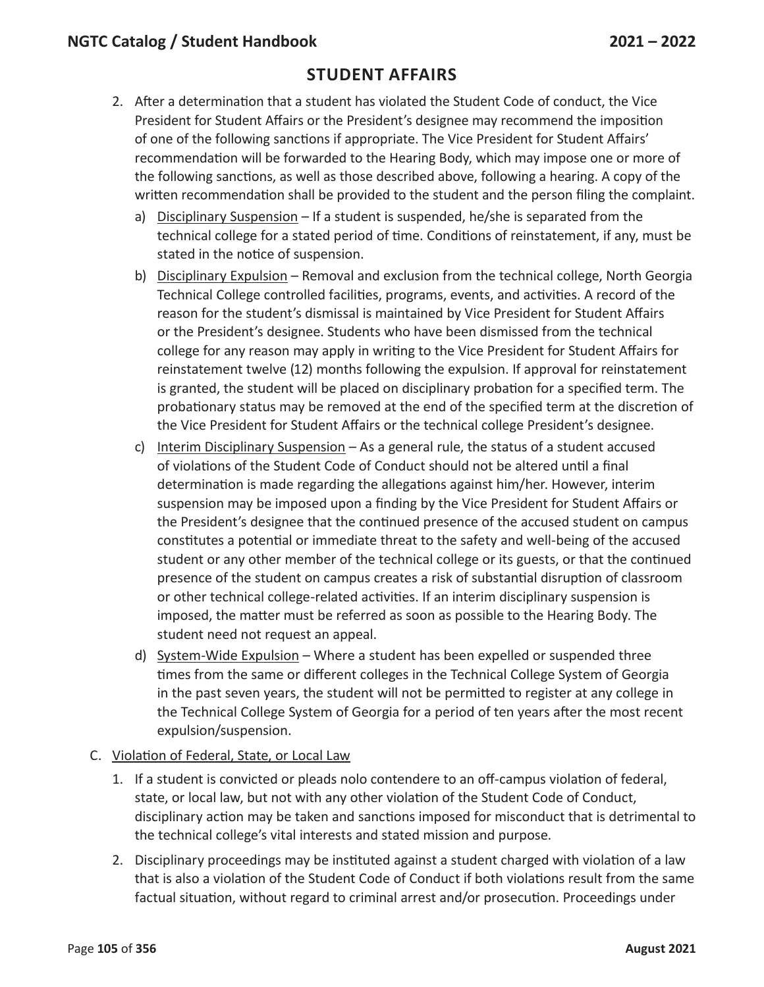- 2. After a determination that a student has violated the Student Code of conduct, the Vice President for Student Affairs or the President's designee may recommend the imposition of one of the following sanctions if appropriate. The Vice President for Student Affairs' recommendation will be forwarded to the Hearing Body, which may impose one or more of the following sanctions, as well as those described above, following a hearing. A copy of the written recommendation shall be provided to the student and the person filing the complaint.
	- a) Disciplinary Suspension If a student is suspended, he/she is separated from the technical college for a stated period of time. Conditions of reinstatement, if any, must be stated in the notice of suspension.
	- b) Disciplinary Expulsion Removal and exclusion from the technical college, North Georgia Technical College controlled facilities, programs, events, and activities. A record of the reason for the student's dismissal is maintained by Vice President for Student Affairs or the President's designee. Students who have been dismissed from the technical college for any reason may apply in writing to the Vice President for Student Affairs for reinstatement twelve (12) months following the expulsion. If approval for reinstatement is granted, the student will be placed on disciplinary probation for a specified term. The probationary status may be removed at the end of the specified term at the discretion of the Vice President for Student Affairs or the technical college President's designee.
	- c) Interim Disciplinary Suspension  $-$  As a general rule, the status of a student accused of violations of the Student Code of Conduct should not be altered until a final determination is made regarding the allegations against him/her. However, interim suspension may be imposed upon a finding by the Vice President for Student Affairs or the President's designee that the continued presence of the accused student on campus constitutes a potential or immediate threat to the safety and well-being of the accused student or any other member of the technical college or its guests, or that the continued presence of the student on campus creates a risk of substantial disruption of classroom or other technical college-related activities. If an interim disciplinary suspension is imposed, the matter must be referred as soon as possible to the Hearing Body. The student need not request an appeal.
	- d) System-Wide Expulsion Where a student has been expelled or suspended three times from the same or different colleges in the Technical College System of Georgia in the past seven years, the student will not be permitted to register at any college in the Technical College System of Georgia for a period of ten years after the most recent expulsion/suspension.
- C. Violation of Federal, State, or Local Law
	- 1. If a student is convicted or pleads nolo contendere to an off-campus violation of federal, state, or local law, but not with any other violation of the Student Code of Conduct, disciplinary action may be taken and sanctions imposed for misconduct that is detrimental to the technical college's vital interests and stated mission and purpose.
	- 2. Disciplinary proceedings may be instituted against a student charged with violation of a law that is also a violation of the Student Code of Conduct if both violations result from the same factual situation, without regard to criminal arrest and/or prosecution. Proceedings under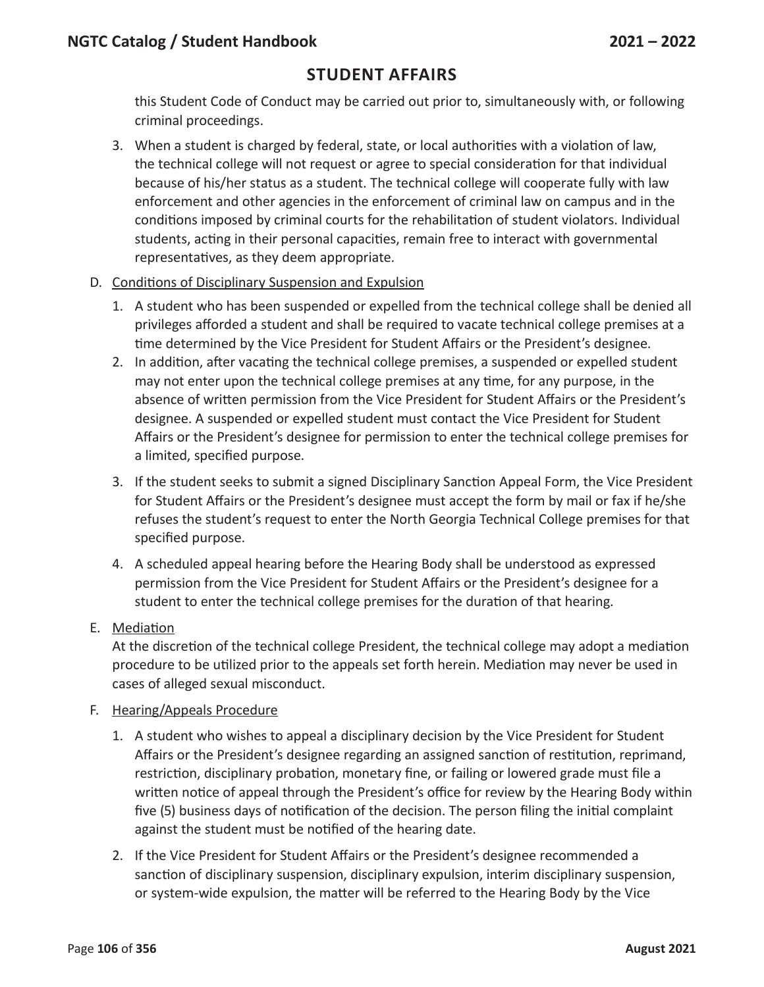this Student Code of Conduct may be carried out prior to, simultaneously with, or following criminal proceedings.

3. When a student is charged by federal, state, or local authorities with a violation of law, the technical college will not request or agree to special consideration for that individual because of his/her status as a student. The technical college will cooperate fully with law enforcement and other agencies in the enforcement of criminal law on campus and in the conditions imposed by criminal courts for the rehabilitation of student violators. Individual students, acting in their personal capacities, remain free to interact with governmental representatives, as they deem appropriate.

#### D. Conditions of Disciplinary Suspension and Expulsion

- 1. A student who has been suspended or expelled from the technical college shall be denied all privileges afforded a student and shall be required to vacate technical college premises at a time determined by the Vice President for Student Affairs or the President's designee.
- 2. In addition, after vacating the technical college premises, a suspended or expelled student may not enter upon the technical college premises at any time, for any purpose, in the absence of written permission from the Vice President for Student Affairs or the President's designee. A suspended or expelled student must contact the Vice President for Student Affairs or the President's designee for permission to enter the technical college premises for a limited, specified purpose.
- 3. If the student seeks to submit a signed Disciplinary Sanction Appeal Form, the Vice President for Student Affairs or the President's designee must accept the form by mail or fax if he/she refuses the student's request to enter the North Georgia Technical College premises for that specified purpose.
- 4. A scheduled appeal hearing before the Hearing Body shall be understood as expressed permission from the Vice President for Student Affairs or the President's designee for a student to enter the technical college premises for the duration of that hearing.

#### E. Mediation

At the discretion of the technical college President, the technical college may adopt a mediation procedure to be utilized prior to the appeals set forth herein. Mediation may never be used in cases of alleged sexual misconduct.

#### F. Hearing/Appeals Procedure

- 1. A student who wishes to appeal a disciplinary decision by the Vice President for Student Affairs or the President's designee regarding an assigned sanction of restitution, reprimand, restriction, disciplinary probation, monetary fine, or failing or lowered grade must file a written notice of appeal through the President's office for review by the Hearing Body within five (5) business days of notification of the decision. The person filing the initial complaint against the student must be notified of the hearing date.
- 2. If the Vice President for Student Affairs or the President's designee recommended a sanction of disciplinary suspension, disciplinary expulsion, interim disciplinary suspension, or system-wide expulsion, the matter will be referred to the Hearing Body by the Vice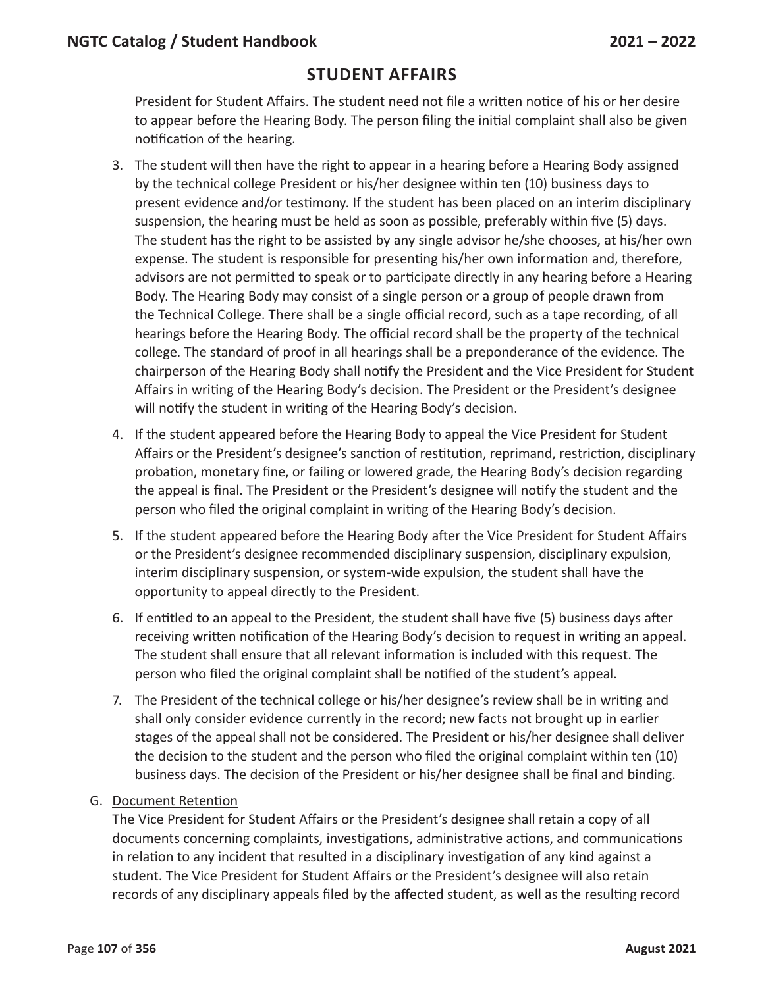President for Student Affairs. The student need not file a written notice of his or her desire to appear before the Hearing Body. The person filing the initial complaint shall also be given notification of the hearing.

- 3. The student will then have the right to appear in a hearing before a Hearing Body assigned by the technical college President or his/her designee within ten (10) business days to present evidence and/or testimony. If the student has been placed on an interim disciplinary suspension, the hearing must be held as soon as possible, preferably within five (5) days. The student has the right to be assisted by any single advisor he/she chooses, at his/her own expense. The student is responsible for presenting his/her own information and, therefore, advisors are not permitted to speak or to participate directly in any hearing before a Hearing Body. The Hearing Body may consist of a single person or a group of people drawn from the Technical College. There shall be a single official record, such as a tape recording, of all hearings before the Hearing Body. The official record shall be the property of the technical college. The standard of proof in all hearings shall be a preponderance of the evidence. The chairperson of the Hearing Body shall notify the President and the Vice President for Student Affairs in writing of the Hearing Body's decision. The President or the President's designee will notify the student in writing of the Hearing Body's decision.
- 4. If the student appeared before the Hearing Body to appeal the Vice President for Student Affairs or the President's designee's sanction of restitution, reprimand, restriction, disciplinary probation, monetary fine, or failing or lowered grade, the Hearing Body's decision regarding the appeal is final. The President or the President's designee will notify the student and the person who filed the original complaint in writing of the Hearing Body's decision.
- 5. If the student appeared before the Hearing Body after the Vice President for Student Affairs or the President's designee recommended disciplinary suspension, disciplinary expulsion, interim disciplinary suspension, or system-wide expulsion, the student shall have the opportunity to appeal directly to the President.
- 6. If entitled to an appeal to the President, the student shall have five (5) business days after receiving written notification of the Hearing Body's decision to request in writing an appeal. The student shall ensure that all relevant information is included with this request. The person who filed the original complaint shall be notified of the student's appeal.
- 7. The President of the technical college or his/her designee's review shall be in writing and shall only consider evidence currently in the record; new facts not brought up in earlier stages of the appeal shall not be considered. The President or his/her designee shall deliver the decision to the student and the person who filed the original complaint within ten (10) business days. The decision of the President or his/her designee shall be final and binding.

#### G. Document Retention

The Vice President for Student Affairs or the President's designee shall retain a copy of all documents concerning complaints, investigations, administrative actions, and communications in relation to any incident that resulted in a disciplinary investigation of any kind against a student. The Vice President for Student Affairs or the President's designee will also retain records of any disciplinary appeals filed by the affected student, as well as the resulting record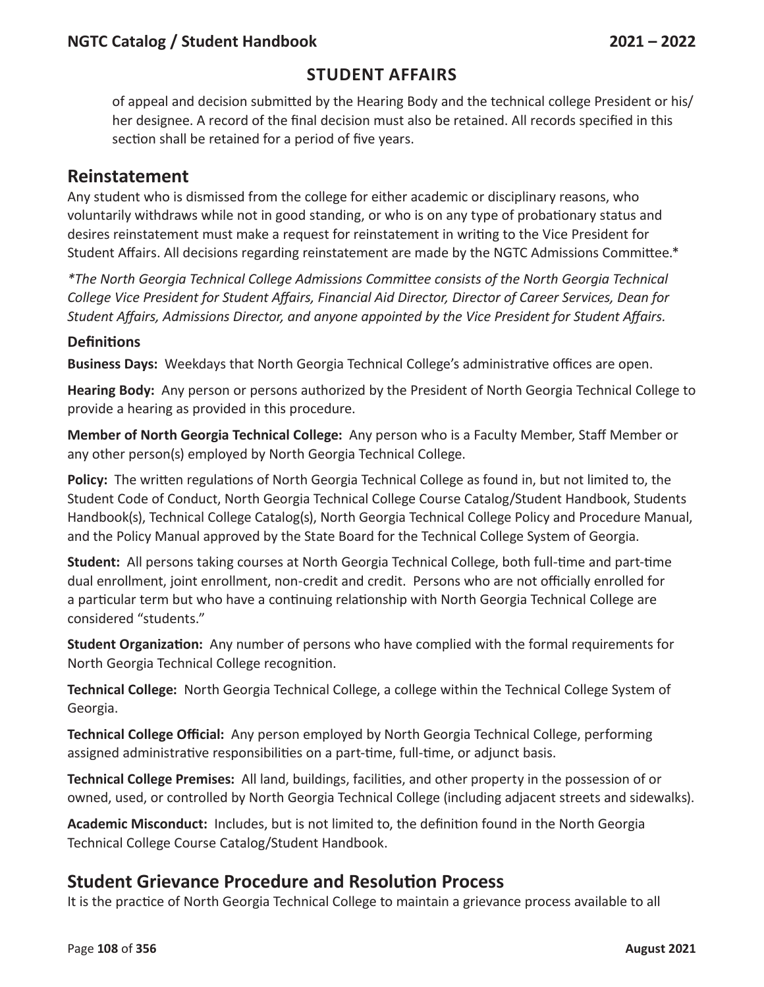### **Student Affairs**

of appeal and decision submitted by the Hearing Body and the technical college President or his/ her designee. A record of the final decision must also be retained. All records specified in this section shall be retained for a period of five years.

#### **Reinstatement**

Any student who is dismissed from the college for either academic or disciplinary reasons, who voluntarily withdraws while not in good standing, or who is on any type of probationary status and desires reinstatement must make a request for reinstatement in writing to the Vice President for Student Affairs. All decisions regarding reinstatement are made by the NGTC Admissions Committee.\*

*\*The North Georgia Technical College Admissions Committee consists of the North Georgia Technical College Vice President for Student Affairs, Financial Aid Director, Director of Career Services, Dean for Student Affairs, Admissions Director, and anyone appointed by the Vice President for Student Affairs.*

#### **Definitions**

**Business Days:** Weekdays that North Georgia Technical College's administrative offices are open.

**Hearing Body:** Any person or persons authorized by the President of North Georgia Technical College to provide a hearing as provided in this procedure.

**Member of North Georgia Technical College:** Any person who is a Faculty Member, Staff Member or any other person(s) employed by North Georgia Technical College.

**Policy:** The written regulations of North Georgia Technical College as found in, but not limited to, the Student Code of Conduct, North Georgia Technical College Course Catalog/Student Handbook, Students Handbook(s), Technical College Catalog(s), North Georgia Technical College Policy and Procedure Manual, and the Policy Manual approved by the State Board for the Technical College System of Georgia.

**Student:** All persons taking courses at North Georgia Technical College, both full-time and part-time dual enrollment, joint enrollment, non-credit and credit. Persons who are not officially enrolled for a particular term but who have a continuing relationship with North Georgia Technical College are considered "students."

**Student Organization:** Any number of persons who have complied with the formal requirements for North Georgia Technical College recognition.

**Technical College:** North Georgia Technical College, a college within the Technical College System of Georgia.

**Technical College Official:** Any person employed by North Georgia Technical College, performing assigned administrative responsibilities on a part-time, full-time, or adjunct basis.

**Technical College Premises:** All land, buildings, facilities, and other property in the possession of or owned, used, or controlled by North Georgia Technical College (including adjacent streets and sidewalks).

**Academic Misconduct:** Includes, but is not limited to, the definition found in the North Georgia Technical College Course Catalog/Student Handbook.

#### **Student Grievance Procedure and Resolution Process**

It is the practice of North Georgia Technical College to maintain a grievance process available to all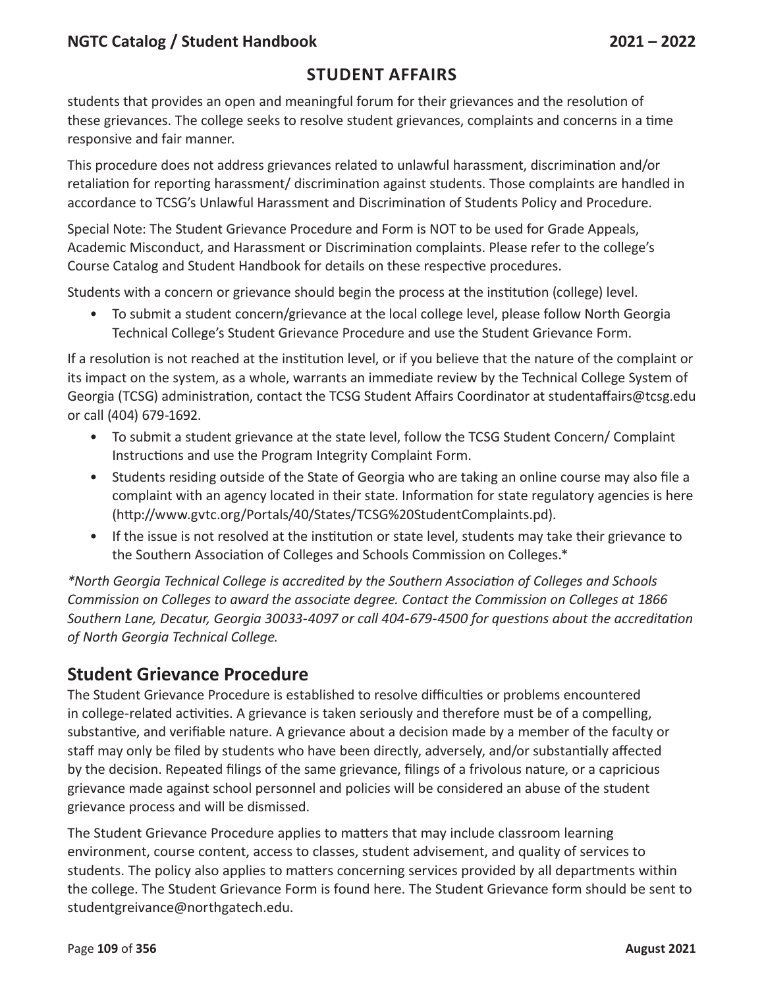### **Student Affairs**

students that provides an open and meaningful forum for their grievances and the resolution of these grievances. The college seeks to resolve student grievances, complaints and concerns in a time responsive and fair manner.

This procedure does not address grievances related to unlawful harassment, discrimination and/or retaliation for reporting harassment/ discrimination against students. Those complaints are handled in accordance to TCSG's Unlawful Harassment and Discrimination of Students Policy and Procedure.

Special Note: The Student Grievance Procedure and Form is NOT to be used for Grade Appeals, Academic Misconduct, and Harassment or Discrimination complaints. Please refer to the college's Course Catalog and Student Handbook for details on these respective procedures.

Students with a concern or grievance should begin the process at the institution (college) level.

• To submit a student concern/grievance at the local college level, please follow North Georgia Technical College's Student Grievance Procedure and use the Student Grievance Form.

If a resolution is not reached at the institution level, or if you believe that the nature of the complaint or its impact on the system, as a whole, warrants an immediate review by the Technical College System of Georgia (TCSG) administration, contact the TCSG Student Affairs Coordinator at studentaffairs@tcsg.edu or call (404) 679-1692.

- To submit a student grievance at the state level, follow the TCSG Student Concern/ Complaint Instructions and use the Program Integrity Complaint Form.
- Students residing outside of the State of Georgia who are taking an online course may also file a complaint with an agency located in their state. Information for state regulatory agencies is here (http://www.gvtc.org/Portals/40/States/TCSG%20StudentComplaints.pd).
- If the issue is not resolved at the institution or state level, students may take their grievance to the Southern Association of Colleges and Schools Commission on Colleges.\*

*\*North Georgia Technical College is accredited by the Southern Association of Colleges and Schools Commission on Colleges to award the associate degree. Contact the Commission on Colleges at 1866 Southern Lane, Decatur, Georgia 30033-4097 or call 404-679-4500 for questions about the accreditation of North Georgia Technical College.*

## **Student Grievance Procedure**

The Student Grievance Procedure is established to resolve difficulties or problems encountered in college-related activities. A grievance is taken seriously and therefore must be of a compelling, substantive, and verifiable nature. A grievance about a decision made by a member of the faculty or staff may only be filed by students who have been directly, adversely, and/or substantially affected by the decision. Repeated filings of the same grievance, filings of a frivolous nature, or a capricious grievance made against school personnel and policies will be considered an abuse of the student grievance process and will be dismissed.

The Student Grievance Procedure applies to matters that may include classroom learning environment, course content, access to classes, student advisement, and quality of services to students. The policy also applies to matters concerning services provided by all departments within the college. The Student Grievance Form is found here. The Student Grievance form should be sent to studentgreivance@northgatech.edu.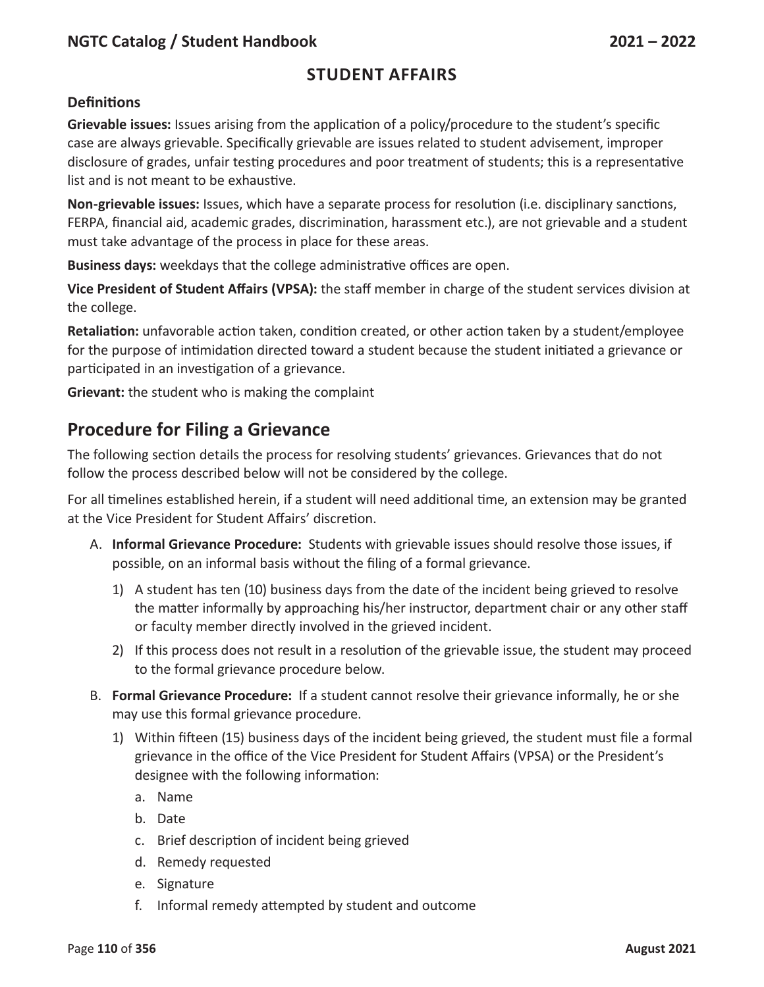## **Student Affairs**

#### **Definitions**

**Grievable issues:** Issues arising from the application of a policy/procedure to the student's specific case are always grievable. Specifically grievable are issues related to student advisement, improper disclosure of grades, unfair testing procedures and poor treatment of students; this is a representative list and is not meant to be exhaustive.

**Non-grievable issues:** Issues, which have a separate process for resolution (i.e. disciplinary sanctions, FERPA, financial aid, academic grades, discrimination, harassment etc.), are not grievable and a student must take advantage of the process in place for these areas.

**Business days:** weekdays that the college administrative offices are open.

**Vice President of Student Affairs (VPSA):** the staff member in charge of the student services division at the college.

**Retaliation:** unfavorable action taken, condition created, or other action taken by a student/employee for the purpose of intimidation directed toward a student because the student initiated a grievance or participated in an investigation of a grievance.

**Grievant:** the student who is making the complaint

## **Procedure for Filing a Grievance**

The following section details the process for resolving students' grievances. Grievances that do not follow the process described below will not be considered by the college.

For all timelines established herein, if a student will need additional time, an extension may be granted at the Vice President for Student Affairs' discretion.

- A. **Informal Grievance Procedure:** Students with grievable issues should resolve those issues, if possible, on an informal basis without the filing of a formal grievance.
	- 1) A student has ten (10) business days from the date of the incident being grieved to resolve the matter informally by approaching his/her instructor, department chair or any other staff or faculty member directly involved in the grieved incident.
	- 2) If this process does not result in a resolution of the grievable issue, the student may proceed to the formal grievance procedure below.
- B. **Formal Grievance Procedure:** If a student cannot resolve their grievance informally, he or she may use this formal grievance procedure.
	- 1) Within fifteen (15) business days of the incident being grieved, the student must file a formal grievance in the office of the Vice President for Student Affairs (VPSA) or the President's designee with the following information:
		- a. Name
		- b. Date
		- c. Brief description of incident being grieved
		- d. Remedy requested
		- e. Signature
		- f. Informal remedy attempted by student and outcome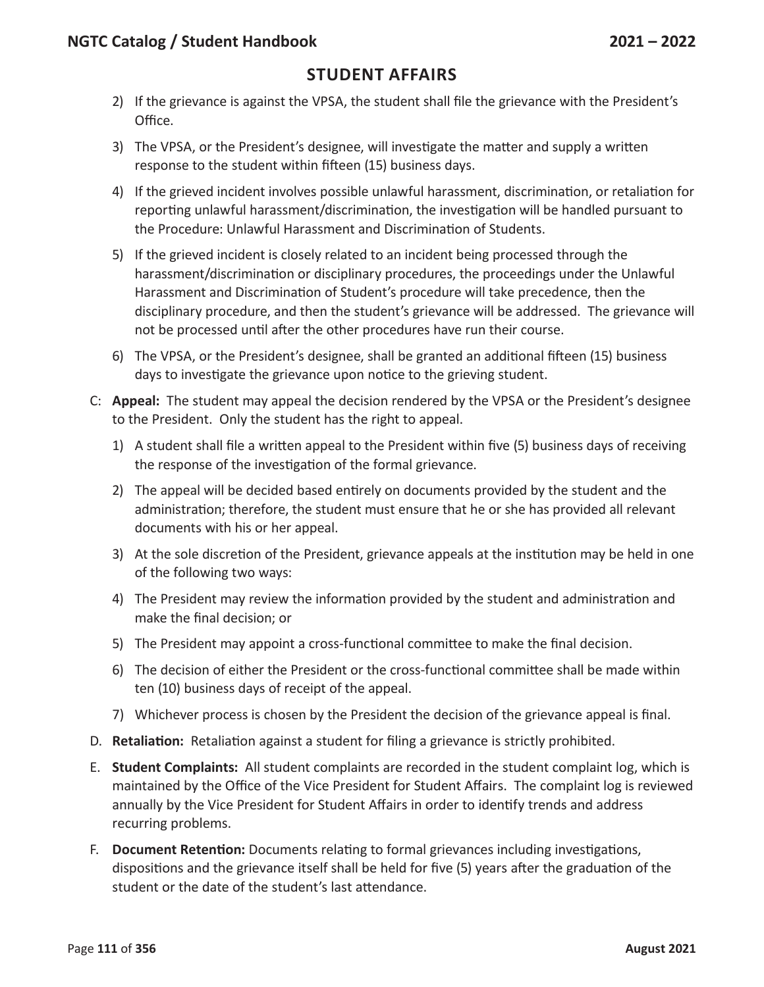- 2) If the grievance is against the VPSA, the student shall file the grievance with the President's Office.
- 3) The VPSA, or the President's designee, will investigate the matter and supply a written response to the student within fifteen (15) business days.
- 4) If the grieved incident involves possible unlawful harassment, discrimination, or retaliation for reporting unlawful harassment/discrimination, the investigation will be handled pursuant to the Procedure: Unlawful Harassment and Discrimination of Students.
- 5) If the grieved incident is closely related to an incident being processed through the harassment/discrimination or disciplinary procedures, the proceedings under the Unlawful Harassment and Discrimination of Student's procedure will take precedence, then the disciplinary procedure, and then the student's grievance will be addressed. The grievance will not be processed until after the other procedures have run their course.
- 6) The VPSA, or the President's designee, shall be granted an additional fifteen (15) business days to investigate the grievance upon notice to the grieving student.
- C: **Appeal:** The student may appeal the decision rendered by the VPSA or the President's designee to the President. Only the student has the right to appeal.
	- 1) A student shall file a written appeal to the President within five (5) business days of receiving the response of the investigation of the formal grievance.
	- 2) The appeal will be decided based entirely on documents provided by the student and the administration; therefore, the student must ensure that he or she has provided all relevant documents with his or her appeal.
	- 3) At the sole discretion of the President, grievance appeals at the institution may be held in one of the following two ways:
	- 4) The President may review the information provided by the student and administration and make the final decision; or
	- 5) The President may appoint a cross-functional committee to make the final decision.
	- 6) The decision of either the President or the cross-functional committee shall be made within ten (10) business days of receipt of the appeal.
	- 7) Whichever process is chosen by the President the decision of the grievance appeal is final.
- D. **Retaliation:** Retaliation against a student for filing a grievance is strictly prohibited.
- E. **Student Complaints:** All student complaints are recorded in the student complaint log, which is maintained by the Office of the Vice President for Student Affairs. The complaint log is reviewed annually by the Vice President for Student Affairs in order to identify trends and address recurring problems.
- F. **Document Retention:** Documents relating to formal grievances including investigations, dispositions and the grievance itself shall be held for five (5) years after the graduation of the student or the date of the student's last attendance.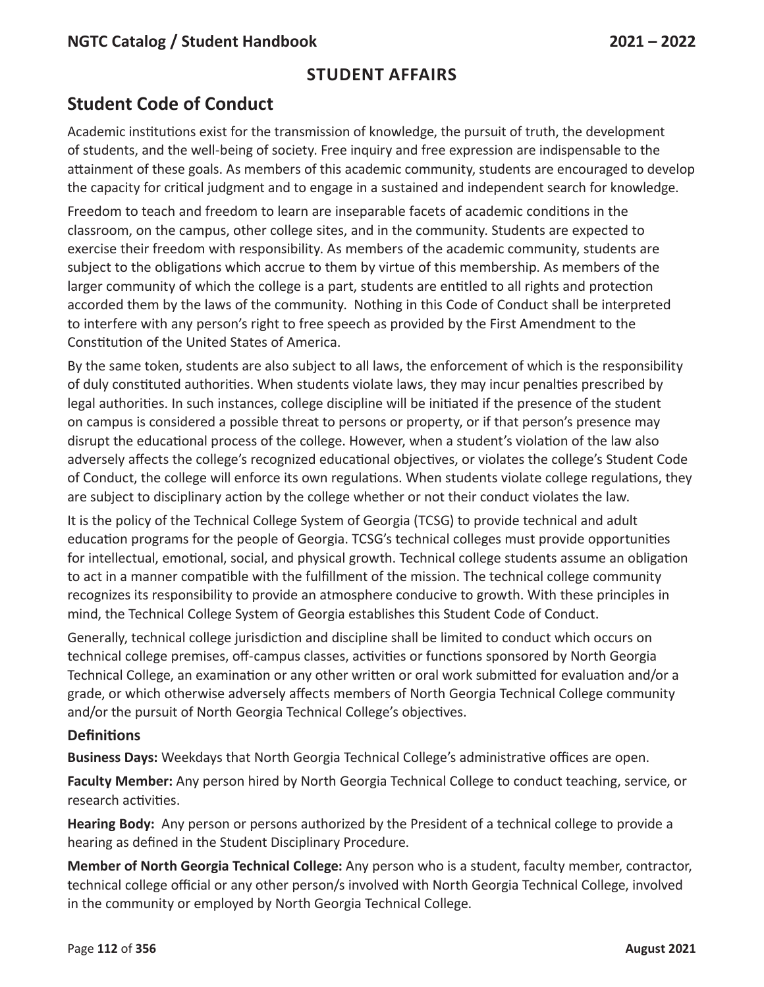# **Student Code of Conduct**

Academic institutions exist for the transmission of knowledge, the pursuit of truth, the development of students, and the well-being of society. Free inquiry and free expression are indispensable to the attainment of these goals. As members of this academic community, students are encouraged to develop the capacity for critical judgment and to engage in a sustained and independent search for knowledge.

Freedom to teach and freedom to learn are inseparable facets of academic conditions in the classroom, on the campus, other college sites, and in the community. Students are expected to exercise their freedom with responsibility. As members of the academic community, students are subject to the obligations which accrue to them by virtue of this membership. As members of the larger community of which the college is a part, students are entitled to all rights and protection accorded them by the laws of the community. Nothing in this Code of Conduct shall be interpreted to interfere with any person's right to free speech as provided by the First Amendment to the Constitution of the United States of America.

By the same token, students are also subject to all laws, the enforcement of which is the responsibility of duly constituted authorities. When students violate laws, they may incur penalties prescribed by legal authorities. In such instances, college discipline will be initiated if the presence of the student on campus is considered a possible threat to persons or property, or if that person's presence may disrupt the educational process of the college. However, when a student's violation of the law also adversely affects the college's recognized educational objectives, or violates the college's Student Code of Conduct, the college will enforce its own regulations. When students violate college regulations, they are subject to disciplinary action by the college whether or not their conduct violates the law.

It is the policy of the Technical College System of Georgia (TCSG) to provide technical and adult education programs for the people of Georgia. TCSG's technical colleges must provide opportunities for intellectual, emotional, social, and physical growth. Technical college students assume an obligation to act in a manner compatible with the fulfillment of the mission. The technical college community recognizes its responsibility to provide an atmosphere conducive to growth. With these principles in mind, the Technical College System of Georgia establishes this Student Code of Conduct.

Generally, technical college jurisdiction and discipline shall be limited to conduct which occurs on technical college premises, off-campus classes, activities or functions sponsored by North Georgia Technical College, an examination or any other written or oral work submitted for evaluation and/or a grade, or which otherwise adversely affects members of North Georgia Technical College community and/or the pursuit of North Georgia Technical College's objectives.

#### **Definitions**

**Business Days:** Weekdays that North Georgia Technical College's administrative offices are open.

**Faculty Member:** Any person hired by North Georgia Technical College to conduct teaching, service, or research activities.

**Hearing Body:** Any person or persons authorized by the President of a technical college to provide a hearing as defined in the Student Disciplinary Procedure.

**Member of North Georgia Technical College:** Any person who is a student, faculty member, contractor, technical college official or any other person/s involved with North Georgia Technical College, involved in the community or employed by North Georgia Technical College.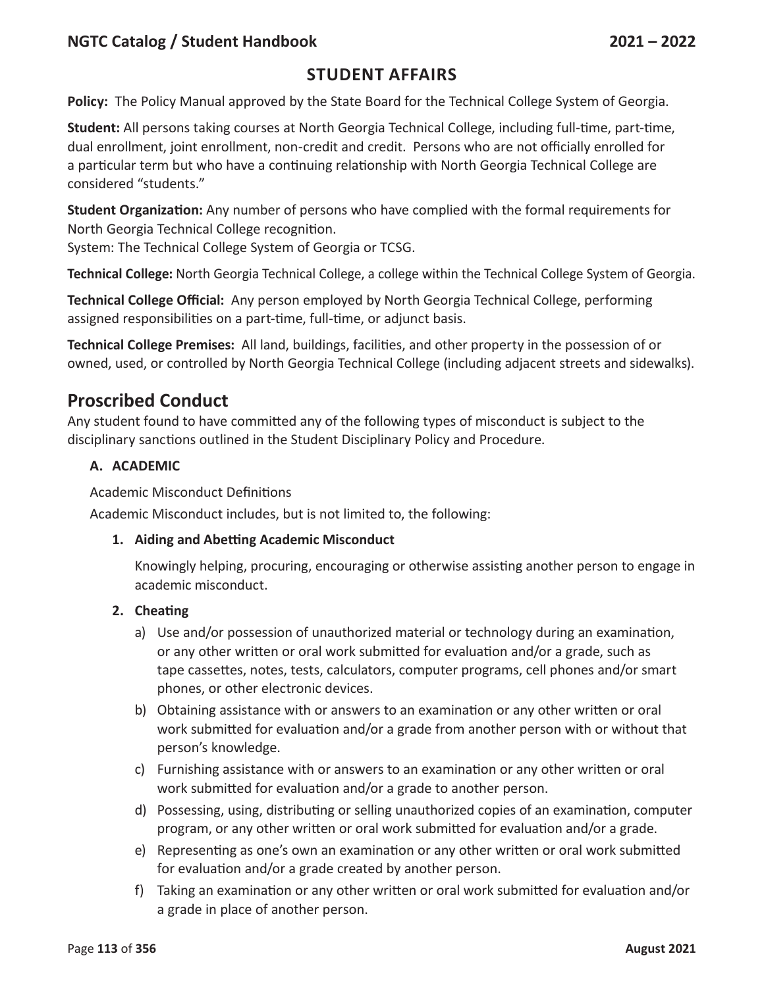### **Student Affairs**

**Policy:** The Policy Manual approved by the State Board for the Technical College System of Georgia.

**Student:** All persons taking courses at North Georgia Technical College, including full-time, part-time, dual enrollment, joint enrollment, non-credit and credit. Persons who are not officially enrolled for a particular term but who have a continuing relationship with North Georgia Technical College are considered "students."

**Student Organization:** Any number of persons who have complied with the formal requirements for North Georgia Technical College recognition.

System: The Technical College System of Georgia or TCSG.

**Technical College:** North Georgia Technical College, a college within the Technical College System of Georgia.

**Technical College Official:** Any person employed by North Georgia Technical College, performing assigned responsibilities on a part-time, full-time, or adjunct basis.

**Technical College Premises:** All land, buildings, facilities, and other property in the possession of or owned, used, or controlled by North Georgia Technical College (including adjacent streets and sidewalks).

## **Proscribed Conduct**

Any student found to have committed any of the following types of misconduct is subject to the disciplinary sanctions outlined in the Student Disciplinary Policy and Procedure.

#### **A. ACADEMIC**

Academic Misconduct Definitions

Academic Misconduct includes, but is not limited to, the following:

#### **1. Aiding and Abetting Academic Misconduct**

Knowingly helping, procuring, encouraging or otherwise assisting another person to engage in academic misconduct.

#### **2. Cheating**

- a) Use and/or possession of unauthorized material or technology during an examination, or any other written or oral work submitted for evaluation and/or a grade, such as tape cassettes, notes, tests, calculators, computer programs, cell phones and/or smart phones, or other electronic devices.
- b) Obtaining assistance with or answers to an examination or any other written or oral work submitted for evaluation and/or a grade from another person with or without that person's knowledge.
- c) Furnishing assistance with or answers to an examination or any other written or oral work submitted for evaluation and/or a grade to another person.
- d) Possessing, using, distributing or selling unauthorized copies of an examination, computer program, or any other written or oral work submitted for evaluation and/or a grade.
- e) Representing as one's own an examination or any other written or oral work submitted for evaluation and/or a grade created by another person.
- f) Taking an examination or any other written or oral work submitted for evaluation and/or a grade in place of another person.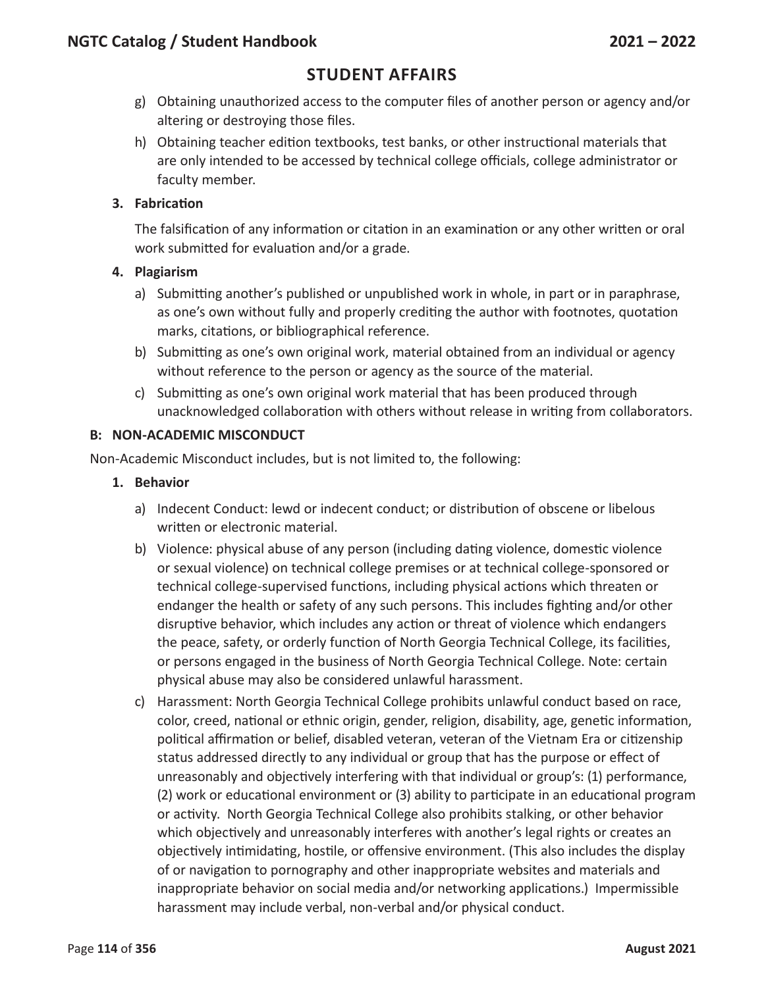- g) Obtaining unauthorized access to the computer files of another person or agency and/or altering or destroying those files.
- h) Obtaining teacher edition textbooks, test banks, or other instructional materials that are only intended to be accessed by technical college officials, college administrator or faculty member.

#### **3. Fabrication**

The falsification of any information or citation in an examination or any other written or oral work submitted for evaluation and/or a grade.

#### **4. Plagiarism**

- a) Submitting another's published or unpublished work in whole, in part or in paraphrase, as one's own without fully and properly crediting the author with footnotes, quotation marks, citations, or bibliographical reference.
- b) Submitting as one's own original work, material obtained from an individual or agency without reference to the person or agency as the source of the material.
- c) Submitting as one's own original work material that has been produced through unacknowledged collaboration with others without release in writing from collaborators.

#### **B: NON-ACADEMIC MISCONDUCT**

Non-Academic Misconduct includes, but is not limited to, the following:

#### **1. Behavior**

- a) Indecent Conduct: lewd or indecent conduct; or distribution of obscene or libelous written or electronic material.
- b) Violence: physical abuse of any person (including dating violence, domestic violence or sexual violence) on technical college premises or at technical college-sponsored or technical college-supervised functions, including physical actions which threaten or endanger the health or safety of any such persons. This includes fighting and/or other disruptive behavior, which includes any action or threat of violence which endangers the peace, safety, or orderly function of North Georgia Technical College, its facilities, or persons engaged in the business of North Georgia Technical College. Note: certain physical abuse may also be considered unlawful harassment.
- c) Harassment: North Georgia Technical College prohibits unlawful conduct based on race, color, creed, national or ethnic origin, gender, religion, disability, age, genetic information, political affirmation or belief, disabled veteran, veteran of the Vietnam Era or citizenship status addressed directly to any individual or group that has the purpose or effect of unreasonably and objectively interfering with that individual or group's: (1) performance, (2) work or educational environment or (3) ability to participate in an educational program or activity. North Georgia Technical College also prohibits stalking, or other behavior which objectively and unreasonably interferes with another's legal rights or creates an objectively intimidating, hostile, or offensive environment. (This also includes the display of or navigation to pornography and other inappropriate websites and materials and inappropriate behavior on social media and/or networking applications.) Impermissible harassment may include verbal, non-verbal and/or physical conduct.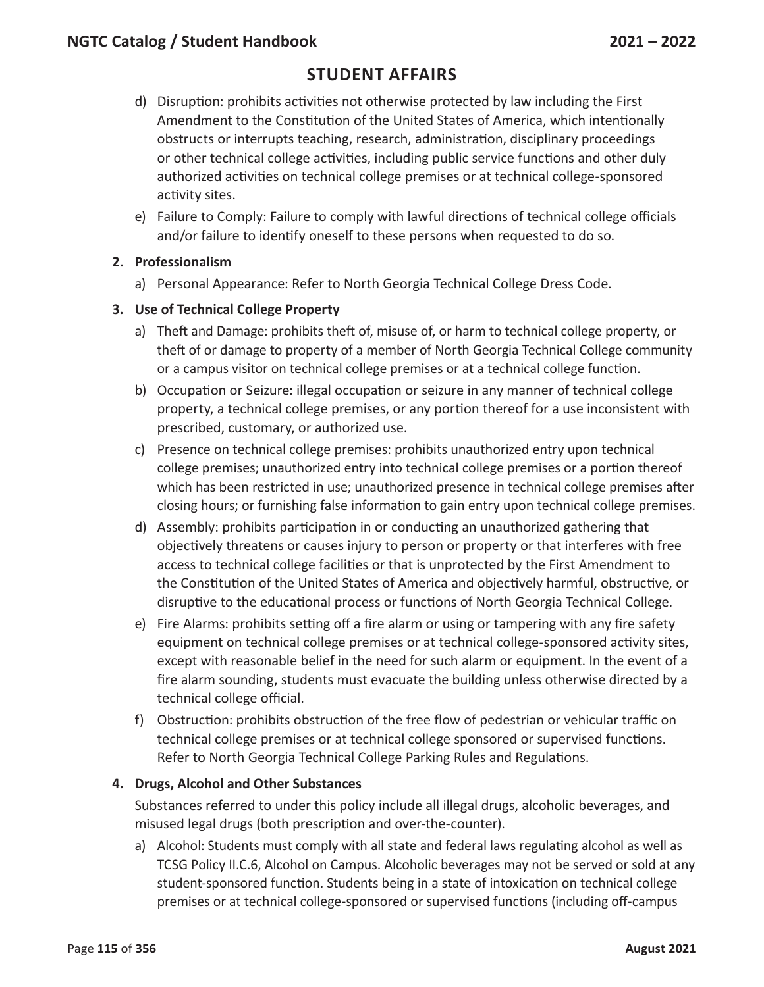- d) Disruption: prohibits activities not otherwise protected by law including the First Amendment to the Constitution of the United States of America, which intentionally obstructs or interrupts teaching, research, administration, disciplinary proceedings or other technical college activities, including public service functions and other duly authorized activities on technical college premises or at technical college-sponsored activity sites.
- e) Failure to Comply: Failure to comply with lawful directions of technical college officials and/or failure to identify oneself to these persons when requested to do so.

#### **2. Professionalism**

a) Personal Appearance: Refer to North Georgia Technical College Dress Code.

#### **3. Use of Technical College Property**

- a) Theft and Damage: prohibits theft of, misuse of, or harm to technical college property, or theft of or damage to property of a member of North Georgia Technical College community or a campus visitor on technical college premises or at a technical college function.
- b) Occupation or Seizure: illegal occupation or seizure in any manner of technical college property, a technical college premises, or any portion thereof for a use inconsistent with prescribed, customary, or authorized use.
- c) Presence on technical college premises: prohibits unauthorized entry upon technical college premises; unauthorized entry into technical college premises or a portion thereof which has been restricted in use; unauthorized presence in technical college premises after closing hours; or furnishing false information to gain entry upon technical college premises.
- d) Assembly: prohibits participation in or conducting an unauthorized gathering that objectively threatens or causes injury to person or property or that interferes with free access to technical college facilities or that is unprotected by the First Amendment to the Constitution of the United States of America and objectively harmful, obstructive, or disruptive to the educational process or functions of North Georgia Technical College.
- e) Fire Alarms: prohibits setting off a fire alarm or using or tampering with any fire safety equipment on technical college premises or at technical college-sponsored activity sites, except with reasonable belief in the need for such alarm or equipment. In the event of a fire alarm sounding, students must evacuate the building unless otherwise directed by a technical college official.
- f) Obstruction: prohibits obstruction of the free flow of pedestrian or vehicular traffic on technical college premises or at technical college sponsored or supervised functions. Refer to North Georgia Technical College Parking Rules and Regulations.

#### **4. Drugs, Alcohol and Other Substances**

Substances referred to under this policy include all illegal drugs, alcoholic beverages, and misused legal drugs (both prescription and over-the-counter).

a) Alcohol: Students must comply with all state and federal laws regulating alcohol as well as TCSG Policy II.C.6, Alcohol on Campus. Alcoholic beverages may not be served or sold at any student-sponsored function. Students being in a state of intoxication on technical college premises or at technical college-sponsored or supervised functions (including off-campus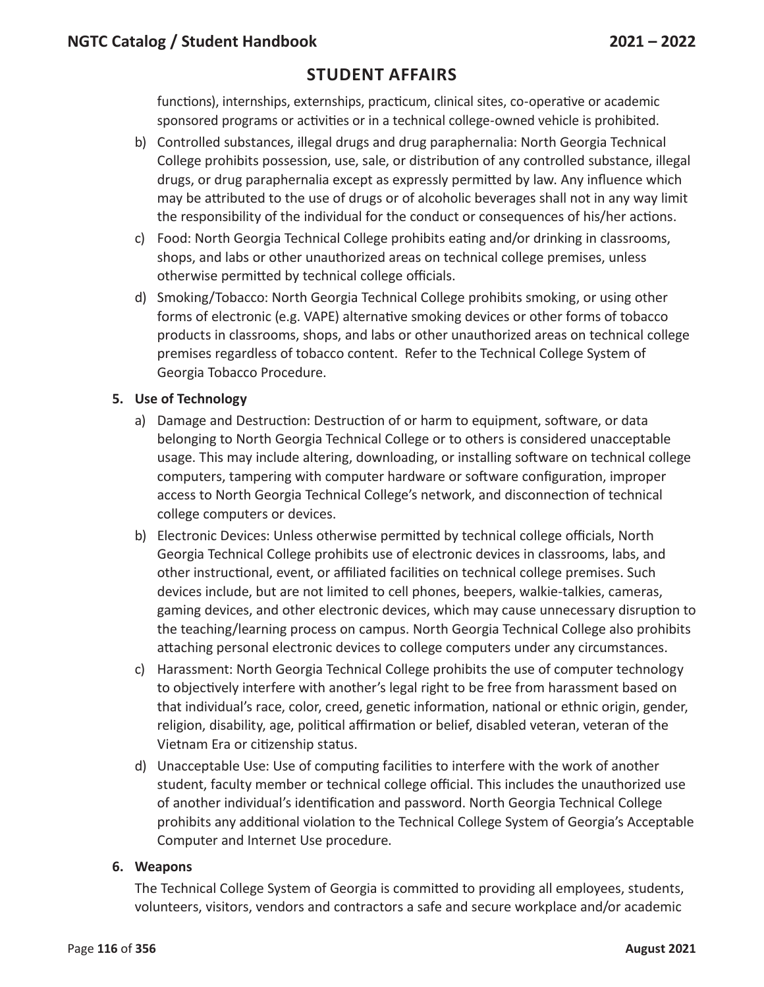functions), internships, externships, practicum, clinical sites, co-operative or academic sponsored programs or activities or in a technical college-owned vehicle is prohibited.

- b) Controlled substances, illegal drugs and drug paraphernalia: North Georgia Technical College prohibits possession, use, sale, or distribution of any controlled substance, illegal drugs, or drug paraphernalia except as expressly permitted by law. Any influence which may be attributed to the use of drugs or of alcoholic beverages shall not in any way limit the responsibility of the individual for the conduct or consequences of his/her actions.
- c) Food: North Georgia Technical College prohibits eating and/or drinking in classrooms, shops, and labs or other unauthorized areas on technical college premises, unless otherwise permitted by technical college officials.
- d) Smoking/Tobacco: North Georgia Technical College prohibits smoking, or using other forms of electronic (e.g. VAPE) alternative smoking devices or other forms of tobacco products in classrooms, shops, and labs or other unauthorized areas on technical college premises regardless of tobacco content. Refer to the Technical College System of Georgia Tobacco Procedure.

#### **5. Use of Technology**

- a) Damage and Destruction: Destruction of or harm to equipment, software, or data belonging to North Georgia Technical College or to others is considered unacceptable usage. This may include altering, downloading, or installing software on technical college computers, tampering with computer hardware or software configuration, improper access to North Georgia Technical College's network, and disconnection of technical college computers or devices.
- b) Electronic Devices: Unless otherwise permitted by technical college officials, North Georgia Technical College prohibits use of electronic devices in classrooms, labs, and other instructional, event, or affiliated facilities on technical college premises. Such devices include, but are not limited to cell phones, beepers, walkie-talkies, cameras, gaming devices, and other electronic devices, which may cause unnecessary disruption to the teaching/learning process on campus. North Georgia Technical College also prohibits attaching personal electronic devices to college computers under any circumstances.
- c) Harassment: North Georgia Technical College prohibits the use of computer technology to objectively interfere with another's legal right to be free from harassment based on that individual's race, color, creed, genetic information, national or ethnic origin, gender, religion, disability, age, political affirmation or belief, disabled veteran, veteran of the Vietnam Era or citizenship status.
- d) Unacceptable Use: Use of computing facilities to interfere with the work of another student, faculty member or technical college official. This includes the unauthorized use of another individual's identification and password. North Georgia Technical College prohibits any additional violation to the Technical College System of Georgia's Acceptable Computer and Internet Use procedure.

#### **6. Weapons**

The Technical College System of Georgia is committed to providing all employees, students, volunteers, visitors, vendors and contractors a safe and secure workplace and/or academic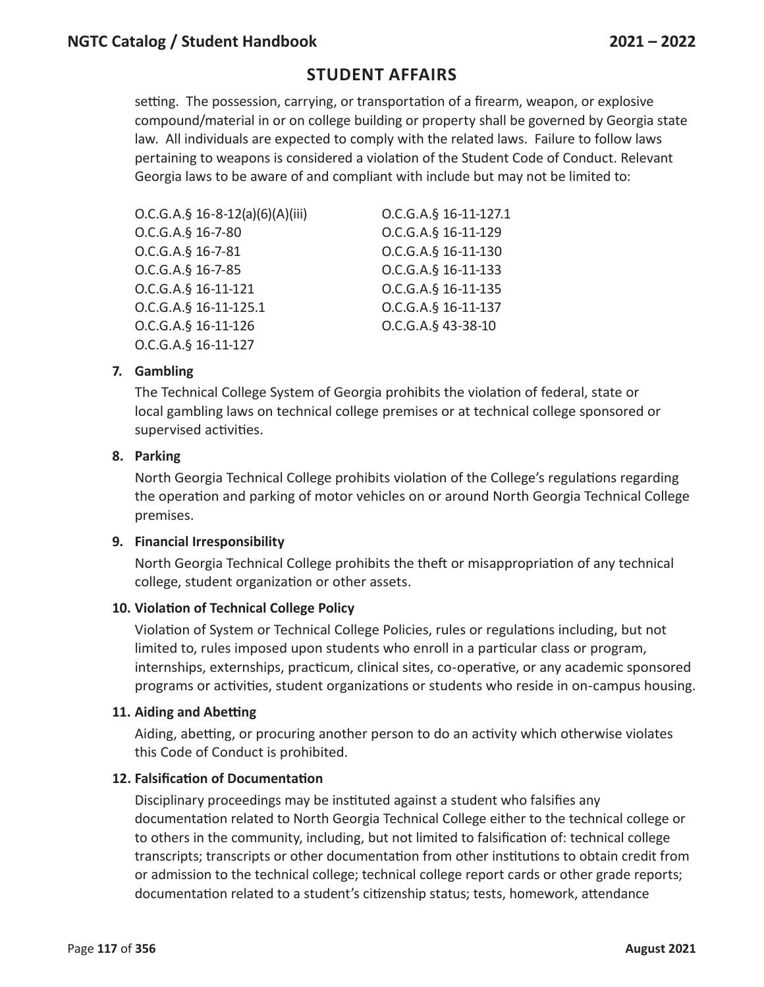setting. The possession, carrying, or transportation of a firearm, weapon, or explosive compound/material in or on college building or property shall be governed by Georgia state law. All individuals are expected to comply with the related laws. Failure to follow laws pertaining to weapons is considered a violation of the Student Code of Conduct. Relevant Georgia laws to be aware of and compliant with include but may not be limited to:

| $O.C.G.A.\S 16-8-12(a)(6)(A)(iii)$ | O.C.G.A.§ 16-11-127.1 |
|------------------------------------|-----------------------|
| O.C.G.A.§ 16-7-80                  | O.C.G.A.§ 16-11-129   |
| O.C.G.A.§ 16-7-81                  | O.C.G.A.§ 16-11-130   |
| O.C.G.A.§ 16-7-85                  | O.C.G.A.§ 16-11-133   |
| O.C.G.A.§ 16-11-121                | O.C.G.A.§ 16-11-135   |
| O.C.G.A.§ 16-11-125.1              | O.C.G.A.§ 16-11-137   |
| O.C.G.A.§ 16-11-126                | O.C.G.A.§ 43-38-10    |
| O.C.G.A.§ 16-11-127                |                       |

#### **7. Gambling**

The Technical College System of Georgia prohibits the violation of federal, state or local gambling laws on technical college premises or at technical college sponsored or supervised activities.

#### **8. Parking**

North Georgia Technical College prohibits violation of the College's regulations regarding the operation and parking of motor vehicles on or around North Georgia Technical College premises.

#### **9. Financial Irresponsibility**

North Georgia Technical College prohibits the theft or misappropriation of any technical college, student organization or other assets.

#### **10. Violation of Technical College Policy**

Violation of System or Technical College Policies, rules or regulations including, but not limited to, rules imposed upon students who enroll in a particular class or program, internships, externships, practicum, clinical sites, co-operative, or any academic sponsored programs or activities, student organizations or students who reside in on-campus housing.

#### **11. Aiding and Abetting**

Aiding, abetting, or procuring another person to do an activity which otherwise violates this Code of Conduct is prohibited.

#### **12. Falsification of Documentation**

Disciplinary proceedings may be instituted against a student who falsifies any documentation related to North Georgia Technical College either to the technical college or to others in the community, including, but not limited to falsification of: technical college transcripts; transcripts or other documentation from other institutions to obtain credit from or admission to the technical college; technical college report cards or other grade reports; documentation related to a student's citizenship status; tests, homework, attendance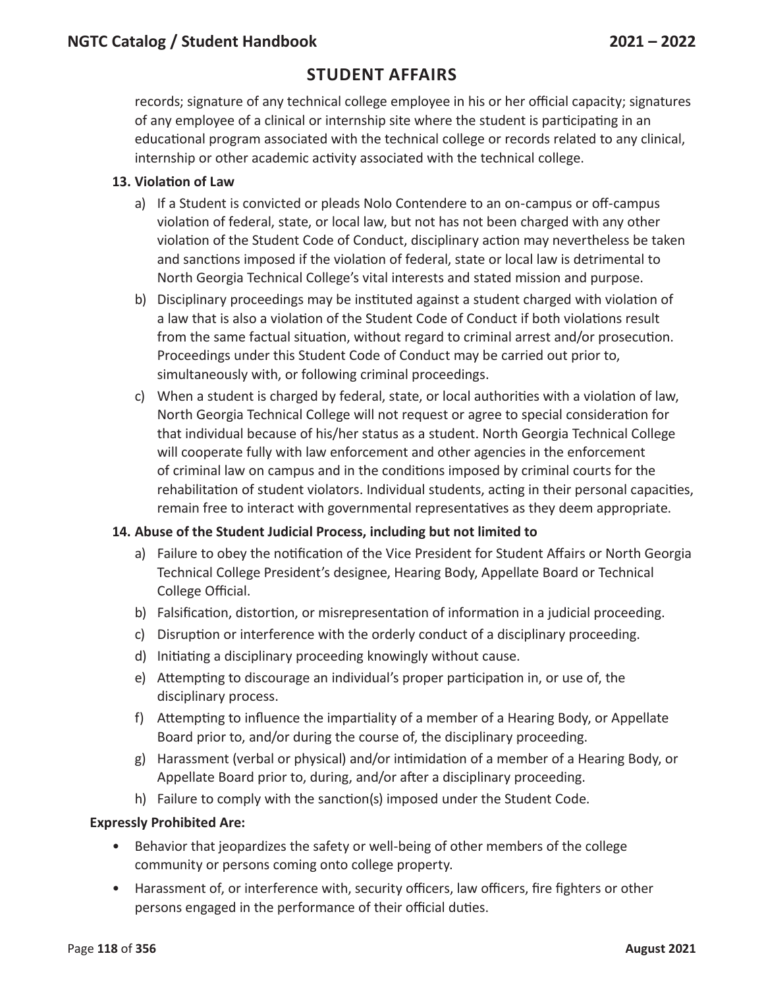records; signature of any technical college employee in his or her official capacity; signatures of any employee of a clinical or internship site where the student is participating in an educational program associated with the technical college or records related to any clinical, internship or other academic activity associated with the technical college.

#### **13. Violation of Law**

- a) If a Student is convicted or pleads Nolo Contendere to an on-campus or off-campus violation of federal, state, or local law, but not has not been charged with any other violation of the Student Code of Conduct, disciplinary action may nevertheless be taken and sanctions imposed if the violation of federal, state or local law is detrimental to North Georgia Technical College's vital interests and stated mission and purpose.
- b) Disciplinary proceedings may be instituted against a student charged with violation of a law that is also a violation of the Student Code of Conduct if both violations result from the same factual situation, without regard to criminal arrest and/or prosecution. Proceedings under this Student Code of Conduct may be carried out prior to, simultaneously with, or following criminal proceedings.
- c) When a student is charged by federal, state, or local authorities with a violation of law, North Georgia Technical College will not request or agree to special consideration for that individual because of his/her status as a student. North Georgia Technical College will cooperate fully with law enforcement and other agencies in the enforcement of criminal law on campus and in the conditions imposed by criminal courts for the rehabilitation of student violators. Individual students, acting in their personal capacities, remain free to interact with governmental representatives as they deem appropriate.

#### **14. Abuse of the Student Judicial Process, including but not limited to**

- a) Failure to obey the notification of the Vice President for Student Affairs or North Georgia Technical College President's designee, Hearing Body, Appellate Board or Technical College Official.
- b) Falsification, distortion, or misrepresentation of information in a judicial proceeding.
- c) Disruption or interference with the orderly conduct of a disciplinary proceeding.
- d) Initiating a disciplinary proceeding knowingly without cause.
- e) Attempting to discourage an individual's proper participation in, or use of, the disciplinary process.
- f) Attempting to influence the impartiality of a member of a Hearing Body, or Appellate Board prior to, and/or during the course of, the disciplinary proceeding.
- g) Harassment (verbal or physical) and/or intimidation of a member of a Hearing Body, or Appellate Board prior to, during, and/or after a disciplinary proceeding.
- h) Failure to comply with the sanction(s) imposed under the Student Code.

#### **Expressly Prohibited Are:**

- Behavior that jeopardizes the safety or well-being of other members of the college community or persons coming onto college property.
- Harassment of, or interference with, security officers, law officers, fire fighters or other persons engaged in the performance of their official duties.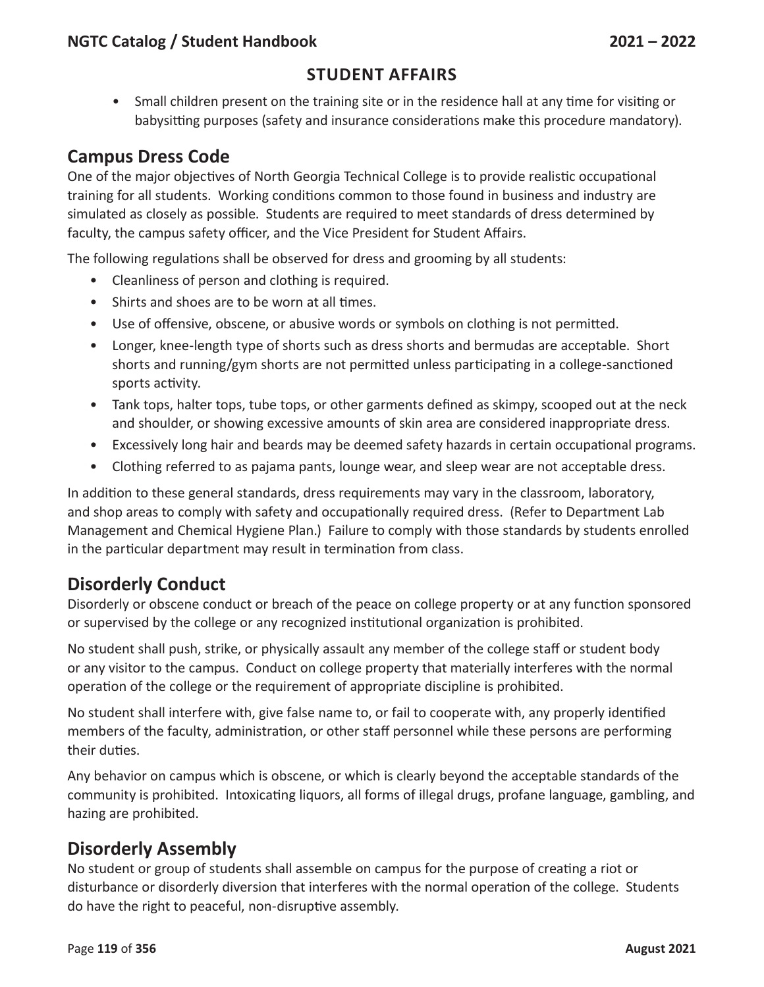• Small children present on the training site or in the residence hall at any time for visiting or babysitting purposes (safety and insurance considerations make this procedure mandatory).

## **Campus Dress Code**

One of the major objectives of North Georgia Technical College is to provide realistic occupational training for all students. Working conditions common to those found in business and industry are simulated as closely as possible. Students are required to meet standards of dress determined by faculty, the campus safety officer, and the Vice President for Student Affairs.

The following regulations shall be observed for dress and grooming by all students:

- Cleanliness of person and clothing is required.
- Shirts and shoes are to be worn at all times.
- Use of offensive, obscene, or abusive words or symbols on clothing is not permitted.
- Longer, knee-length type of shorts such as dress shorts and bermudas are acceptable. Short shorts and running/gym shorts are not permitted unless participating in a college-sanctioned sports activity.
- Tank tops, halter tops, tube tops, or other garments defined as skimpy, scooped out at the neck and shoulder, or showing excessive amounts of skin area are considered inappropriate dress.
- Excessively long hair and beards may be deemed safety hazards in certain occupational programs.
- Clothing referred to as pajama pants, lounge wear, and sleep wear are not acceptable dress.

In addition to these general standards, dress requirements may vary in the classroom, laboratory, and shop areas to comply with safety and occupationally required dress. (Refer to Department Lab Management and Chemical Hygiene Plan.) Failure to comply with those standards by students enrolled in the particular department may result in termination from class.

## **Disorderly Conduct**

Disorderly or obscene conduct or breach of the peace on college property or at any function sponsored or supervised by the college or any recognized institutional organization is prohibited.

No student shall push, strike, or physically assault any member of the college staff or student body or any visitor to the campus. Conduct on college property that materially interferes with the normal operation of the college or the requirement of appropriate discipline is prohibited.

No student shall interfere with, give false name to, or fail to cooperate with, any properly identified members of the faculty, administration, or other staff personnel while these persons are performing their duties.

Any behavior on campus which is obscene, or which is clearly beyond the acceptable standards of the community is prohibited. Intoxicating liquors, all forms of illegal drugs, profane language, gambling, and hazing are prohibited.

## **Disorderly Assembly**

No student or group of students shall assemble on campus for the purpose of creating a riot or disturbance or disorderly diversion that interferes with the normal operation of the college. Students do have the right to peaceful, non-disruptive assembly.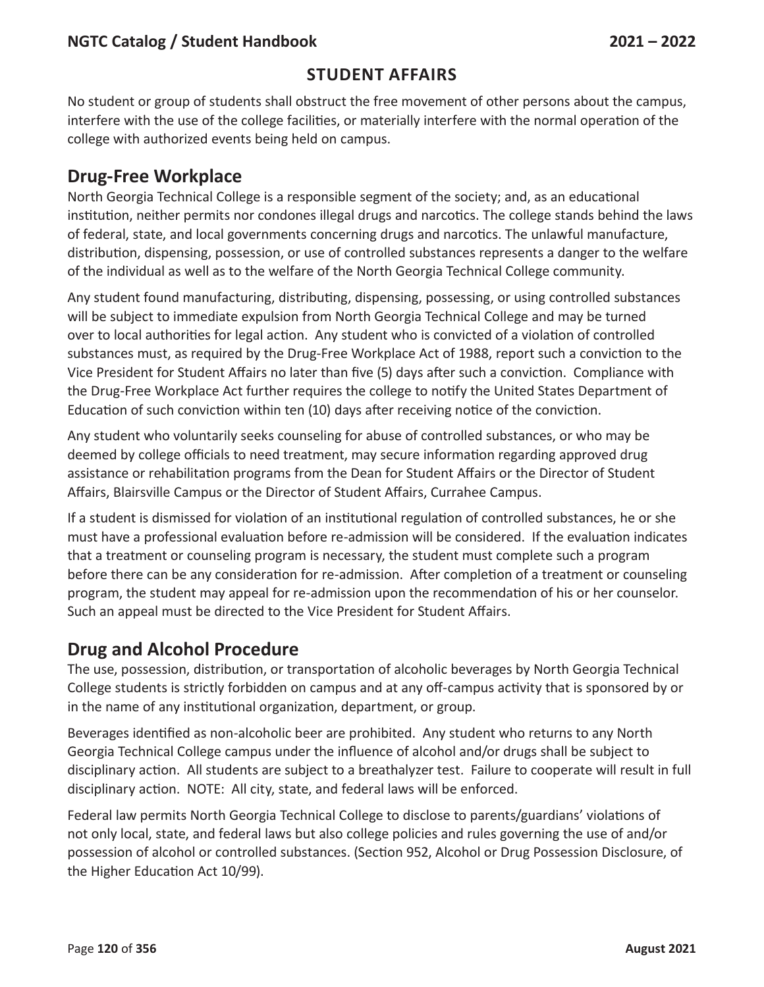### **Student Affairs**

No student or group of students shall obstruct the free movement of other persons about the campus, interfere with the use of the college facilities, or materially interfere with the normal operation of the college with authorized events being held on campus.

## **Drug-Free Workplace**

North Georgia Technical College is a responsible segment of the society; and, as an educational institution, neither permits nor condones illegal drugs and narcotics. The college stands behind the laws of federal, state, and local governments concerning drugs and narcotics. The unlawful manufacture, distribution, dispensing, possession, or use of controlled substances represents a danger to the welfare of the individual as well as to the welfare of the North Georgia Technical College community.

Any student found manufacturing, distributing, dispensing, possessing, or using controlled substances will be subject to immediate expulsion from North Georgia Technical College and may be turned over to local authorities for legal action. Any student who is convicted of a violation of controlled substances must, as required by the Drug-Free Workplace Act of 1988, report such a conviction to the Vice President for Student Affairs no later than five (5) days after such a conviction. Compliance with the Drug-Free Workplace Act further requires the college to notify the United States Department of Education of such conviction within ten (10) days after receiving notice of the conviction.

Any student who voluntarily seeks counseling for abuse of controlled substances, or who may be deemed by college officials to need treatment, may secure information regarding approved drug assistance or rehabilitation programs from the Dean for Student Affairs or the Director of Student Affairs, Blairsville Campus or the Director of Student Affairs, Currahee Campus.

If a student is dismissed for violation of an institutional regulation of controlled substances, he or she must have a professional evaluation before re-admission will be considered. If the evaluation indicates that a treatment or counseling program is necessary, the student must complete such a program before there can be any consideration for re-admission. After completion of a treatment or counseling program, the student may appeal for re-admission upon the recommendation of his or her counselor. Such an appeal must be directed to the Vice President for Student Affairs.

## **Drug and Alcohol Procedure**

The use, possession, distribution, or transportation of alcoholic beverages by North Georgia Technical College students is strictly forbidden on campus and at any off-campus activity that is sponsored by or in the name of any institutional organization, department, or group.

Beverages identified as non-alcoholic beer are prohibited. Any student who returns to any North Georgia Technical College campus under the influence of alcohol and/or drugs shall be subject to disciplinary action. All students are subject to a breathalyzer test. Failure to cooperate will result in full disciplinary action. NOTE: All city, state, and federal laws will be enforced.

Federal law permits North Georgia Technical College to disclose to parents/guardians' violations of not only local, state, and federal laws but also college policies and rules governing the use of and/or possession of alcohol or controlled substances. (Section 952, Alcohol or Drug Possession Disclosure, of the Higher Education Act 10/99).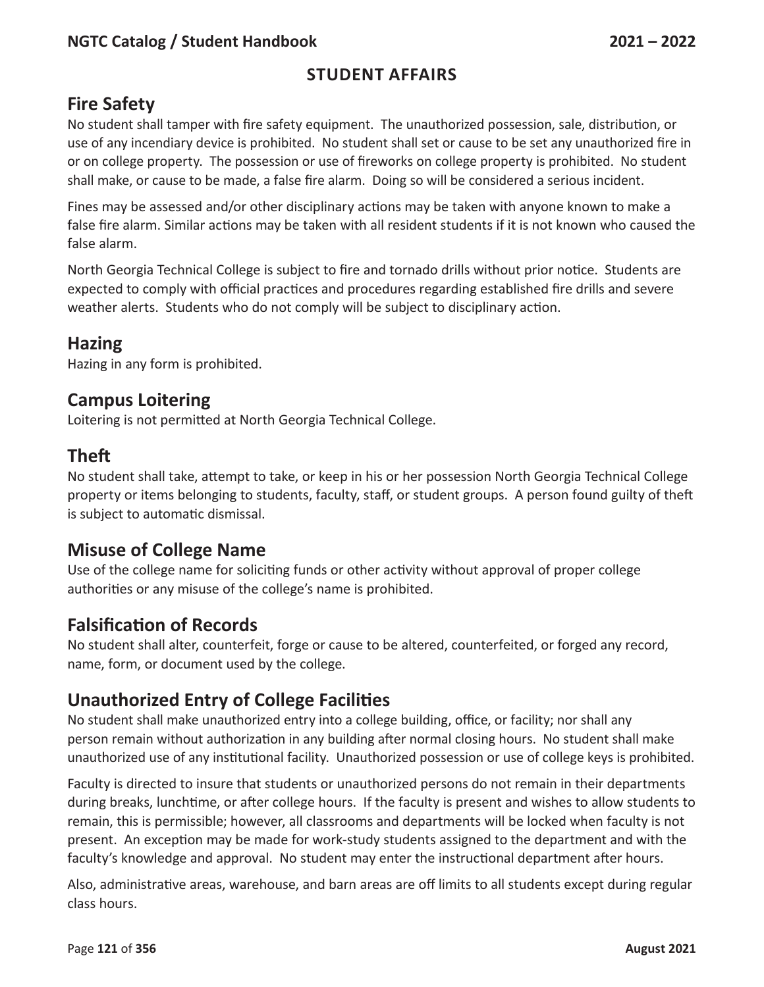## **Student Affairs**

## **Fire Safety**

No student shall tamper with fire safety equipment. The unauthorized possession, sale, distribution, or use of any incendiary device is prohibited. No student shall set or cause to be set any unauthorized fire in or on college property. The possession or use of fireworks on college property is prohibited. No student shall make, or cause to be made, a false fire alarm. Doing so will be considered a serious incident.

Fines may be assessed and/or other disciplinary actions may be taken with anyone known to make a false fire alarm. Similar actions may be taken with all resident students if it is not known who caused the false alarm.

North Georgia Technical College is subject to fire and tornado drills without prior notice. Students are expected to comply with official practices and procedures regarding established fire drills and severe weather alerts. Students who do not comply will be subject to disciplinary action.

## **Hazing**

Hazing in any form is prohibited.

### **Campus Loitering**

Loitering is not permitted at North Georgia Technical College.

## **Theft**

No student shall take, attempt to take, or keep in his or her possession North Georgia Technical College property or items belonging to students, faculty, staff, or student groups. A person found guilty of theft is subject to automatic dismissal.

### **Misuse of College Name**

Use of the college name for soliciting funds or other activity without approval of proper college authorities or any misuse of the college's name is prohibited.

## **Falsification of Records**

No student shall alter, counterfeit, forge or cause to be altered, counterfeited, or forged any record, name, form, or document used by the college.

## **Unauthorized Entry of College Facilities**

No student shall make unauthorized entry into a college building, office, or facility; nor shall any person remain without authorization in any building after normal closing hours. No student shall make unauthorized use of any institutional facility. Unauthorized possession or use of college keys is prohibited.

Faculty is directed to insure that students or unauthorized persons do not remain in their departments during breaks, lunchtime, or after college hours. If the faculty is present and wishes to allow students to remain, this is permissible; however, all classrooms and departments will be locked when faculty is not present. An exception may be made for work-study students assigned to the department and with the faculty's knowledge and approval. No student may enter the instructional department after hours.

Also, administrative areas, warehouse, and barn areas are off limits to all students except during regular class hours.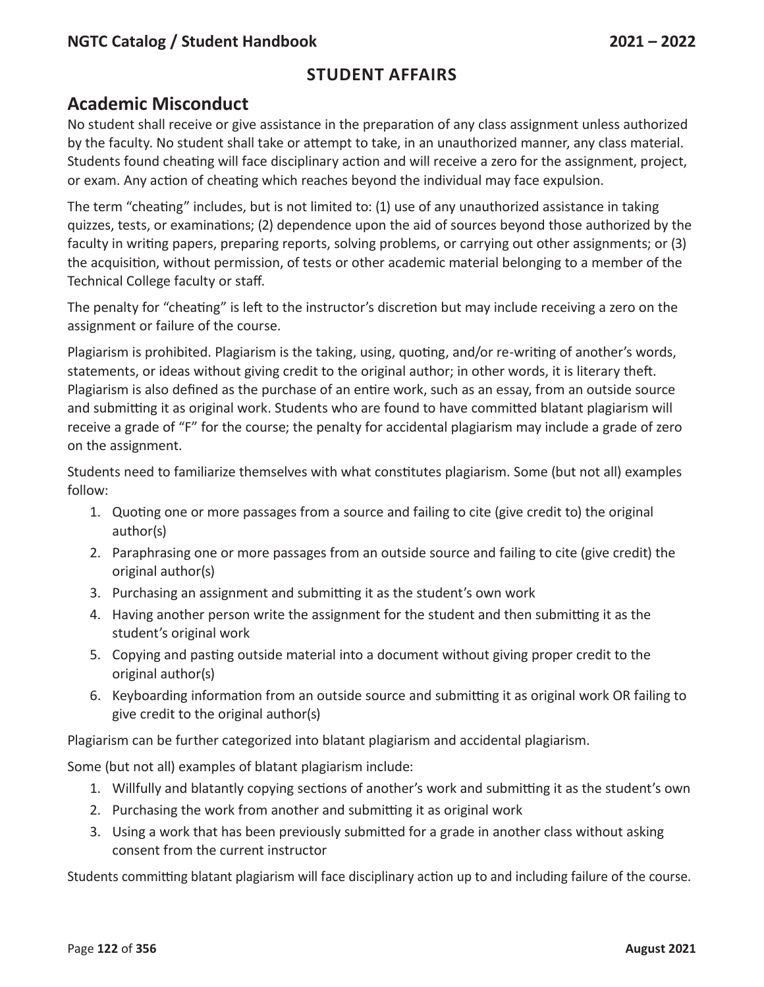## **Academic Misconduct**

No student shall receive or give assistance in the preparation of any class assignment unless authorized by the faculty. No student shall take or attempt to take, in an unauthorized manner, any class material. Students found cheating will face disciplinary action and will receive a zero for the assignment, project, or exam. Any action of cheating which reaches beyond the individual may face expulsion.

The term "cheating" includes, but is not limited to: (1) use of any unauthorized assistance in taking quizzes, tests, or examinations; (2) dependence upon the aid of sources beyond those authorized by the faculty in writing papers, preparing reports, solving problems, or carrying out other assignments; or (3) the acquisition, without permission, of tests or other academic material belonging to a member of the Technical College faculty or staff.

The penalty for "cheating" is left to the instructor's discretion but may include receiving a zero on the assignment or failure of the course.

Plagiarism is prohibited. Plagiarism is the taking, using, quoting, and/or re-writing of another's words, statements, or ideas without giving credit to the original author; in other words, it is literary theft. Plagiarism is also defined as the purchase of an entire work, such as an essay, from an outside source and submitting it as original work. Students who are found to have committed blatant plagiarism will receive a grade of "F" for the course; the penalty for accidental plagiarism may include a grade of zero on the assignment.

Students need to familiarize themselves with what constitutes plagiarism. Some (but not all) examples follow:

- 1. Quoting one or more passages from a source and failing to cite (give credit to) the original author(s)
- 2. Paraphrasing one or more passages from an outside source and failing to cite (give credit) the original author(s)
- 3. Purchasing an assignment and submitting it as the student's own work
- 4. Having another person write the assignment for the student and then submitting it as the student's original work
- 5. Copying and pasting outside material into a document without giving proper credit to the original author(s)
- 6. Keyboarding information from an outside source and submitting it as original work OR failing to give credit to the original author(s)

Plagiarism can be further categorized into blatant plagiarism and accidental plagiarism.

Some (but not all) examples of blatant plagiarism include:

- 1. Willfully and blatantly copying sections of another's work and submitting it as the student's own
- 2. Purchasing the work from another and submitting it as original work
- 3. Using a work that has been previously submitted for a grade in another class without asking consent from the current instructor

Students committing blatant plagiarism will face disciplinary action up to and including failure of the course.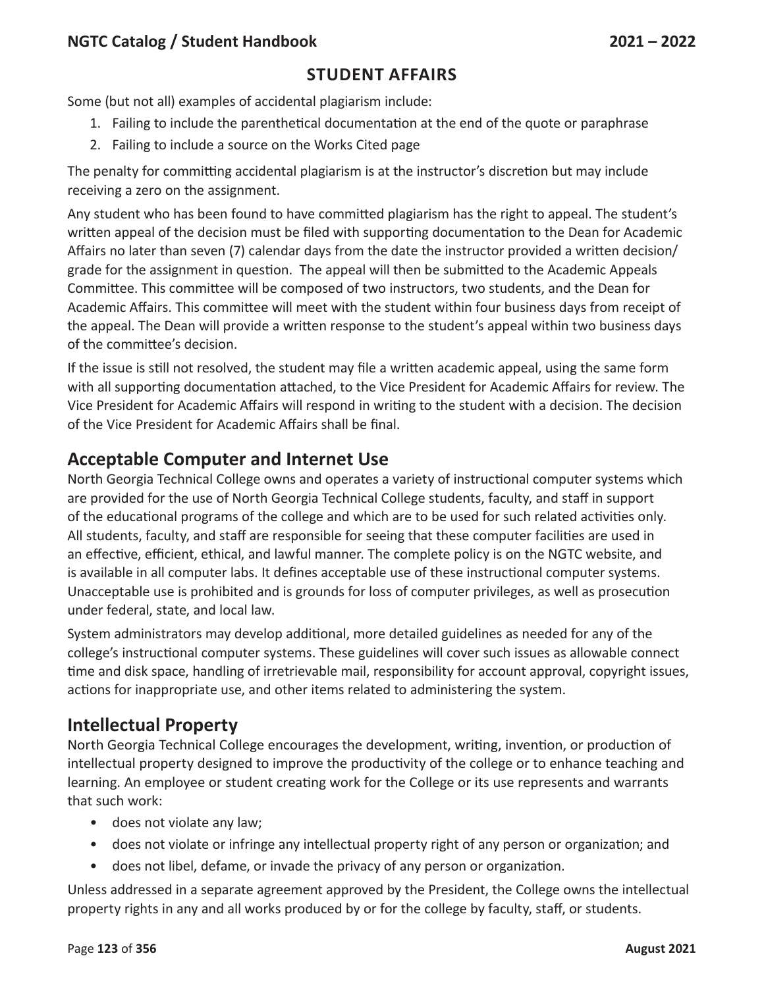### **Student Affairs**

Some (but not all) examples of accidental plagiarism include:

- 1. Failing to include the parenthetical documentation at the end of the quote or paraphrase
- 2. Failing to include a source on the Works Cited page

The penalty for committing accidental plagiarism is at the instructor's discretion but may include receiving a zero on the assignment.

Any student who has been found to have committed plagiarism has the right to appeal. The student's written appeal of the decision must be filed with supporting documentation to the Dean for Academic Affairs no later than seven (7) calendar days from the date the instructor provided a written decision/ grade for the assignment in question. The appeal will then be submitted to the Academic Appeals Committee. This committee will be composed of two instructors, two students, and the Dean for Academic Affairs. This committee will meet with the student within four business days from receipt of the appeal. The Dean will provide a written response to the student's appeal within two business days of the committee's decision.

If the issue is still not resolved, the student may file a written academic appeal, using the same form with all supporting documentation attached, to the Vice President for Academic Affairs for review. The Vice President for Academic Affairs will respond in writing to the student with a decision. The decision of the Vice President for Academic Affairs shall be final.

## **Acceptable Computer and Internet Use**

North Georgia Technical College owns and operates a variety of instructional computer systems which are provided for the use of North Georgia Technical College students, faculty, and staff in support of the educational programs of the college and which are to be used for such related activities only. All students, faculty, and staff are responsible for seeing that these computer facilities are used in an effective, efficient, ethical, and lawful manner. The complete policy is on the NGTC website, and is available in all computer labs. It defines acceptable use of these instructional computer systems. Unacceptable use is prohibited and is grounds for loss of computer privileges, as well as prosecution under federal, state, and local law.

System administrators may develop additional, more detailed guidelines as needed for any of the college's instructional computer systems. These guidelines will cover such issues as allowable connect time and disk space, handling of irretrievable mail, responsibility for account approval, copyright issues, actions for inappropriate use, and other items related to administering the system.

## **Intellectual Property**

North Georgia Technical College encourages the development, writing, invention, or production of intellectual property designed to improve the productivity of the college or to enhance teaching and learning. An employee or student creating work for the College or its use represents and warrants that such work:

- does not violate any law;
- does not violate or infringe any intellectual property right of any person or organization; and
- does not libel, defame, or invade the privacy of any person or organization.

Unless addressed in a separate agreement approved by the President, the College owns the intellectual property rights in any and all works produced by or for the college by faculty, staff, or students.